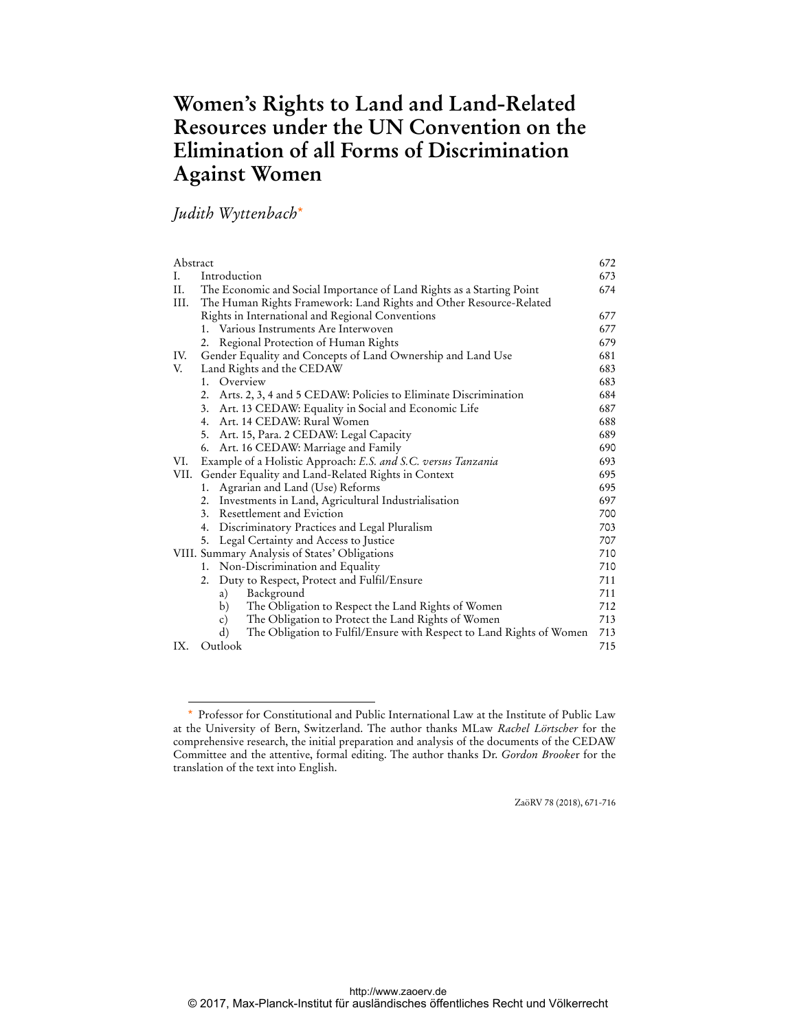# **Women's Rights to Land and Land-Related Resources under the UN Convention on the Elimination of all Forms of Discrimination Against Women**

## *Judith Wyttenbach*\*

| Abstract |                                                                       |                                                                            | 672 |
|----------|-----------------------------------------------------------------------|----------------------------------------------------------------------------|-----|
| I.       | Introduction                                                          |                                                                            | 673 |
| П.       | The Economic and Social Importance of Land Rights as a Starting Point |                                                                            | 674 |
| III.     | The Human Rights Framework: Land Rights and Other Resource-Related    |                                                                            |     |
|          | Rights in International and Regional Conventions                      |                                                                            | 677 |
|          |                                                                       | 1. Various Instruments Are Interwoven                                      | 677 |
|          | 2.                                                                    | Regional Protection of Human Rights                                        | 679 |
| IV.      |                                                                       | Gender Equality and Concepts of Land Ownership and Land Use                | 681 |
| V.       | Land Rights and the CEDAW                                             |                                                                            | 683 |
|          |                                                                       | 1. Overview                                                                | 683 |
|          | 2.                                                                    | Arts. 2, 3, 4 and 5 CEDAW: Policies to Eliminate Discrimination            | 684 |
|          | 3.                                                                    | Art. 13 CEDAW: Equality in Social and Economic Life                        | 687 |
|          | 4.                                                                    | Art. 14 CEDAW: Rural Women                                                 | 688 |
|          | 5.                                                                    | Art. 15, Para. 2 CEDAW: Legal Capacity                                     | 689 |
|          | 6.                                                                    | Art. 16 CEDAW: Marriage and Family                                         | 690 |
| VI.      |                                                                       | Example of a Holistic Approach: E.S. and S.C. versus Tanzania              | 693 |
|          | VII. Gender Equality and Land-Related Rights in Context               |                                                                            | 695 |
|          | 1.                                                                    | Agrarian and Land (Use) Reforms                                            | 695 |
|          | 2.                                                                    | Investments in Land, Agricultural Industrialisation                        | 697 |
|          | 3 <sub>1</sub>                                                        | Resettlement and Eviction                                                  | 700 |
|          | 4.                                                                    | Discriminatory Practices and Legal Pluralism                               | 703 |
|          | 5.                                                                    | Legal Certainty and Access to Justice                                      | 707 |
|          | VIII. Summary Analysis of States' Obligations                         |                                                                            | 710 |
|          |                                                                       | 1. Non-Discrimination and Equality                                         | 710 |
|          | 2.                                                                    | Duty to Respect, Protect and Fulfil/Ensure                                 | 711 |
|          |                                                                       | Background<br>a)                                                           | 711 |
|          |                                                                       | b)<br>The Obligation to Respect the Land Rights of Women                   | 712 |
|          |                                                                       | The Obligation to Protect the Land Rights of Women<br>c)                   | 713 |
|          |                                                                       | The Obligation to Fulfil/Ensure with Respect to Land Rights of Women<br>d) | 713 |
| IX.      |                                                                       | Outlook                                                                    | 715 |

ZaöRV 78 (2018), 671-716

 $\overline{a}$ \* Professor for Constitutional and Public International Law at the Institute of Public Law at the University of Bern, Switzerland. The author thanks MLaw *Rachel Lörtscher* for the comprehensive research, the initial preparation and analysis of the documents of the CEDAW Committee and the attentive, formal editing. The author thanks Dr. *Gordon Brooke*r for the translation of the text into English.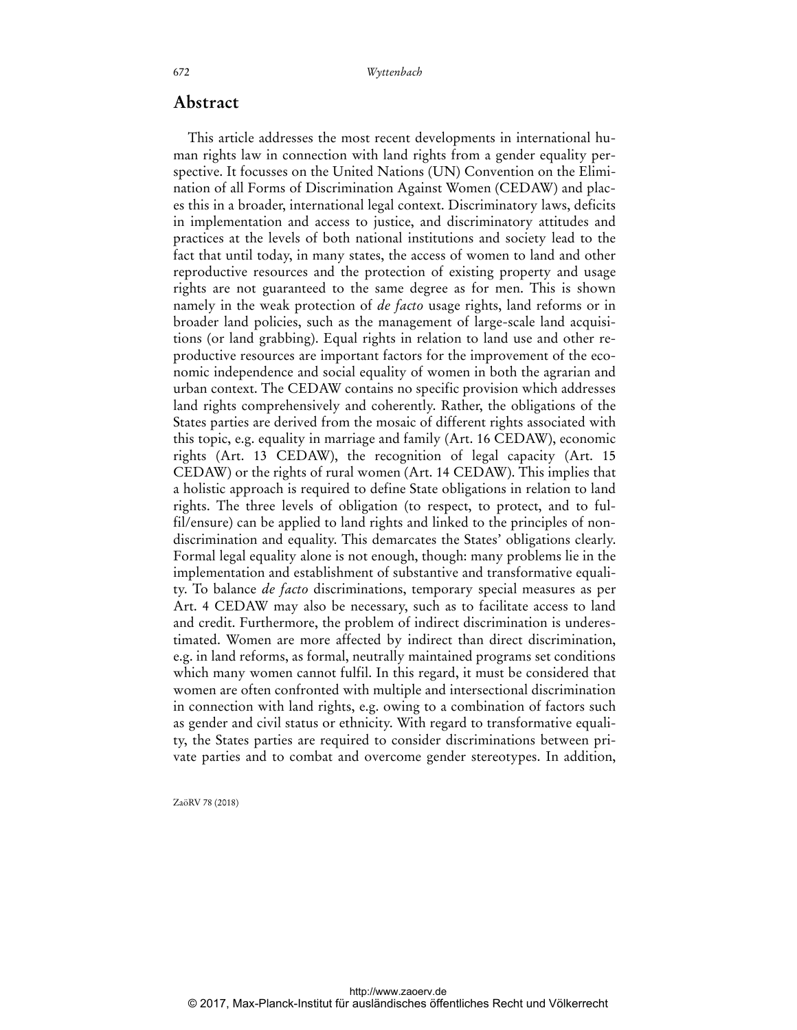## **Abstract**

This article addresses the most recent developments in international human rights law in connection with land rights from a gender equality perspective. It focusses on the United Nations (UN) Convention on the Elimination of all Forms of Discrimination Against Women (CEDAW) and places this in a broader, international legal context. Discriminatory laws, deficits in implementation and access to justice, and discriminatory attitudes and practices at the levels of both national institutions and society lead to the fact that until today, in many states, the access of women to land and other reproductive resources and the protection of existing property and usage rights are not guaranteed to the same degree as for men. This is shown namely in the weak protection of *de facto* usage rights, land reforms or in broader land policies, such as the management of large-scale land acquisitions (or land grabbing). Equal rights in relation to land use and other reproductive resources are important factors for the improvement of the economic independence and social equality of women in both the agrarian and urban context. The CEDAW contains no specific provision which addresses land rights comprehensively and coherently. Rather, the obligations of the States parties are derived from the mosaic of different rights associated with this topic, e.g. equality in marriage and family (Art. 16 CEDAW), economic rights (Art. 13 CEDAW), the recognition of legal capacity (Art. 15 CEDAW) or the rights of rural women (Art. 14 CEDAW). This implies that a holistic approach is required to define State obligations in relation to land rights. The three levels of obligation (to respect, to protect, and to fulfil/ensure) can be applied to land rights and linked to the principles of nondiscrimination and equality. This demarcates the States' obligations clearly. Formal legal equality alone is not enough, though: many problems lie in the implementation and establishment of substantive and transformative equality. To balance *de facto* discriminations, temporary special measures as per Art. 4 CEDAW may also be necessary, such as to facilitate access to land and credit. Furthermore, the problem of indirect discrimination is underestimated. Women are more affected by indirect than direct discrimination, e.g. in land reforms, as formal, neutrally maintained programs set conditions which many women cannot fulfil. In this regard, it must be considered that women are often confronted with multiple and intersectional discrimination in connection with land rights, e.g. owing to a combination of factors such as gender and civil status or ethnicity. With regard to transformative equality, the States parties are required to consider discriminations between private parties and to combat and overcome gender stereotypes. In addition,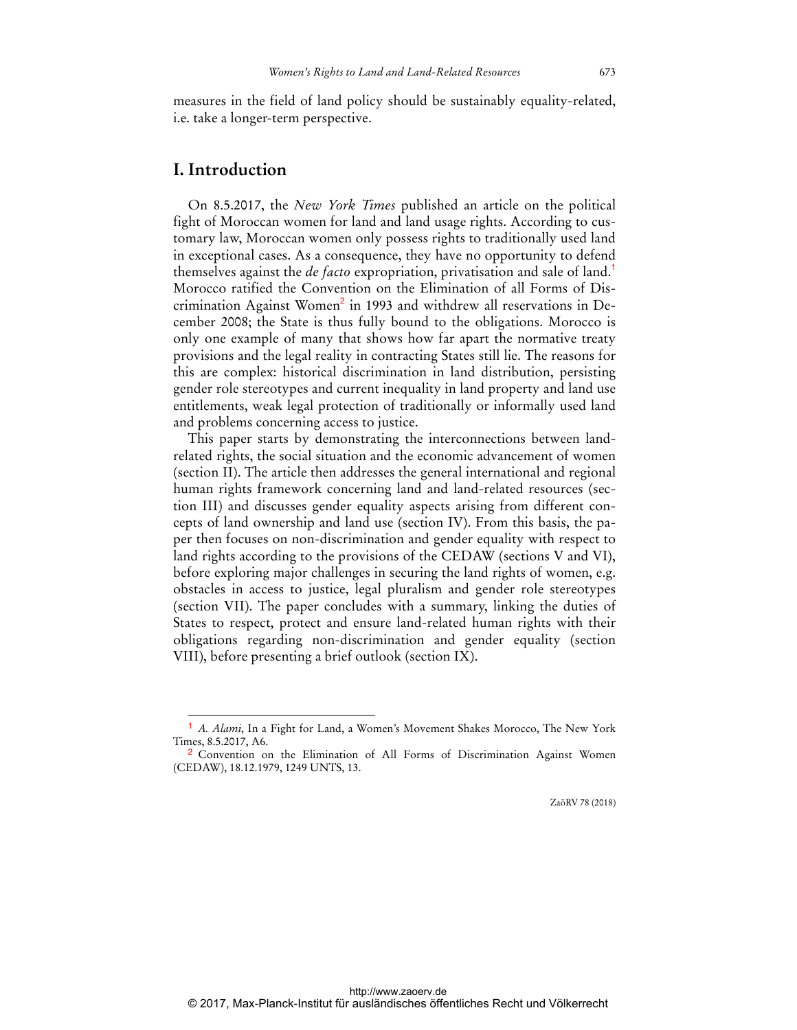measures in the field of land policy should be sustainably equality-related, i.e. take a longer-term perspective.

## **I. Introduction**

 $\ddot{ }$ 

On 8.5.2017, the *New York Times* published an article on the political fight of Moroccan women for land and land usage rights. According to customary law, Moroccan women only possess rights to traditionally used land in exceptional cases. As a consequence, they have no opportunity to defend themselves against the *de facto* expropriation, privatisation and sale of land.<sup>1</sup> Morocco ratified the Convention on the Elimination of all Forms of Discrimination Against Women<sup>2</sup> in 1993 and withdrew all reservations in December 2008; the State is thus fully bound to the obligations. Morocco is only one example of many that shows how far apart the normative treaty provisions and the legal reality in contracting States still lie. The reasons for this are complex: historical discrimination in land distribution, persisting gender role stereotypes and current inequality in land property and land use entitlements, weak legal protection of traditionally or informally used land and problems concerning access to justice.

This paper starts by demonstrating the interconnections between landrelated rights, the social situation and the economic advancement of women (section II). The article then addresses the general international and regional human rights framework concerning land and land-related resources (section III) and discusses gender equality aspects arising from different concepts of land ownership and land use (section IV). From this basis, the paper then focuses on non-discrimination and gender equality with respect to land rights according to the provisions of the CEDAW (sections V and VI), before exploring major challenges in securing the land rights of women, e.g. obstacles in access to justice, legal pluralism and gender role stereotypes (section VII). The paper concludes with a summary, linking the duties of States to respect, protect and ensure land-related human rights with their obligations regarding non-discrimination and gender equality (section VIII), before presenting a brief outlook (section IX).

<sup>1</sup> *A. Alami*, In a Fight for Land, a Women's Movement Shakes Morocco, The New York Times, 8.5.2017, A6.

<sup>2</sup> Convention on the Elimination of All Forms of Discrimination Against Women (CEDAW), 18.12.1979, 1249 UNTS, 13.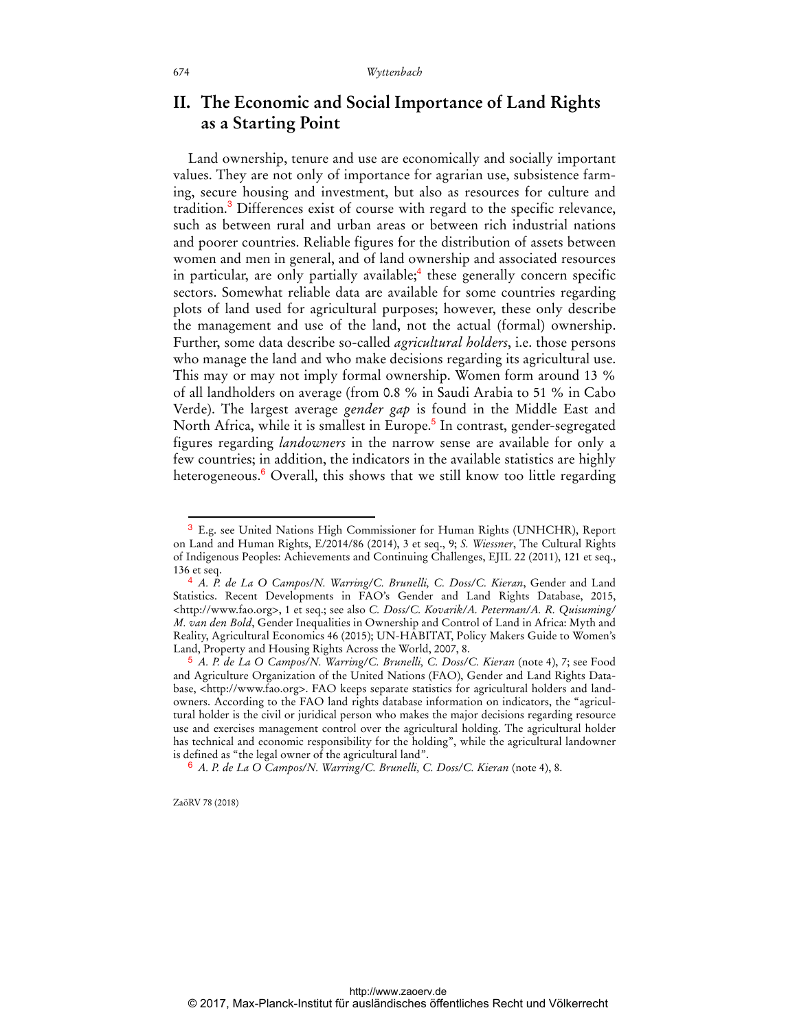## **II. The Economic and Social Importance of Land Rights as a Starting Point**

Land ownership, tenure and use are economically and socially important values. They are not only of importance for agrarian use, subsistence farming, secure housing and investment, but also as resources for culture and tradition.<sup>3</sup> Differences exist of course with regard to the specific relevance, such as between rural and urban areas or between rich industrial nations and poorer countries. Reliable figures for the distribution of assets between women and men in general, and of land ownership and associated resources in particular, are only partially available;<sup>4</sup> these generally concern specific sectors. Somewhat reliable data are available for some countries regarding plots of land used for agricultural purposes; however, these only describe the management and use of the land, not the actual (formal) ownership. Further, some data describe so-called *agricultural holders*, i.e. those persons who manage the land and who make decisions regarding its agricultural use. This may or may not imply formal ownership. Women form around 13 % of all landholders on average (from 0.8 % in Saudi Arabia to 51 % in Cabo Verde). The largest average *gender gap* is found in the Middle East and North Africa, while it is smallest in Europe.<sup>5</sup> In contrast, gender-segregated figures regarding *landowners* in the narrow sense are available for only a few countries; in addition, the indicators in the available statistics are highly heterogeneous.<sup>6</sup> Overall, this shows that we still know too little regarding

ZaöRV 78 (2018)

<sup>&</sup>lt;sup>3</sup> E.g. see United Nations High Commissioner for Human Rights (UNHCHR), Report on Land and Human Rights, E/2014/86 (2014), 3 et seq., 9; *S. Wiessner*, The Cultural Rights of Indigenous Peoples: Achievements and Continuing Challenges, EJIL 22 (2011), 121 et seq., 136 et seq.

<sup>4</sup> *A. P. de La O Campos/N. Warring/C. Brunelli, C. Doss/C. Kieran*, Gender and Land Statistics. Recent Developments in FAO's Gender and Land Rights Database, 2015, <http://www.fao.org>, 1 et seq.; see also *C. Doss/C. Kovarik/A. Peterman/A. R. Quisuming/ M. van den Bold*, Gender Inequalities in Ownership and Control of Land in Africa: Myth and Reality, Agricultural Economics 46 (2015); UN-HABITAT, Policy Makers Guide to Women's Land, Property and Housing Rights Across the World, 2007, 8.

<sup>5</sup> *A. P. de La O Campos/N. Warring/C. Brunelli, C. Doss/C. Kieran* (note 4), 7; see Food and Agriculture Organization of the United Nations (FAO), Gender and Land Rights Database, <http://www.fao.org>. FAO keeps separate statistics for agricultural holders and landowners. According to the FAO land rights database information on indicators, the "agricultural holder is the civil or juridical person who makes the major decisions regarding resource use and exercises management control over the agricultural holding. The agricultural holder has technical and economic responsibility for the holding", while the agricultural landowner is defined as "the legal owner of the agricultural land".

<sup>6</sup> *A. P. de La O Campos/N. Warring/C. Brunelli, C. Doss/C. Kieran* (note 4), 8.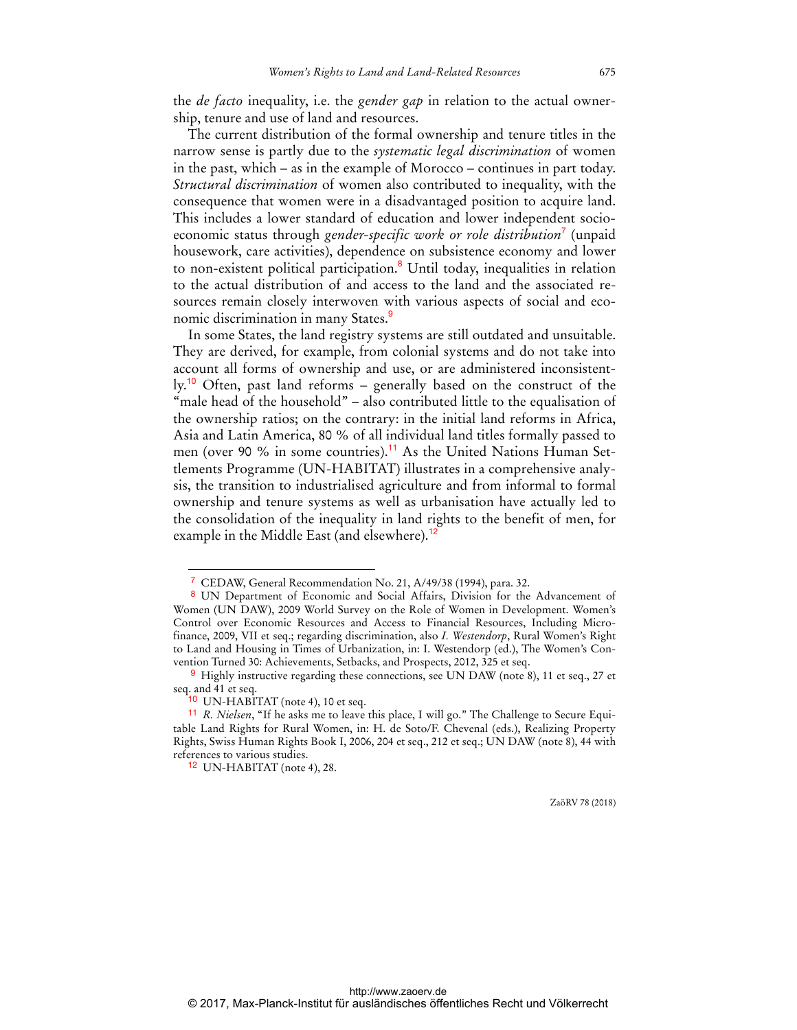the *de facto* inequality, i.e. the *gender gap* in relation to the actual ownership, tenure and use of land and resources.

The current distribution of the formal ownership and tenure titles in the narrow sense is partly due to the *systematic legal discrimination* of women in the past, which – as in the example of Morocco – continues in part today. *Structural discrimination* of women also contributed to inequality, with the consequence that women were in a disadvantaged position to acquire land. This includes a lower standard of education and lower independent socioeconomic status through *gender-specific work or role distribution*<sup>7</sup> (unpaid housework, care activities), dependence on subsistence economy and lower to non-existent political participation.<sup>8</sup> Until today, inequalities in relation to the actual distribution of and access to the land and the associated resources remain closely interwoven with various aspects of social and economic discrimination in many States.<sup>9</sup>

In some States, the land registry systems are still outdated and unsuitable. They are derived, for example, from colonial systems and do not take into account all forms of ownership and use, or are administered inconsistently.<sup>10</sup> Often, past land reforms – generally based on the construct of the "male head of the household" – also contributed little to the equalisation of the ownership ratios; on the contrary: in the initial land reforms in Africa, Asia and Latin America, 80 % of all individual land titles formally passed to men (over 90 % in some countries).<sup>11</sup> As the United Nations Human Settlements Programme (UN-HABITAT) illustrates in a comprehensive analysis, the transition to industrialised agriculture and from informal to formal ownership and tenure systems as well as urbanisation have actually led to the consolidation of the inequality in land rights to the benefit of men, for example in the Middle East (and elsewhere).<sup>12</sup>

 $\overline{a}$ 

<sup>7</sup> CEDAW, General Recommendation No. 21, A/49/38 (1994), para. 32.

<sup>8</sup> UN Department of Economic and Social Affairs, Division for the Advancement of Women (UN DAW), 2009 World Survey on the Role of Women in Development. Women's Control over Economic Resources and Access to Financial Resources, Including Microfinance, 2009, VII et seq.; regarding discrimination, also *I. Westendorp*, Rural Women's Right to Land and Housing in Times of Urbanization, in: I. Westendorp (ed.), The Women's Convention Turned 30: Achievements, Setbacks, and Prospects, 2012, 325 et seq.

<sup>&</sup>lt;sup>9</sup> Highly instructive regarding these connections, see UN DAW (note 8), 11 et seq., 27 et seq. and 41 et seq.

<sup>&</sup>lt;sup>10</sup> UN-HABITAT (note 4), 10 et seq.

<sup>11</sup> *R. Nielsen*, "If he asks me to leave this place, I will go." The Challenge to Secure Equitable Land Rights for Rural Women, in: H. de Soto/F. Chevenal (eds.), Realizing Property Rights, Swiss Human Rights Book I, 2006, 204 et seq., 212 et seq.; UN DAW (note 8), 44 with references to various studies.

<sup>12</sup> UN-HABITAT (note 4), 28.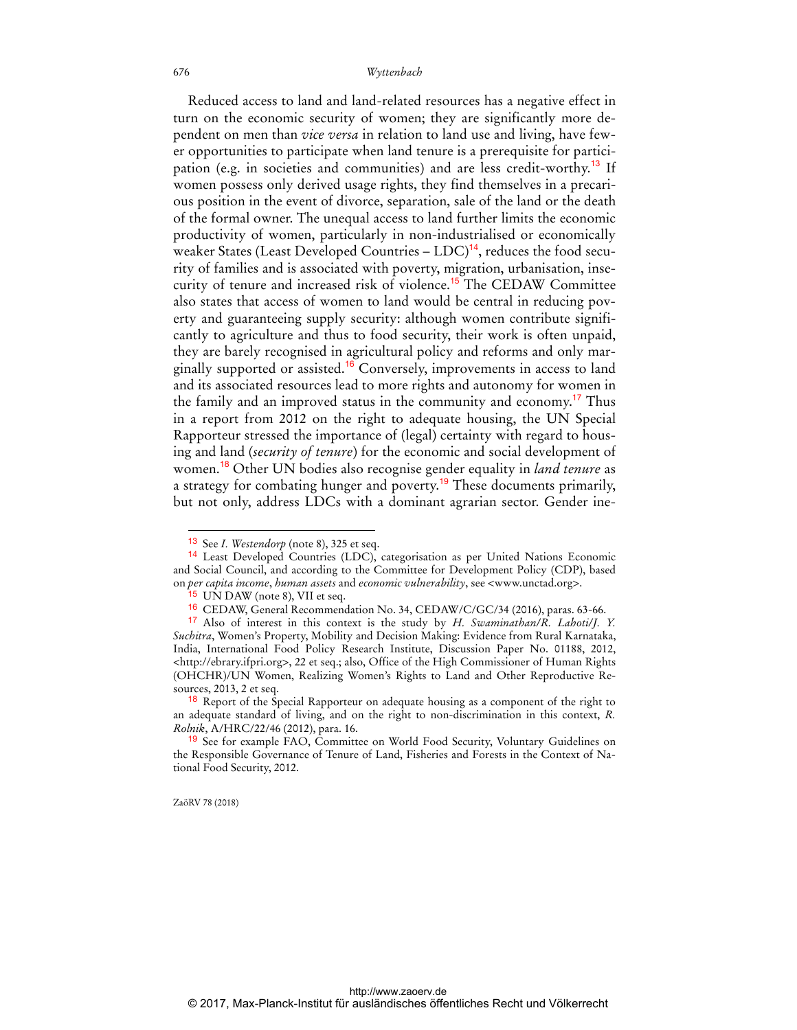Reduced access to land and land-related resources has a negative effect in turn on the economic security of women; they are significantly more dependent on men than *vice versa* in relation to land use and living, have fewer opportunities to participate when land tenure is a prerequisite for participation (e.g. in societies and communities) and are less credit-worthy.<sup>13</sup> If women possess only derived usage rights, they find themselves in a precarious position in the event of divorce, separation, sale of the land or the death of the formal owner. The unequal access to land further limits the economic productivity of women, particularly in non-industrialised or economically weaker States (Least Developed Countries  $-$  LDC)<sup>14</sup>, reduces the food security of families and is associated with poverty, migration, urbanisation, insecurity of tenure and increased risk of violence.<sup>15</sup> The CEDAW Committee also states that access of women to land would be central in reducing poverty and guaranteeing supply security: although women contribute significantly to agriculture and thus to food security, their work is often unpaid, they are barely recognised in agricultural policy and reforms and only marginally supported or assisted.<sup>16</sup> Conversely, improvements in access to land and its associated resources lead to more rights and autonomy for women in the family and an improved status in the community and economy.<sup>17</sup> Thus in a report from 2012 on the right to adequate housing, the UN Special Rapporteur stressed the importance of (legal) certainty with regard to housing and land (*security of tenure*) for the economic and social development of women.<sup>18</sup> Other UN bodies also recognise gender equality in *land tenure* as a strategy for combating hunger and poverty.<sup>19</sup> These documents primarily, but not only, address LDCs with a dominant agrarian sector. Gender ine-

ZaöRV 78 (2018)

<sup>13</sup> See *I. Westendorp* (note 8), 325 et seq.

<sup>14</sup> Least Developed Countries (LDC), categorisation as per United Nations Economic and Social Council, and according to the Committee for Development Policy (CDP), based on *per capita income*, *human assets* and *economic vulnerability*, see <www.unctad.org>.

 $15$  UN DAW (note 8), VII et seq.<br> $16$  CEDAW General Recommend

<sup>16</sup> CEDAW, General Recommendation No. 34, CEDAW/C/GC/34 (2016), paras. 63-66.

<sup>17</sup> Also of interest in this context is the study by *H. Swaminathan/R. Lahoti/J. Y. Suchitra*, Women's Property, Mobility and Decision Making: Evidence from Rural Karnataka, India, International Food Policy Research Institute, Discussion Paper No. 01188, 2012, <http://ebrary.ifpri.org>, 22 et seq.; also, Office of the High Commissioner of Human Rights (OHCHR)/UN Women, Realizing Women's Rights to Land and Other Reproductive Resources, 2013, 2 et seq.

<sup>&</sup>lt;sup>18</sup> Report of the Special Rapporteur on adequate housing as a component of the right to an adequate standard of living, and on the right to non-discrimination in this context, *R. Rolnik*, A/HRC/22/46 (2012), para. 16.

<sup>&</sup>lt;sup>19</sup> See for example FAO, Committee on World Food Security, Voluntary Guidelines on the Responsible Governance of Tenure of Land, Fisheries and Forests in the Context of National Food Security, 2012.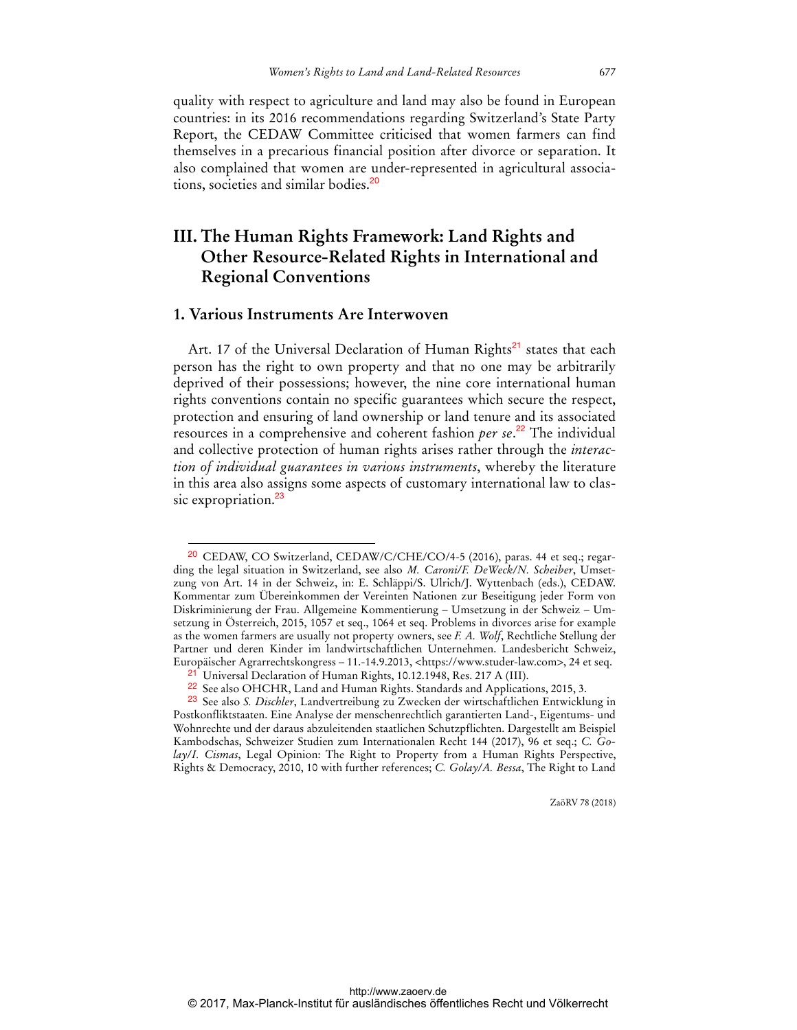quality with respect to agriculture and land may also be found in European countries: in its 2016 recommendations regarding Switzerland's State Party Report, the CEDAW Committee criticised that women farmers can find themselves in a precarious financial position after divorce or separation. It also complained that women are under-represented in agricultural associations, societies and similar bodies.<sup>20</sup>

## **III. The Human Rights Framework: Land Rights and Other Resource-Related Rights in International and Regional Conventions**

### **1. Various Instruments Are Interwoven**

 $\ddot{ }$ 

Art. 17 of the Universal Declaration of Human Rights<sup>21</sup> states that each person has the right to own property and that no one may be arbitrarily deprived of their possessions; however, the nine core international human rights conventions contain no specific guarantees which secure the respect, protection and ensuring of land ownership or land tenure and its associated resources in a comprehensive and coherent fashion *per se*. <sup>22</sup> The individual and collective protection of human rights arises rather through the *interaction of individual guarantees in various instruments*, whereby the literature in this area also assigns some aspects of customary international law to classic expropriation.<sup>23</sup>

<sup>20</sup> CEDAW, CO Switzerland, CEDAW/C/CHE/CO/4-5 (2016), paras. 44 et seq.; regarding the legal situation in Switzerland, see also *M. Caroni/F. DeWeck/N. Scheiber*, Umsetzung von Art. 14 in der Schweiz, in: E. Schläppi/S. Ulrich/J. Wyttenbach (eds.), CEDAW. Kommentar zum Übereinkommen der Vereinten Nationen zur Beseitigung jeder Form von Diskriminierung der Frau. Allgemeine Kommentierung – Umsetzung in der Schweiz – Umsetzung in Österreich, 2015, 1057 et seq., 1064 et seq. Problems in divorces arise for example as the women farmers are usually not property owners, see *F. A. Wolf*, Rechtliche Stellung der Partner und deren Kinder im landwirtschaftlichen Unternehmen. Landesbericht Schweiz, Europäischer Agrarrechtskongress – 11.-14.9.2013, <https://www.studer-law.com>, 24 et seq. <sup>21</sup> Universal Declaration of Human Rights, 10.12.1948, Res. 217 A (III).

<sup>22</sup> See also OHCHR, Land and Human Rights. Standards and Applications, 2015, 3.

<sup>23</sup> See also *S. Dischler*, Landvertreibung zu Zwecken der wirtschaftlichen Entwicklung in Postkonfliktstaaten. Eine Analyse der menschenrechtlich garantierten Land-, Eigentums- und Wohnrechte und der daraus abzuleitenden staatlichen Schutzpflichten. Dargestellt am Beispiel Kambodschas, Schweizer Studien zum Internationalen Recht 144 (2017), 96 et seq.; *C. Golay/I. Cismas*, Legal Opinion: The Right to Property from a Human Rights Perspective, Rights & Democracy, 2010, 10 with further references; *C. Golay/A. Bessa*, The Right to Land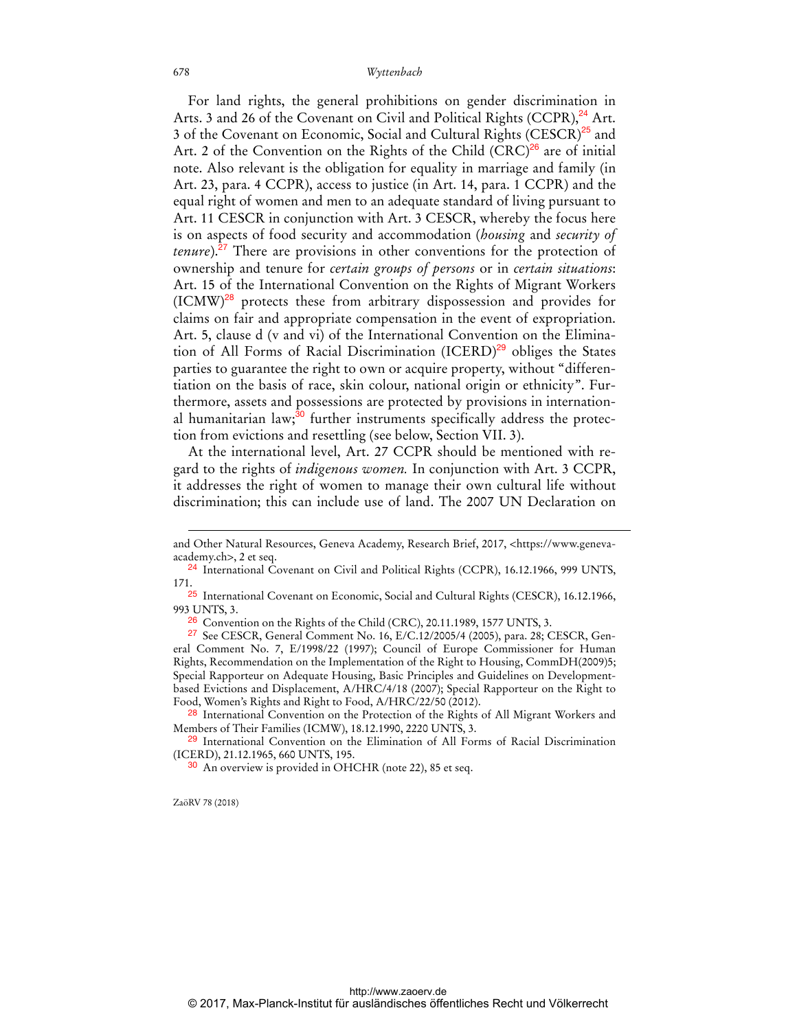For land rights, the general prohibitions on gender discrimination in Arts. 3 and 26 of the Covenant on Civil and Political Rights (CCPR),<sup>24</sup> Art. 3 of the Covenant on Economic, Social and Cultural Rights (CESCR)<sup>25</sup> and Art. 2 of the Convention on the Rights of the Child  $(CRC)^{26}$  are of initial note. Also relevant is the obligation for equality in marriage and family (in Art. 23, para. 4 CCPR), access to justice (in Art. 14, para. 1 CCPR) and the equal right of women and men to an adequate standard of living pursuant to Art. 11 CESCR in conjunction with Art. 3 CESCR, whereby the focus here is on aspects of food security and accommodation (*housing* and *security of tenure*).<sup>27</sup> There are provisions in other conventions for the protection of ownership and tenure for *certain groups of persons* or in *certain situations*: Art. 15 of the International Convention on the Rights of Migrant Workers  $(ICMW)<sup>28</sup>$  protects these from arbitrary dispossession and provides for claims on fair and appropriate compensation in the event of expropriation. Art. 5, clause d (v and vi) of the International Convention on the Elimination of All Forms of Racial Discrimination (ICERD)<sup>29</sup> obliges the States parties to guarantee the right to own or acquire property, without "differentiation on the basis of race, skin colour, national origin or ethnicity". Furthermore, assets and possessions are protected by provisions in international humanitarian law;<sup>30</sup> further instruments specifically address the protection from evictions and resettling (see below, Section VII. 3).

At the international level, Art. 27 CCPR should be mentioned with regard to the rights of *indigenous women.* In conjunction with Art. 3 CCPR, it addresses the right of women to manage their own cultural life without discrimination; this can include use of land. The 2007 UN Declaration on

ZaöRV 78 (2018)

and Other Natural Resources, Geneva Academy, Research Brief, 2017, <https://www.genevaacademy.ch>, 2 et seq.

<sup>24</sup> International Covenant on Civil and Political Rights (CCPR), 16.12.1966, 999 UNTS, 171.

<sup>25</sup> International Covenant on Economic, Social and Cultural Rights (CESCR), 16.12.1966, 993 UNTS, 3.

<sup>26</sup> Convention on the Rights of the Child (CRC), 20.11.1989, 1577 UNTS, 3.

<sup>27</sup> See CESCR, General Comment No. 16, E/C.12/2005/4 (2005), para. 28; CESCR, General Comment No. 7, E/1998/22 (1997); Council of Europe Commissioner for Human Rights, Recommendation on the Implementation of the Right to Housing, CommDH(2009)5; Special Rapporteur on Adequate Housing, Basic Principles and Guidelines on Developmentbased Evictions and Displacement, A/HRC/4/18 (2007); Special Rapporteur on the Right to Food, Women's Rights and Right to Food, A/HRC/22/50 (2012).

<sup>&</sup>lt;sup>28</sup> International Convention on the Protection of the Rights of All Migrant Workers and Members of Their Families (ICMW), 18.12.1990, 2220 UNTS, 3.

<sup>29</sup> International Convention on the Elimination of All Forms of Racial Discrimination (ICERD), 21.12.1965, 660 UNTS, 195.

<sup>&</sup>lt;sup>30</sup> An overview is provided in OHCHR (note 22), 85 et seq.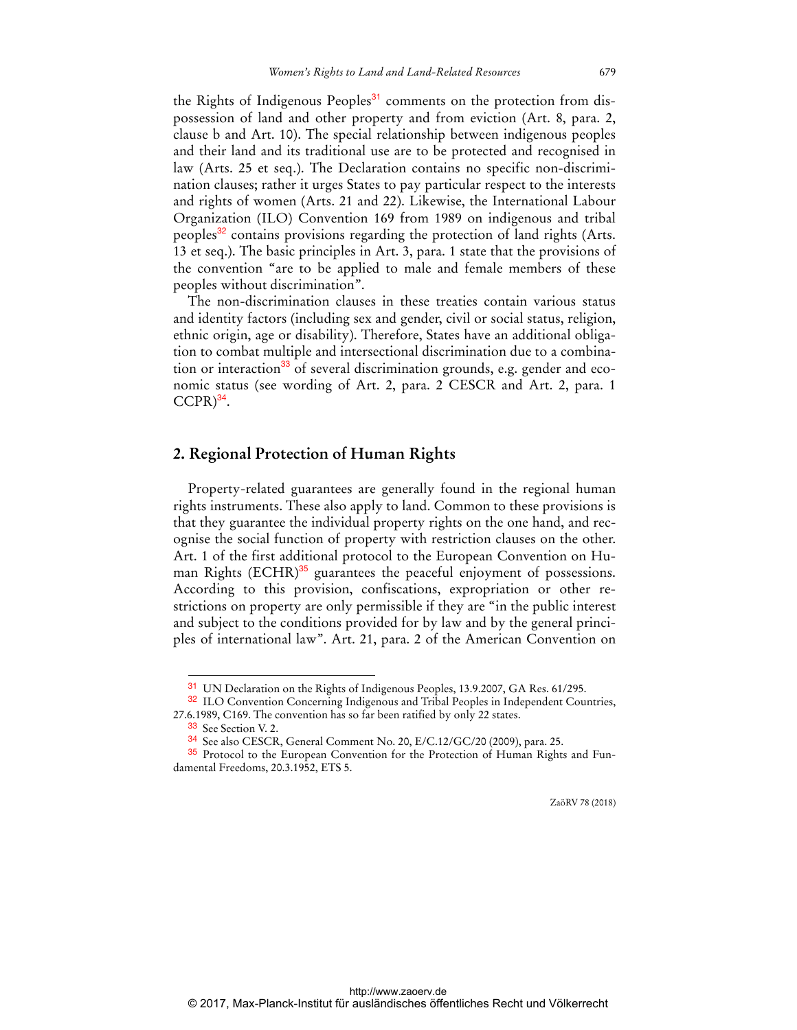the Rights of Indigenous Peoples<sup>31</sup> comments on the protection from dispossession of land and other property and from eviction (Art. 8, para. 2, clause b and Art. 10). The special relationship between indigenous peoples and their land and its traditional use are to be protected and recognised in law (Arts. 25 et seq.). The Declaration contains no specific non-discrimination clauses; rather it urges States to pay particular respect to the interests and rights of women (Arts. 21 and 22). Likewise, the International Labour Organization (ILO) Convention 169 from 1989 on indigenous and tribal peoples<sup>32</sup> contains provisions regarding the protection of land rights (Arts. 13 et seq.). The basic principles in Art. 3, para. 1 state that the provisions of the convention "are to be applied to male and female members of these peoples without discrimination".

The non-discrimination clauses in these treaties contain various status and identity factors (including sex and gender, civil or social status, religion, ethnic origin, age or disability). Therefore, States have an additional obligation to combat multiple and intersectional discrimination due to a combination or interaction<sup>33</sup> of several discrimination grounds, e.g. gender and economic status (see wording of Art. 2, para. 2 CESCR and Art. 2, para. 1  $CCPR)^{34}$ .

### **2. Regional Protection of Human Rights**

Property-related guarantees are generally found in the regional human rights instruments. These also apply to land. Common to these provisions is that they guarantee the individual property rights on the one hand, and recognise the social function of property with restriction clauses on the other. Art. 1 of the first additional protocol to the European Convention on Human Rights (ECHR)<sup>35</sup> guarantees the peaceful enjoyment of possessions. According to this provision, confiscations, expropriation or other restrictions on property are only permissible if they are "in the public interest and subject to the conditions provided for by law and by the general principles of international law". Art. 21, para. 2 of the American Convention on

<sup>&</sup>lt;sup>31</sup> UN Declaration on the Rights of Indigenous Peoples, 13.9.2007, GA Res. 61/295.

<sup>32</sup> ILO Convention Concerning Indigenous and Tribal Peoples in Independent Countries, 27.6.1989, C169. The convention has so far been ratified by only 22 states.

<sup>33</sup> See Section V. 2.

<sup>34</sup> See also CESCR, General Comment No. 20, E/C.12/GC/20 (2009), para. 25.

<sup>&</sup>lt;sup>35</sup> Protocol to the European Convention for the Protection of Human Rights and Fundamental Freedoms, 20.3.1952, ETS 5.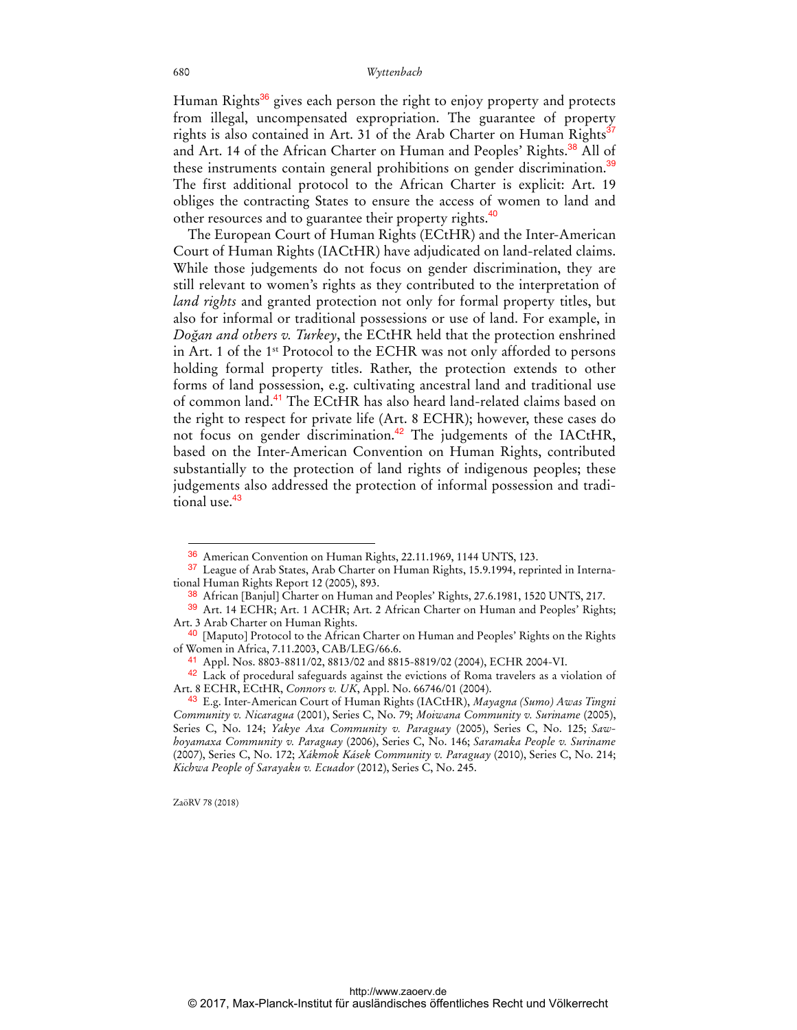Human Rights<sup>36</sup> gives each person the right to enjoy property and protects from illegal, uncompensated expropriation. The guarantee of property rights is also contained in Art. 31 of the Arab Charter on Human Rights<sup>37</sup> and Art. 14 of the African Charter on Human and Peoples' Rights.<sup>38</sup> All of these instruments contain general prohibitions on gender discrimination.<sup>39</sup> The first additional protocol to the African Charter is explicit: Art. 19 obliges the contracting States to ensure the access of women to land and other resources and to guarantee their property rights.<sup>40</sup>

The European Court of Human Rights (ECtHR) and the Inter-American Court of Human Rights (IACtHR) have adjudicated on land-related claims. While those judgements do not focus on gender discrimination, they are still relevant to women's rights as they contributed to the interpretation of *land rights* and granted protection not only for formal property titles, but also for informal or traditional possessions or use of land. For example, in *Doğan and others v. Turkey*, the ECtHR held that the protection enshrined in Art. 1 of the 1<sup>st</sup> Protocol to the ECHR was not only afforded to persons holding formal property titles. Rather, the protection extends to other forms of land possession, e.g. cultivating ancestral land and traditional use of common land.<sup>41</sup> The ECtHR has also heard land-related claims based on the right to respect for private life (Art. 8 ECHR); however, these cases do not focus on gender discrimination.<sup>42</sup> The judgements of the IACtHR, based on the Inter-American Convention on Human Rights, contributed substantially to the protection of land rights of indigenous peoples; these judgements also addressed the protection of informal possession and traditional use.<sup>43</sup>

ZaöRV 78 (2018)

 $\ddot{ }$ 

<sup>36</sup> American Convention on Human Rights, 22.11.1969, 1144 UNTS, 123.

<sup>37</sup> League of Arab States, Arab Charter on Human Rights, 15.9.1994, reprinted in International Human Rights Report 12 (2005), 893.

<sup>38</sup> African [Banjul] Charter on Human and Peoples' Rights, 27.6.1981, 1520 UNTS, 217.

<sup>39</sup> Art. 14 ECHR; Art. 1 ACHR; Art. 2 African Charter on Human and Peoples' Rights; Art. 3 Arab Charter on Human Rights.

<sup>&</sup>lt;sup>40</sup> [Maputo] Protocol to the African Charter on Human and Peoples' Rights on the Rights of Women in Africa, 7.11.2003, CAB/LEG/66.6.

<sup>41</sup> Appl. Nos. 8803-8811/02, 8813/02 and 8815-8819/02 (2004), ECHR 2004-VI.

<sup>42</sup> Lack of procedural safeguards against the evictions of Roma travelers as a violation of Art. 8 ECHR, ECtHR, *Connors v. UK*, Appl. No. 66746/01 (2004).

<sup>43</sup> E.g. Inter-American Court of Human Rights (IACtHR), *Mayagna (Sumo) Awas Tingni Community v. Nicaragua* (2001), Series C, No. 79; *Moiwana Community v. Suriname* (2005), Series C, No. 124; *Yakye Axa Community v. Paraguay* (2005), Series C, No. 125; *Sawhoyamaxa Community v. Paraguay* (2006), Series C, No. 146; *Saramaka People v. Suriname* (2007), Series C, No. 172; *Xákmok Kásek Community v. Paraguay* (2010), Series C, No. 214; *Kichwa People of Sarayaku v. Ecuador* (2012), Series C, No. 245.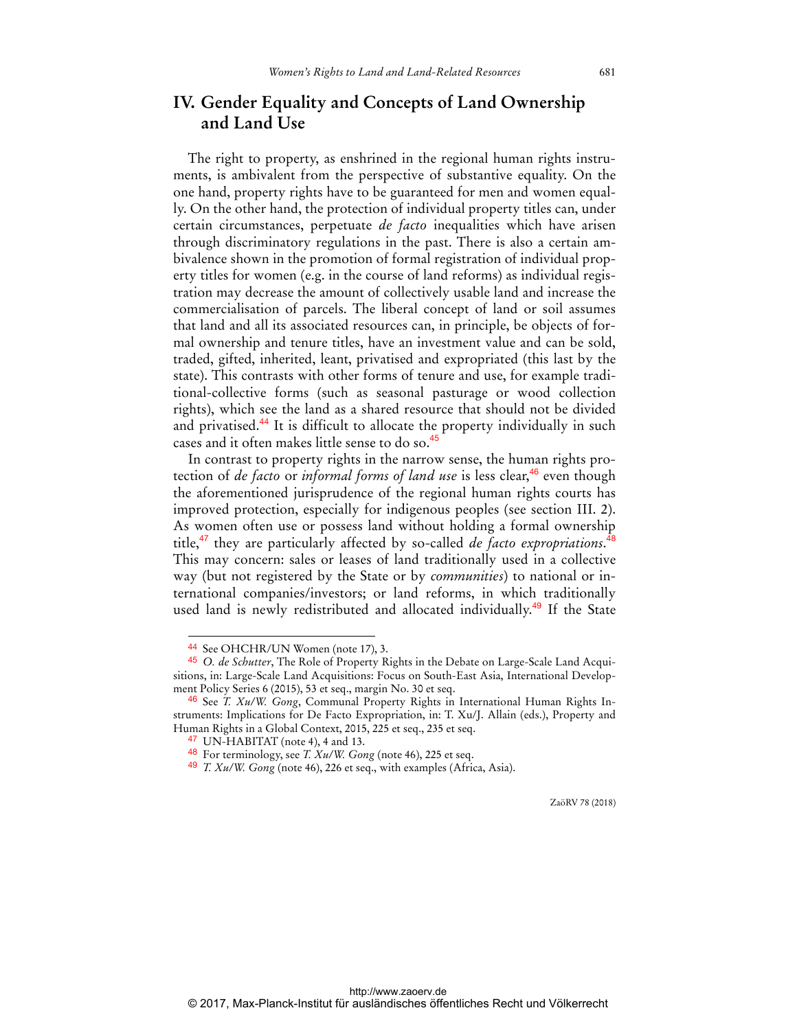## **IV. Gender Equality and Concepts of Land Ownership and Land Use**

The right to property, as enshrined in the regional human rights instruments, is ambivalent from the perspective of substantive equality. On the one hand, property rights have to be guaranteed for men and women equally. On the other hand, the protection of individual property titles can, under certain circumstances, perpetuate *de facto* inequalities which have arisen through discriminatory regulations in the past. There is also a certain ambivalence shown in the promotion of formal registration of individual property titles for women (e.g. in the course of land reforms) as individual registration may decrease the amount of collectively usable land and increase the commercialisation of parcels. The liberal concept of land or soil assumes that land and all its associated resources can, in principle, be objects of formal ownership and tenure titles, have an investment value and can be sold, traded, gifted, inherited, leant, privatised and expropriated (this last by the state). This contrasts with other forms of tenure and use, for example traditional-collective forms (such as seasonal pasturage or wood collection rights), which see the land as a shared resource that should not be divided and privatised.<sup>44</sup> It is difficult to allocate the property individually in such cases and it often makes little sense to do so.<sup>45</sup>

In contrast to property rights in the narrow sense, the human rights protection of *de facto* or *informal forms of land use* is less clear,<sup>46</sup> even though the aforementioned jurisprudence of the regional human rights courts has improved protection, especially for indigenous peoples (see section III. 2). As women often use or possess land without holding a formal ownership title,<sup>47</sup> they are particularly affected by so-called *de facto expropriations*. 48 This may concern: sales or leases of land traditionally used in a collective way (but not registered by the State or by *communities*) to national or international companies/investors; or land reforms, in which traditionally used land is newly redistributed and allocated individually.<sup>49</sup> If the State

 $\overline{a}$ 

<sup>44</sup> See OHCHR/UN Women (note 17), 3.

<sup>45</sup> *O. de Schutter*, The Role of Property Rights in the Debate on Large-Scale Land Acquisitions, in: Large-Scale Land Acquisitions: Focus on South-East Asia, International Development Policy Series 6 (2015), 53 et seq., margin No. 30 et seq.

<sup>46</sup> See *T. Xu/W. Gong*, Communal Property Rights in International Human Rights Instruments: Implications for De Facto Expropriation, in: T. Xu/J. Allain (eds.), Property and Human Rights in a Global Context, 2015, 225 et seq., 235 et seq.

<sup>47</sup> UN-HABITAT (note 4), 4 and 13.

<sup>48</sup> For terminology, see *T. Xu/W. Gong* (note 46), 225 et seq.

<sup>49</sup> *T. Xu/W. Gong* (note 46), 226 et seq., with examples (Africa, Asia).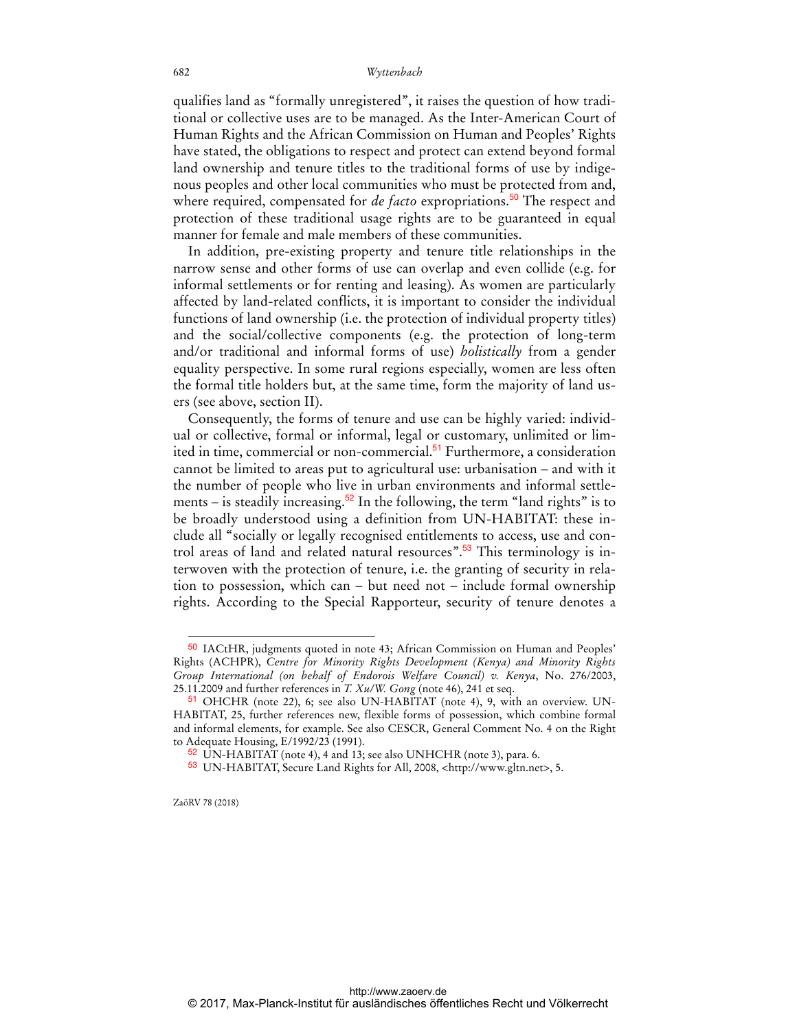qualifies land as "formally unregistered", it raises the question of how traditional or collective uses are to be managed. As the Inter-American Court of Human Rights and the African Commission on Human and Peoples' Rights have stated, the obligations to respect and protect can extend beyond formal land ownership and tenure titles to the traditional forms of use by indigenous peoples and other local communities who must be protected from and, where required, compensated for *de facto* expropriations.<sup>50</sup> The respect and protection of these traditional usage rights are to be guaranteed in equal manner for female and male members of these communities.

In addition, pre-existing property and tenure title relationships in the narrow sense and other forms of use can overlap and even collide (e.g. for informal settlements or for renting and leasing). As women are particularly affected by land-related conflicts, it is important to consider the individual functions of land ownership (i.e. the protection of individual property titles) and the social/collective components (e.g. the protection of long-term and/or traditional and informal forms of use) *holistically* from a gender equality perspective. In some rural regions especially, women are less often the formal title holders but, at the same time, form the majority of land users (see above, section II).

Consequently, the forms of tenure and use can be highly varied: individual or collective, formal or informal, legal or customary, unlimited or limited in time, commercial or non-commercial.<sup>51</sup> Furthermore, a consideration cannot be limited to areas put to agricultural use: urbanisation – and with it the number of people who live in urban environments and informal settlements – is steadily increasing.<sup>52</sup> In the following, the term "land rights" is to be broadly understood using a definition from UN-HABITAT: these include all "socially or legally recognised entitlements to access, use and control areas of land and related natural resources".<sup>53</sup> This terminology is interwoven with the protection of tenure, i.e. the granting of security in relation to possession, which can – but need not – include formal ownership rights. According to the Special Rapporteur, security of tenure denotes a

<sup>50</sup> IACtHR, judgments quoted in note 43; African Commission on Human and Peoples' Rights (ACHPR), *Centre for Minority Rights Development (Kenya) and Minority Rights Group International (on behalf of Endorois Welfare Council) v. Kenya*, No. 276/2003, 25.11.2009 and further references in *T. Xu/W. Gong* (note 46), 241 et seq.

<sup>51</sup> OHCHR (note 22), 6; see also UN-HABITAT (note 4), 9, with an overview. UN-HABITAT, 25, further references new, flexible forms of possession, which combine formal and informal elements, for example. See also CESCR, General Comment No. 4 on the Right to Adequate Housing, E/1992/23 (1991).

<sup>&</sup>lt;sup>52</sup> UN-HABITAT (note 4), 4 and 13; see also UNHCHR (note 3), para. 6.

<sup>53</sup> UN-HABITAT, Secure Land Rights for All, 2008, <http://www.gltn.net>, 5.

ZaöRV 78 (2018)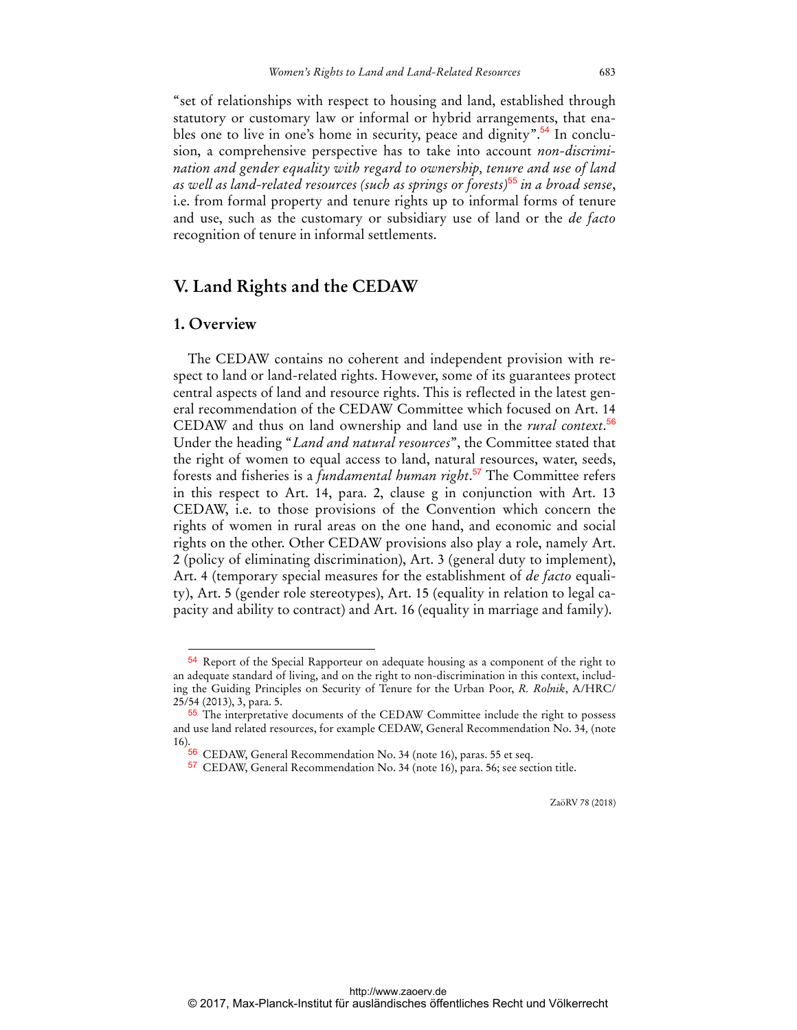"set of relationships with respect to housing and land, established through statutory or customary law or informal or hybrid arrangements, that enables one to live in one's home in security, peace and dignity".<sup>54</sup> In conclusion, a comprehensive perspective has to take into account *non-discrimination and gender equality with regard to ownership, tenure and use of land as well as land-related resources (such as springs or forests)*<sup>55</sup> *in a broad sense*, i.e. from formal property and tenure rights up to informal forms of tenure and use, such as the customary or subsidiary use of land or the *de facto* recognition of tenure in informal settlements.

## **V. Land Rights and the CEDAW**

## **1. Overview**

 $\overline{a}$ 

The CEDAW contains no coherent and independent provision with respect to land or land-related rights. However, some of its guarantees protect central aspects of land and resource rights. This is reflected in the latest general recommendation of the CEDAW Committee which focused on Art. 14 CEDAW and thus on land ownership and land use in the *rural context*. 56 Under the heading "*Land and natural resources*", the Committee stated that the right of women to equal access to land, natural resources, water, seeds, forests and fisheries is a *fundamental human right*. <sup>57</sup> The Committee refers in this respect to Art. 14, para. 2, clause g in conjunction with Art. 13 CEDAW, i.e. to those provisions of the Convention which concern the rights of women in rural areas on the one hand, and economic and social rights on the other. Other CEDAW provisions also play a role, namely Art. 2 (policy of eliminating discrimination), Art. 3 (general duty to implement), Art. 4 (temporary special measures for the establishment of *de facto* equality), Art. 5 (gender role stereotypes), Art. 15 (equality in relation to legal capacity and ability to contract) and Art. 16 (equality in marriage and family).

<sup>54</sup> Report of the Special Rapporteur on adequate housing as a component of the right to an adequate standard of living, and on the right to non-discrimination in this context, including the Guiding Principles on Security of Tenure for the Urban Poor, *R. Rolnik*, A/HRC/ 25/54 (2013), 3, para. 5.

<sup>55</sup> The interpretative documents of the CEDAW Committee include the right to possess and use land related resources, for example CEDAW, General Recommendation No. 34*,* (note 16).

<sup>&</sup>lt;sup>56</sup> CEDAW, General Recommendation No. 34 (note 16), paras. 55 et seq.

<sup>57</sup> CEDAW, General Recommendation No. 34 (note 16), para. 56; see section title.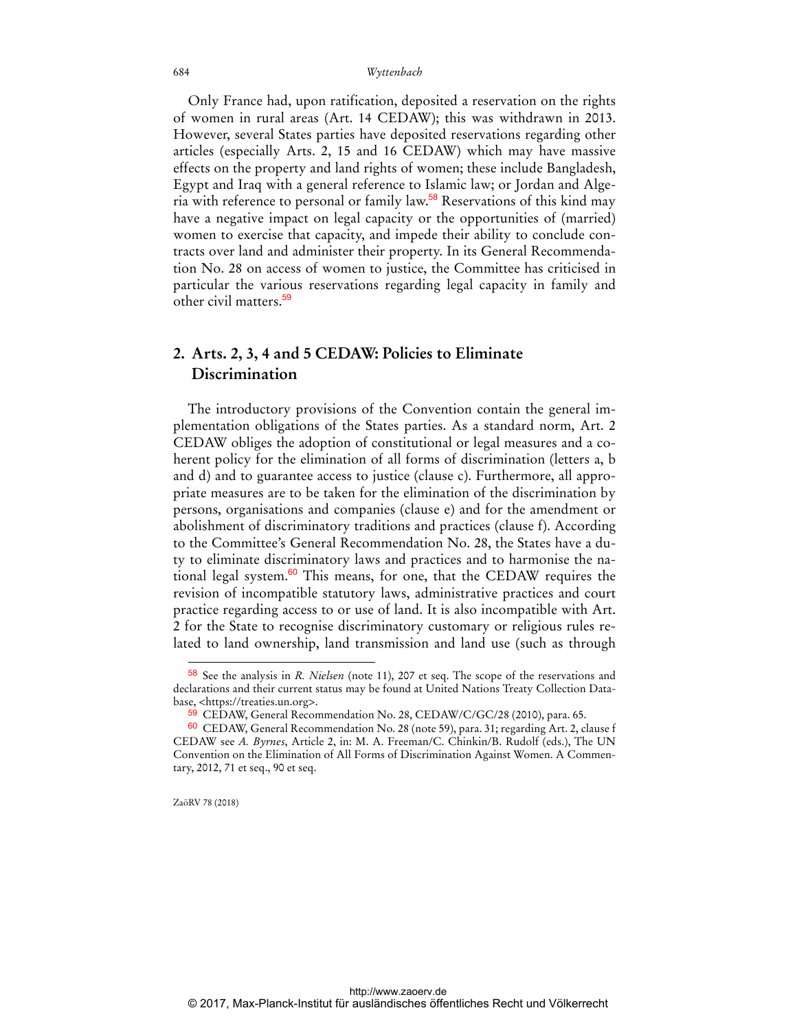Only France had, upon ratification, deposited a reservation on the rights of women in rural areas (Art. 14 CEDAW); this was withdrawn in 2013. However, several States parties have deposited reservations regarding other articles (especially Arts. 2, 15 and 16 CEDAW) which may have massive effects on the property and land rights of women; these include Bangladesh, Egypt and Iraq with a general reference to Islamic law; or Jordan and Algeria with reference to personal or family law.<sup>58</sup> Reservations of this kind may have a negative impact on legal capacity or the opportunities of (married) women to exercise that capacity, and impede their ability to conclude contracts over land and administer their property. In its General Recommendation No. 28 on access of women to justice, the Committee has criticised in particular the various reservations regarding legal capacity in family and other civil matters.<sup>59</sup>

## **2. Arts. 2, 3, 4 and 5 CEDAW: Policies to Eliminate Discrimination**

The introductory provisions of the Convention contain the general implementation obligations of the States parties. As a standard norm, Art. 2 CEDAW obliges the adoption of constitutional or legal measures and a coherent policy for the elimination of all forms of discrimination (letters a, b and d) and to guarantee access to justice (clause c). Furthermore, all appropriate measures are to be taken for the elimination of the discrimination by persons, organisations and companies (clause e) and for the amendment or abolishment of discriminatory traditions and practices (clause f). According to the Committee's General Recommendation No. 28, the States have a duty to eliminate discriminatory laws and practices and to harmonise the national legal system. $60$  This means, for one, that the CEDAW requires the revision of incompatible statutory laws, administrative practices and court practice regarding access to or use of land. It is also incompatible with Art. 2 for the State to recognise discriminatory customary or religious rules related to land ownership, land transmission and land use (such as through

ZaöRV 78 (2018)

<sup>58</sup> See the analysis in *R. Nielsen* (note 11), 207 et seq. The scope of the reservations and declarations and their current status may be found at United Nations Treaty Collection Database, <https://treaties.un.org>.

<sup>59</sup> CEDAW, General Recommendation No. 28, CEDAW/C/GC/28 (2010), para. 65.

<sup>60</sup> CEDAW, General Recommendation No. 28 (note 59), para. 31; regarding Art. 2, clause f CEDAW see *A. Byrnes*, Article 2, in: M. A. Freeman/C. Chinkin/B. Rudolf (eds.), The UN Convention on the Elimination of All Forms of Discrimination Against Women. A Commentary, 2012, 71 et seq., 90 et seq.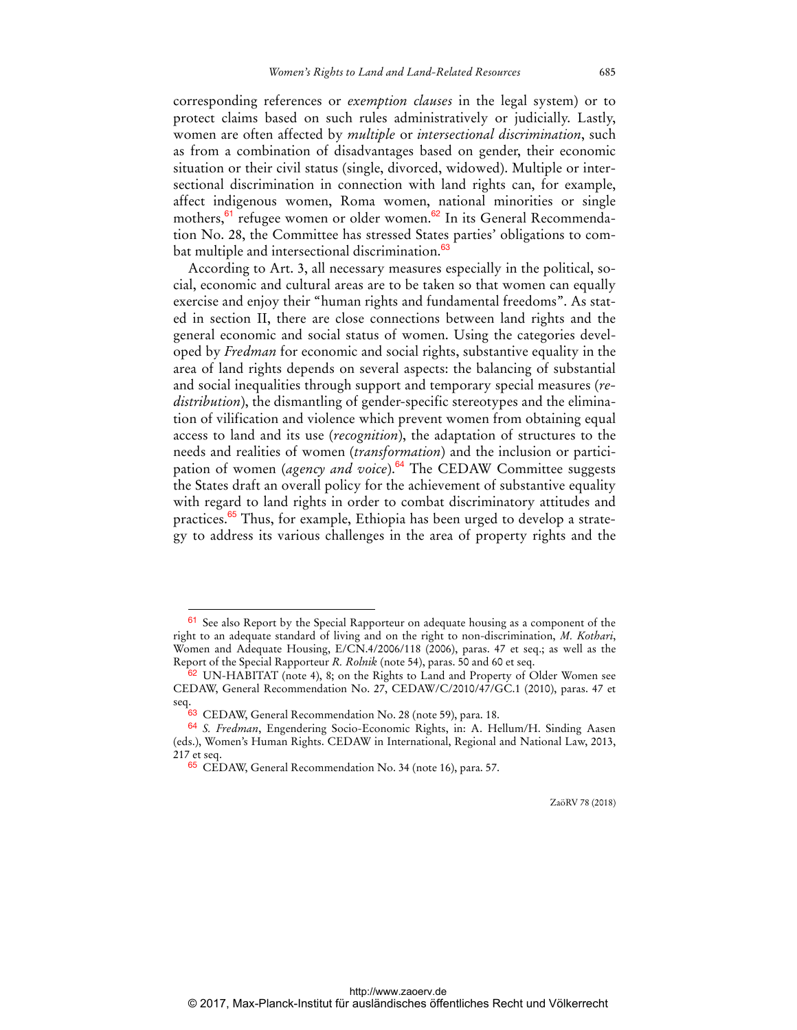corresponding references or *exemption clauses* in the legal system) or to protect claims based on such rules administratively or judicially. Lastly, women are often affected by *multiple* or *intersectional discrimination*, such as from a combination of disadvantages based on gender, their economic situation or their civil status (single, divorced, widowed). Multiple or intersectional discrimination in connection with land rights can, for example, affect indigenous women, Roma women, national minorities or single mothers,<sup>61</sup> refugee women or older women.<sup>62</sup> In its General Recommendation No. 28, the Committee has stressed States parties' obligations to combat multiple and intersectional discrimination.<sup>63</sup>

According to Art. 3, all necessary measures especially in the political, social, economic and cultural areas are to be taken so that women can equally exercise and enjoy their "human rights and fundamental freedoms". As stated in section II, there are close connections between land rights and the general economic and social status of women. Using the categories developed by *Fredman* for economic and social rights, substantive equality in the area of land rights depends on several aspects: the balancing of substantial and social inequalities through support and temporary special measures (*redistribution*), the dismantling of gender-specific stereotypes and the elimination of vilification and violence which prevent women from obtaining equal access to land and its use (*recognition*), the adaptation of structures to the needs and realities of women (*transformation*) and the inclusion or participation of women (*agency and voice*).<sup>64</sup> The CEDAW Committee suggests the States draft an overall policy for the achievement of substantive equality with regard to land rights in order to combat discriminatory attitudes and practices.<sup>65</sup> Thus, for example, Ethiopia has been urged to develop a strategy to address its various challenges in the area of property rights and the

 $\overline{a}$ 

<sup>61</sup> See also Report by the Special Rapporteur on adequate housing as a component of the right to an adequate standard of living and on the right to non-discrimination, *M. Kothari*, Women and Adequate Housing, E/CN.4/2006/118 (2006), paras. 47 et seq.; as well as the Report of the Special Rapporteur *R. Rolnik* (note 54), paras. 50 and 60 et seq.

<sup>62</sup> UN-HABITAT (note 4), 8; on the Rights to Land and Property of Older Women see CEDAW, General Recommendation No. 27, CEDAW/C/2010/47/GC.1 (2010), paras. 47 et seq.

<sup>63</sup> CEDAW, General Recommendation No. 28 (note 59), para. 18.

<sup>64</sup> *S. Fredman*, Engendering Socio-Economic Rights, in: A. Hellum/H. Sinding Aasen (eds.), Women's Human Rights. CEDAW in International, Regional and National Law, 2013, 217 et seq.

<sup>65</sup> CEDAW, General Recommendation No. 34 (note 16), para. 57.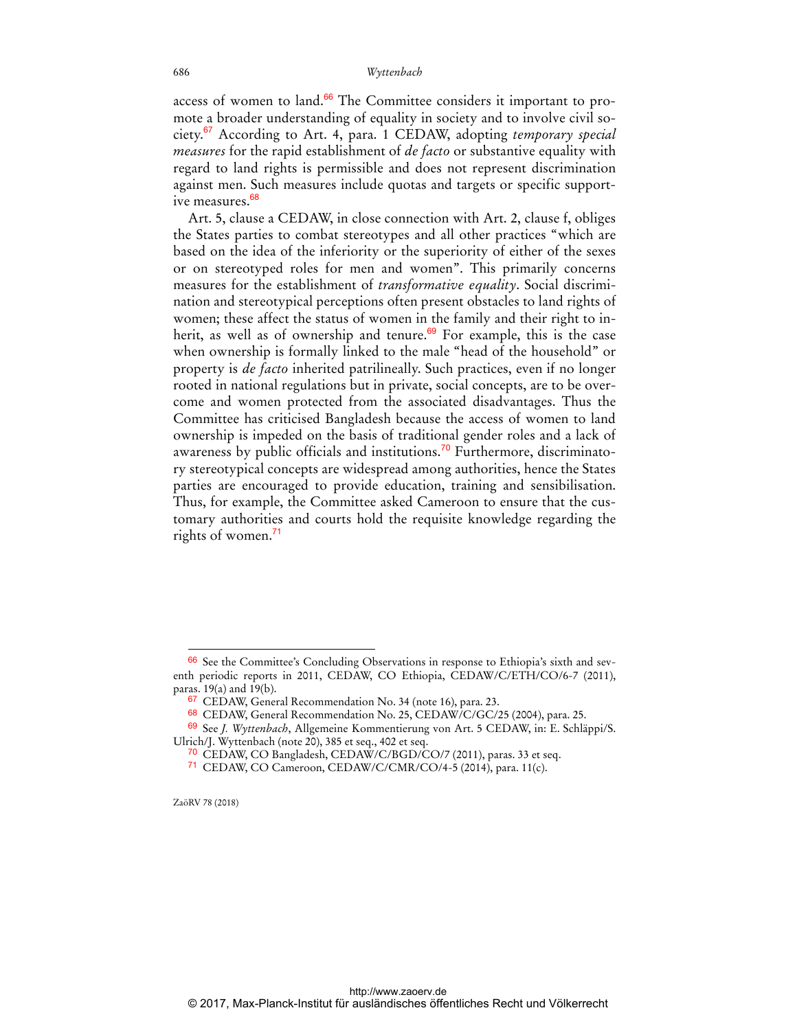access of women to land.<sup>66</sup> The Committee considers it important to promote a broader understanding of equality in society and to involve civil society.<sup>67</sup> According to Art. 4, para. 1 CEDAW, adopting *temporary special measures* for the rapid establishment of *de facto* or substantive equality with regard to land rights is permissible and does not represent discrimination against men. Such measures include quotas and targets or specific supportive measures.<sup>68</sup>

Art. 5, clause a CEDAW, in close connection with Art. 2, clause f, obliges the States parties to combat stereotypes and all other practices "which are based on the idea of the inferiority or the superiority of either of the sexes or on stereotyped roles for men and women". This primarily concerns measures for the establishment of *transformative equality*. Social discrimination and stereotypical perceptions often present obstacles to land rights of women; these affect the status of women in the family and their right to inherit, as well as of ownership and tenure.<sup>69</sup> For example, this is the case when ownership is formally linked to the male "head of the household" or property is *de facto* inherited patrilineally. Such practices, even if no longer rooted in national regulations but in private, social concepts, are to be overcome and women protected from the associated disadvantages. Thus the Committee has criticised Bangladesh because the access of women to land ownership is impeded on the basis of traditional gender roles and a lack of awareness by public officials and institutions.<sup>70</sup> Furthermore, discriminatory stereotypical concepts are widespread among authorities, hence the States parties are encouraged to provide education, training and sensibilisation. Thus, for example, the Committee asked Cameroon to ensure that the customary authorities and courts hold the requisite knowledge regarding the rights of women.<sup>71</sup>

<sup>&</sup>lt;sup>66</sup> See the Committee's Concluding Observations in response to Ethiopia's sixth and seventh periodic reports in 2011, CEDAW, CO Ethiopia, CEDAW/C/ETH/CO/6-7 (2011), paras. 19(a) and 19(b).

<sup>&</sup>lt;sup>67</sup> CEDAW, General Recommendation No. 34 (note 16), para. 23.

<sup>68</sup> CEDAW, General Recommendation No. 25, CEDAW/C/GC/25 (2004), para. 25.

<sup>69</sup> See *J. Wyttenbach*, Allgemeine Kommentierung von Art. 5 CEDAW, in: E. Schläppi/S. Ulrich/J. Wyttenbach (note 20), 385 et seq., 402 et seq.

<sup>70</sup> CEDAW, CO Bangladesh, CEDAW/C/BGD/CO/7 (2011), paras. 33 et seq.

<sup>71</sup> CEDAW, CO Cameroon, CEDAW/C/CMR/CO/4-5 (2014), para. 11(c).

ZaöRV 78 (2018)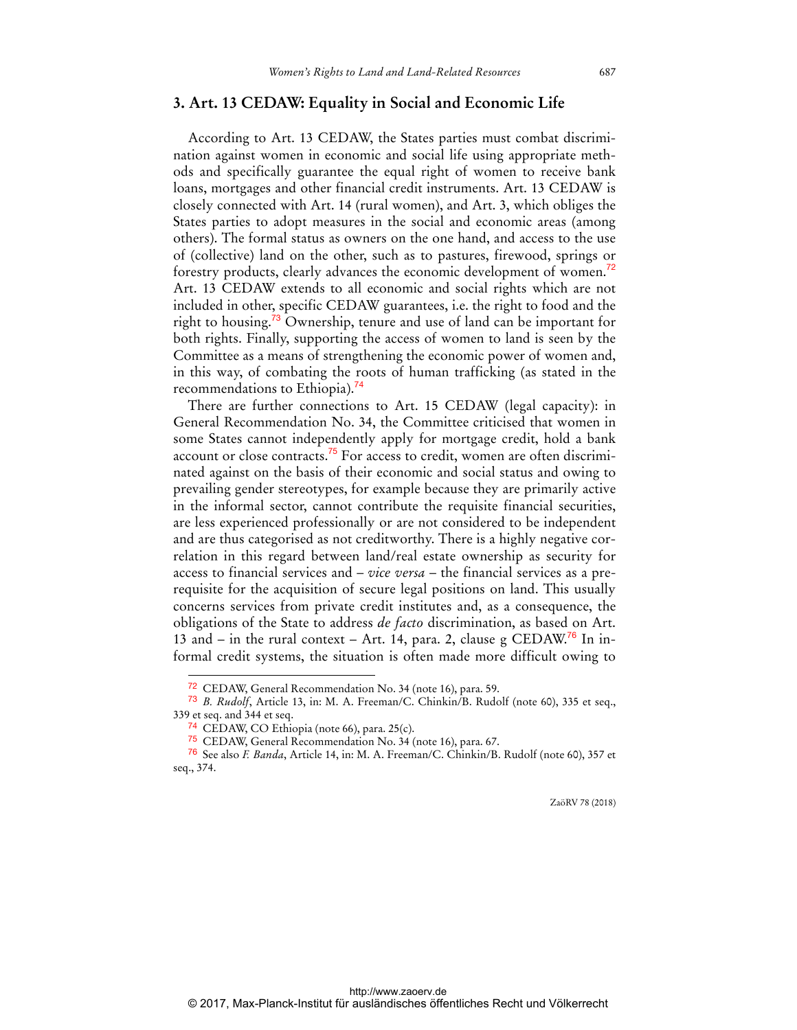### **3. Art. 13 CEDAW: Equality in Social and Economic Life**

According to Art. 13 CEDAW, the States parties must combat discrimination against women in economic and social life using appropriate methods and specifically guarantee the equal right of women to receive bank loans, mortgages and other financial credit instruments. Art. 13 CEDAW is closely connected with Art. 14 (rural women), and Art. 3, which obliges the States parties to adopt measures in the social and economic areas (among others). The formal status as owners on the one hand, and access to the use of (collective) land on the other, such as to pastures, firewood, springs or forestry products, clearly advances the economic development of women.<sup>72</sup> Art. 13 CEDAW extends to all economic and social rights which are not included in other, specific CEDAW guarantees, i.e. the right to food and the right to housing.<sup>73</sup> Ownership, tenure and use of land can be important for both rights. Finally, supporting the access of women to land is seen by the Committee as a means of strengthening the economic power of women and, in this way, of combating the roots of human trafficking (as stated in the recommendations to Ethiopia).<sup>74</sup>

There are further connections to Art. 15 CEDAW (legal capacity): in General Recommendation No. 34, the Committee criticised that women in some States cannot independently apply for mortgage credit, hold a bank account or close contracts.<sup>75</sup> For access to credit, women are often discriminated against on the basis of their economic and social status and owing to prevailing gender stereotypes, for example because they are primarily active in the informal sector, cannot contribute the requisite financial securities, are less experienced professionally or are not considered to be independent and are thus categorised as not creditworthy. There is a highly negative correlation in this regard between land/real estate ownership as security for access to financial services and – *vice versa* – the financial services as a prerequisite for the acquisition of secure legal positions on land. This usually concerns services from private credit institutes and, as a consequence, the obligations of the State to address *de facto* discrimination, as based on Art. 13 and – in the rural context – Art. 14, para. 2, clause g CEDAW.<sup>76</sup> In informal credit systems, the situation is often made more difficult owing to

 $\overline{a}$ 

<sup>72</sup> CEDAW, General Recommendation No. 34 (note 16), para. 59.

<sup>73</sup> *B. Rudolf*, Article 13, in: M. A. Freeman/C. Chinkin/B. Rudolf (note 60), 335 et seq., 339 et seq. and 344 et seq.

<sup>74</sup> CEDAW, CO Ethiopia (note 66), para. 25(c).

<sup>75</sup> CEDAW, General Recommendation No. 34 (note 16), para. 67.

<sup>76</sup> See also *F. Banda*, Article 14, in: M. A. Freeman/C. Chinkin/B. Rudolf (note 60), 357 et seq., 374.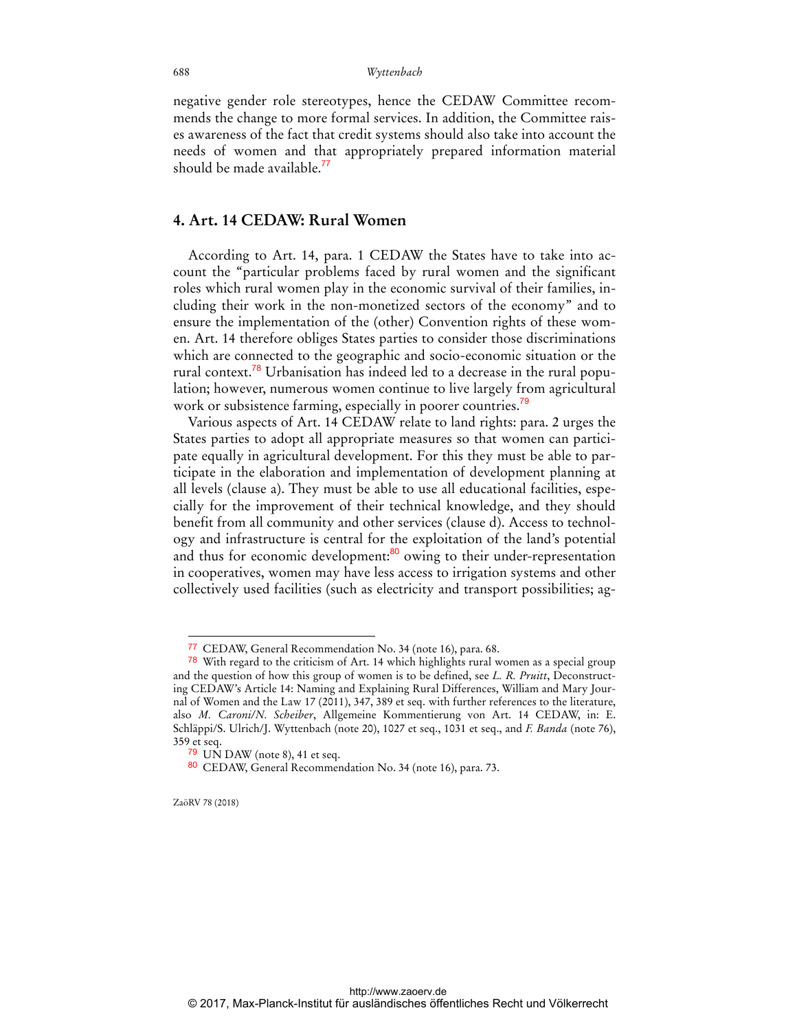negative gender role stereotypes, hence the CEDAW Committee recommends the change to more formal services. In addition, the Committee raises awareness of the fact that credit systems should also take into account the needs of women and that appropriately prepared information material should be made available.<sup>11</sup>

### **4. Art. 14 CEDAW: Rural Women**

According to Art. 14, para. 1 CEDAW the States have to take into account the "particular problems faced by rural women and the significant roles which rural women play in the economic survival of their families, including their work in the non-monetized sectors of the economy" and to ensure the implementation of the (other) Convention rights of these women. Art. 14 therefore obliges States parties to consider those discriminations which are connected to the geographic and socio-economic situation or the rural context.<sup>78</sup> Urbanisation has indeed led to a decrease in the rural population; however, numerous women continue to live largely from agricultural work or subsistence farming, especially in poorer countries.<sup>79</sup>

Various aspects of Art. 14 CEDAW relate to land rights: para. 2 urges the States parties to adopt all appropriate measures so that women can participate equally in agricultural development. For this they must be able to participate in the elaboration and implementation of development planning at all levels (clause a). They must be able to use all educational facilities, especially for the improvement of their technical knowledge, and they should benefit from all community and other services (clause d). Access to technology and infrastructure is central for the exploitation of the land's potential and thus for economic development:<sup>80</sup> owing to their under-representation in cooperatives, women may have less access to irrigation systems and other collectively used facilities (such as electricity and transport possibilities; ag-

<sup>77</sup> CEDAW, General Recommendation No. 34 (note 16), para. 68.

 $78$  With regard to the criticism of Art. 14 which highlights rural women as a special group and the question of how this group of women is to be defined, see *L. R. Pruitt*, Deconstructing CEDAW's Article 14: Naming and Explaining Rural Differences, William and Mary Journal of Women and the Law 17 (2011), 347, 389 et seq. with further references to the literature, also *M. Caroni/N. Scheiber*, Allgemeine Kommentierung von Art. 14 CEDAW, in: E. Schläppi/S. Ulrich/J. Wyttenbach (note 20), 1027 et seq., 1031 et seq., and *F. Banda* (note 76), 359 et seq.

<sup>79</sup> UN DAW (note 8), 41 et seq.

<sup>80</sup> CEDAW, General Recommendation No. 34 (note 16), para. 73.

ZaöRV 78 (2018)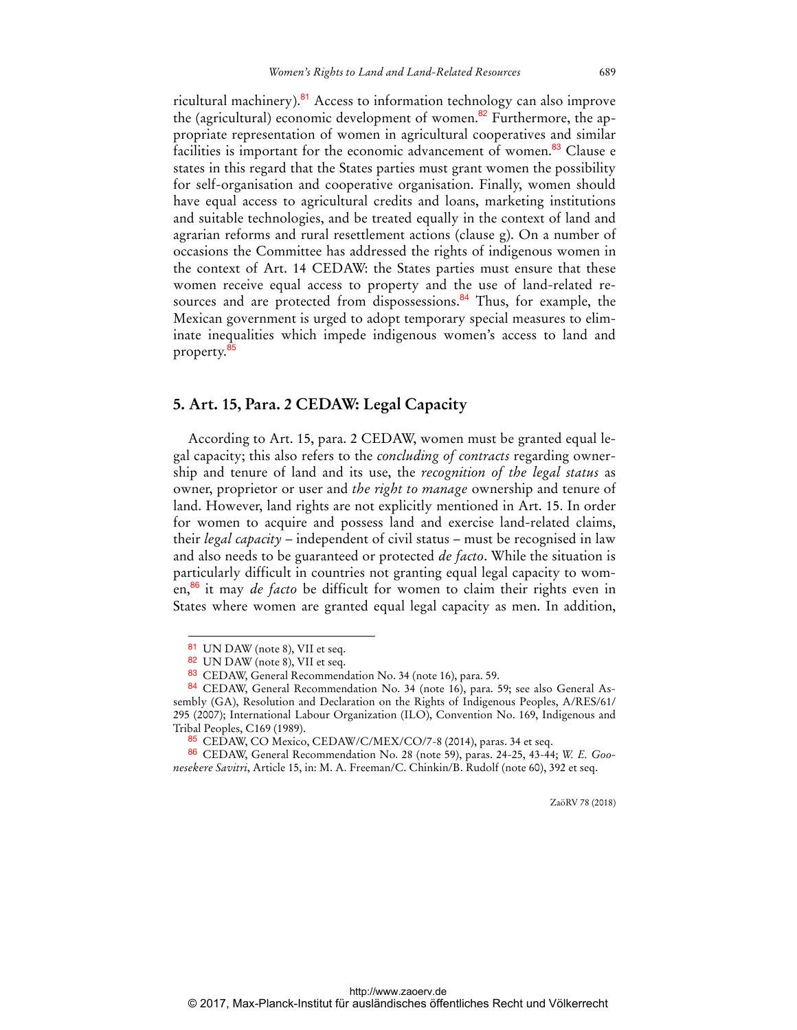ricultural machinery).<sup>81</sup> Access to information technology can also improve the (agricultural) economic development of women.<sup>82</sup> Furthermore, the appropriate representation of women in agricultural cooperatives and similar facilities is important for the economic advancement of women.<sup>83</sup> Clause e states in this regard that the States parties must grant women the possibility for self-organisation and cooperative organisation. Finally, women should have equal access to agricultural credits and loans, marketing institutions and suitable technologies, and be treated equally in the context of land and agrarian reforms and rural resettlement actions (clause g). On a number of occasions the Committee has addressed the rights of indigenous women in the context of Art. 14 CEDAW: the States parties must ensure that these women receive equal access to property and the use of land-related resources and are protected from dispossessions.<sup>84</sup> Thus, for example, the Mexican government is urged to adopt temporary special measures to eliminate inequalities which impede indigenous women's access to land and property.<sup>85</sup>

## **5. Art. 15, Para. 2 CEDAW: Legal Capacity**

According to Art. 15, para. 2 CEDAW, women must be granted equal legal capacity; this also refers to the *concluding of contracts* regarding ownership and tenure of land and its use, the *recognition of the legal status* as owner, proprietor or user and *the right to manage* ownership and tenure of land. However, land rights are not explicitly mentioned in Art. 15. In order for women to acquire and possess land and exercise land-related claims, their *legal capacity* – independent of civil status – must be recognised in law and also needs to be guaranteed or protected *de facto*. While the situation is particularly difficult in countries not granting equal legal capacity to women,<sup>86</sup> it may *de facto* be difficult for women to claim their rights even in States where women are granted equal legal capacity as men. In addition,

 $\overline{a}$ 

<sup>81</sup> UN DAW (note 8), VII et seq.

<sup>82</sup> UN DAW (note 8), VII et seq.

<sup>83</sup> CEDAW, General Recommendation No. 34 (note 16), para. 59.

<sup>84</sup> CEDAW, General Recommendation No. 34 (note 16), para. 59; see also General Assembly (GA), Resolution and Declaration on the Rights of Indigenous Peoples, A/RES/61/ 295 (2007); International Labour Organization (ILO), Convention No. 169, Indigenous and Tribal Peoples, C169 (1989).

<sup>85</sup> CEDAW, CO Mexico, CEDAW/C/MEX/CO/7-8 (2014), paras. 34 et seq.

<sup>86</sup> CEDAW, General Recommendation No. 28 (note 59), paras. 24-25, 43-44; *W. E. Goonesekere Savitri*, Article 15, in: M. A. Freeman/C. Chinkin/B. Rudolf (note 60), 392 et seq.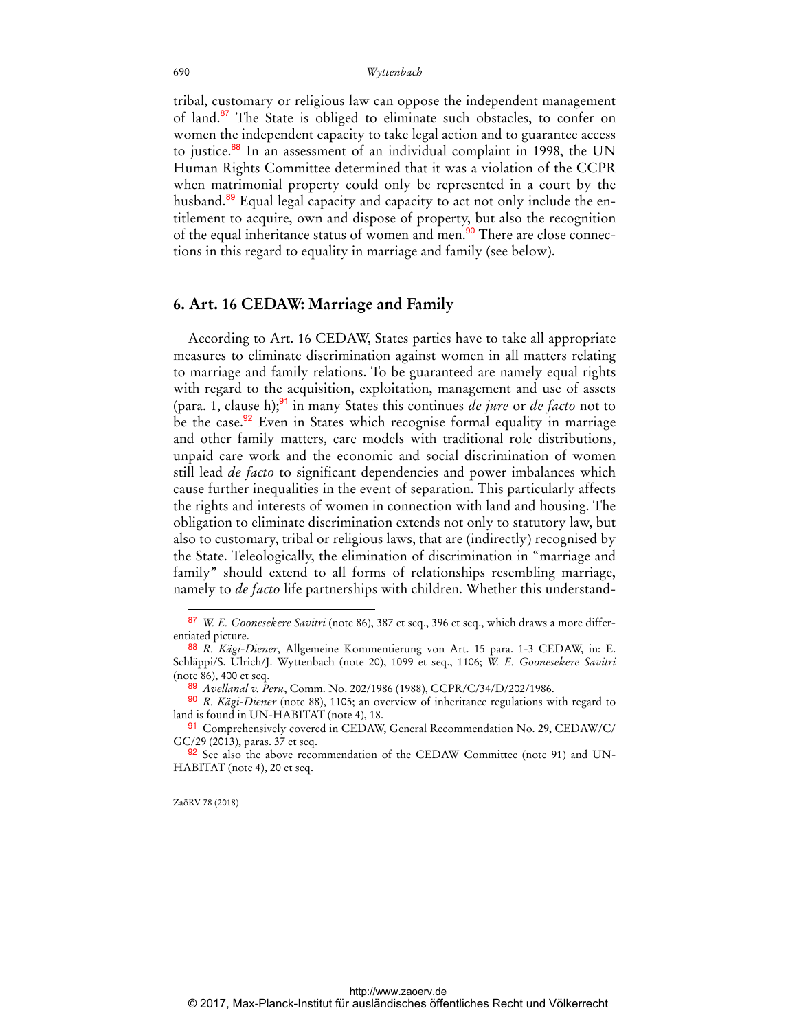tribal, customary or religious law can oppose the independent management of land.<sup>87</sup> The State is obliged to eliminate such obstacles, to confer on women the independent capacity to take legal action and to guarantee access to justice.<sup>88</sup> In an assessment of an individual complaint in 1998, the UN Human Rights Committee determined that it was a violation of the CCPR when matrimonial property could only be represented in a court by the husband.<sup>89</sup> Equal legal capacity and capacity to act not only include the entitlement to acquire, own and dispose of property, but also the recognition of the equal inheritance status of women and men.<sup>90</sup> There are close connections in this regard to equality in marriage and family (see below).

### **6. Art. 16 CEDAW: Marriage and Family**

According to Art. 16 CEDAW, States parties have to take all appropriate measures to eliminate discrimination against women in all matters relating to marriage and family relations. To be guaranteed are namely equal rights with regard to the acquisition, exploitation, management and use of assets (para. 1, clause h);<sup>91</sup> in many States this continues *de jure* or *de facto* not to be the case.<sup>92</sup> Even in States which recognise formal equality in marriage and other family matters, care models with traditional role distributions, unpaid care work and the economic and social discrimination of women still lead *de facto* to significant dependencies and power imbalances which cause further inequalities in the event of separation. This particularly affects the rights and interests of women in connection with land and housing. The obligation to eliminate discrimination extends not only to statutory law, but also to customary, tribal or religious laws, that are (indirectly) recognised by the State. Teleologically, the elimination of discrimination in "marriage and family" should extend to all forms of relationships resembling marriage, namely to *de facto* life partnerships with children. Whether this understand-

ZaöRV 78 (2018)

<sup>87</sup> *W. E. Goonesekere Savitri* (note 86), 387 et seq., 396 et seq., which draws a more differentiated picture.

<sup>88</sup> *R. Kägi-Diener*, Allgemeine Kommentierung von Art. 15 para. 1-3 CEDAW, in: E. Schläppi/S. Ulrich/J. Wyttenbach (note 20), 1099 et seq., 1106; *W. E. Goonesekere Savitri* (note 86), 400 et seq.

<sup>89</sup> *Avellanal v. Peru*, Comm. No. 202/1986 (1988), CCPR/C/34/D/202/1986.

<sup>90</sup> *R. Kägi-Diener* (note 88), 1105; an overview of inheritance regulations with regard to land is found in UN-HABITAT (note 4), 18.

<sup>&</sup>lt;sup>91</sup> Comprehensively covered in CEDAW, General Recommendation No. 29, CEDAW/C/ GC/29 (2013), paras. 37 et seq.

 $92$  See also the above recommendation of the CEDAW Committee (note 91) and UN-HABITAT (note 4), 20 et seq.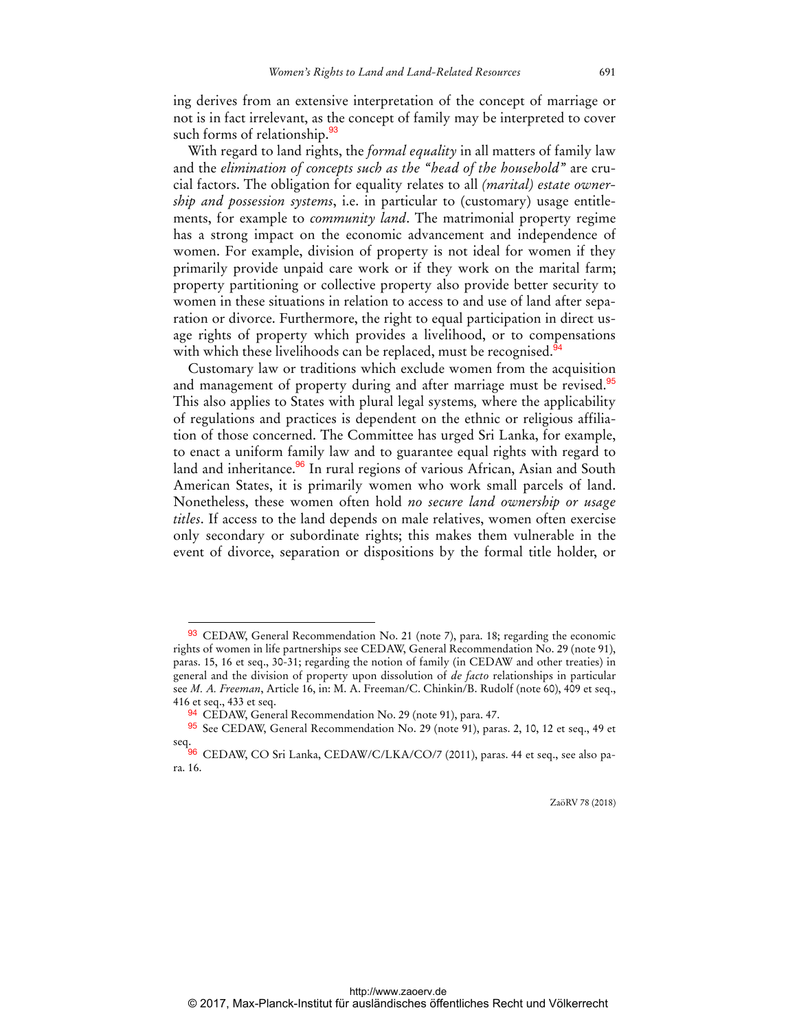ing derives from an extensive interpretation of the concept of marriage or not is in fact irrelevant, as the concept of family may be interpreted to cover such forms of relationship.<sup>93</sup>

With regard to land rights, the *formal equality* in all matters of family law and the *elimination of concepts such as the "head of the household"* are crucial factors. The obligation for equality relates to all *(marital) estate ownership and possession systems*, i.e. in particular to (customary) usage entitlements, for example to *community land*. The matrimonial property regime has a strong impact on the economic advancement and independence of women. For example, division of property is not ideal for women if they primarily provide unpaid care work or if they work on the marital farm; property partitioning or collective property also provide better security to women in these situations in relation to access to and use of land after separation or divorce. Furthermore, the right to equal participation in direct usage rights of property which provides a livelihood, or to compensations with which these livelihoods can be replaced, must be recognised.<sup>94</sup>

Customary law or traditions which exclude women from the acquisition and management of property during and after marriage must be revised.<sup>95</sup> This also applies to States with plural legal systems*,* where the applicability of regulations and practices is dependent on the ethnic or religious affiliation of those concerned. The Committee has urged Sri Lanka, for example, to enact a uniform family law and to guarantee equal rights with regard to land and inheritance.<sup>96</sup> In rural regions of various African, Asian and South American States, it is primarily women who work small parcels of land. Nonetheless, these women often hold *no secure land ownership or usage titles*. If access to the land depends on male relatives, women often exercise only secondary or subordinate rights; this makes them vulnerable in the event of divorce, separation or dispositions by the formal title holder, or

 $\overline{a}$ 

<sup>93</sup> CEDAW, General Recommendation No. 21 (note 7), para. 18; regarding the economic rights of women in life partnerships see CEDAW, General Recommendation No. 29 (note 91), paras. 15, 16 et seq., 30-31; regarding the notion of family (in CEDAW and other treaties) in general and the division of property upon dissolution of *de facto* relationships in particular see *M. A. Freeman*, Article 16, in: M. A. Freeman/C. Chinkin/B. Rudolf (note 60), 409 et seq., 416 et seq., 433 et seq.

<sup>94</sup> CEDAW, General Recommendation No. 29 (note 91), para. 47.

<sup>95</sup> See CEDAW, General Recommendation No. 29 (note 91), paras. 2, 10, 12 et seq., 49 et seq.

<sup>96</sup> CEDAW, CO Sri Lanka, CEDAW/C/LKA/CO/7 (2011), paras. 44 et seq., see also para. 16.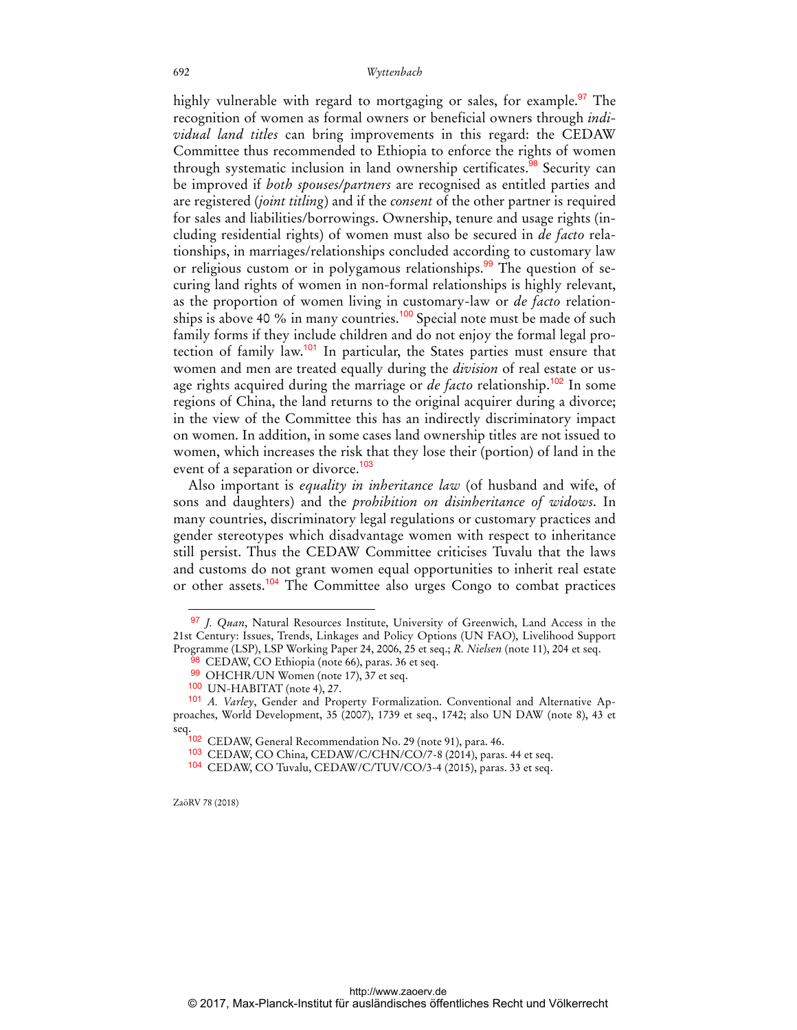highly vulnerable with regard to mortgaging or sales, for example.<sup>97</sup> The recognition of women as formal owners or beneficial owners through *individual land titles* can bring improvements in this regard: the CEDAW Committee thus recommended to Ethiopia to enforce the rights of women through systematic inclusion in land ownership certificates.<sup>98</sup> Security can be improved if *both spouses/partners* are recognised as entitled parties and are registered (*joint titling*) and if the *consent* of the other partner is required for sales and liabilities/borrowings. Ownership, tenure and usage rights (including residential rights) of women must also be secured in *de facto* relationships, in marriages/relationships concluded according to customary law or religious custom or in polygamous relationships.<sup>99</sup> The question of securing land rights of women in non-formal relationships is highly relevant, as the proportion of women living in customary-law or *de facto* relationships is above 40 % in many countries.<sup>100</sup> Special note must be made of such family forms if they include children and do not enjoy the formal legal protection of family law.<sup>101</sup> In particular, the States parties must ensure that women and men are treated equally during the *division* of real estate or usage rights acquired during the marriage or *de facto* relationship.<sup>102</sup> In some regions of China, the land returns to the original acquirer during a divorce; in the view of the Committee this has an indirectly discriminatory impact on women. In addition, in some cases land ownership titles are not issued to women, which increases the risk that they lose their (portion) of land in the event of a separation or divorce.<sup>103</sup>

Also important is *equality in inheritance law* (of husband and wife, of sons and daughters) and the *prohibition on disinheritance of widows*. In many countries, discriminatory legal regulations or customary practices and gender stereotypes which disadvantage women with respect to inheritance still persist. Thus the CEDAW Committee criticises Tuvalu that the laws and customs do not grant women equal opportunities to inherit real estate or other assets.<sup>104</sup> The Committee also urges Congo to combat practices

ZaöRV 78 (2018)

<sup>97</sup> *J. Quan*, Natural Resources Institute, University of Greenwich, Land Access in the 21st Century: Issues, Trends, Linkages and Policy Options (UN FAO), Livelihood Support Programme (LSP), LSP Working Paper 24, 2006, 25 et seq.; *R. Nielsen* (note 11), 204 et seq.

<sup>98</sup> CEDAW, CO Ethiopia (note 66), paras. 36 et seq.

<sup>99</sup> OHCHR/UN Women (note 17), 37 et seq.

<sup>100</sup> UN-HABITAT (note 4), 27.

<sup>101</sup> *A. Varley*, Gender and Property Formalization. Conventional and Alternative Approaches, World Development, 35 (2007), 1739 et seq., 1742; also UN DAW (note 8), 43 et seq.

<sup>&</sup>lt;sup>102</sup> CEDAW, General Recommendation No. 29 (note 91), para. 46.

<sup>103</sup> CEDAW, CO China, CEDAW/C/CHN/CO/7-8 (2014), paras. 44 et seq.

<sup>104</sup> CEDAW, CO Tuvalu, CEDAW/C/TUV/CO/3-4 (2015), paras. 33 et seq.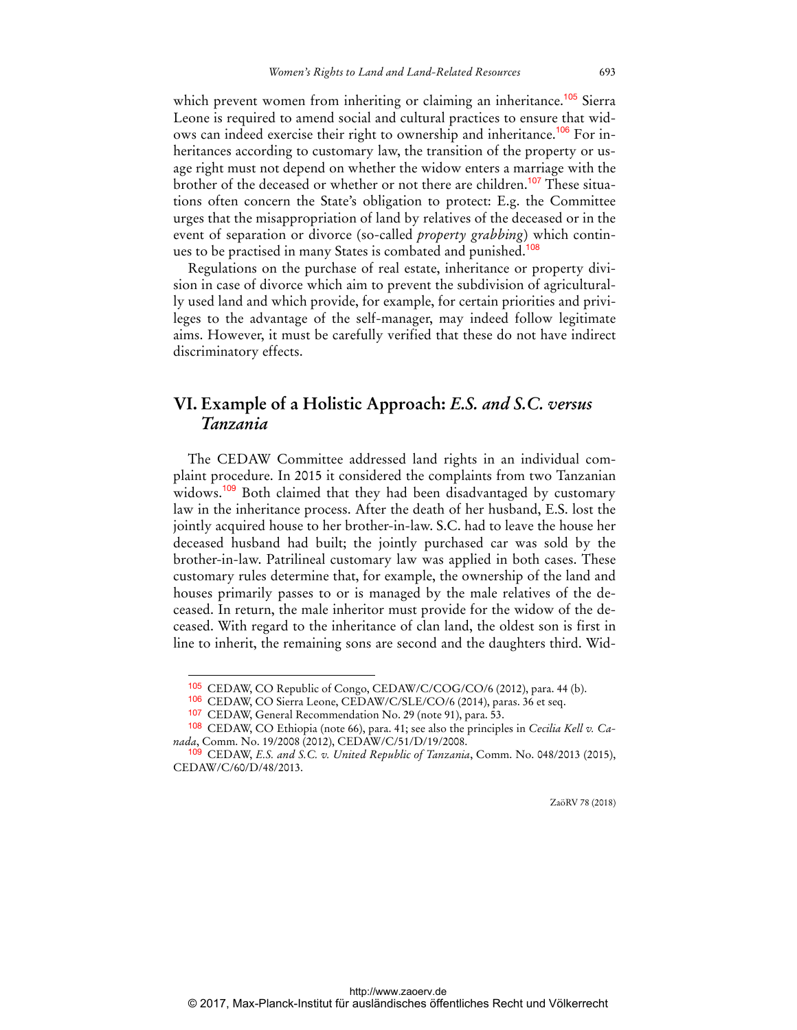which prevent women from inheriting or claiming an inheritance.<sup>105</sup> Sierra Leone is required to amend social and cultural practices to ensure that widows can indeed exercise their right to ownership and inheritance.<sup>106</sup> For inheritances according to customary law, the transition of the property or usage right must not depend on whether the widow enters a marriage with the brother of the deceased or whether or not there are children.<sup>107</sup> These situations often concern the State's obligation to protect: E.g. the Committee urges that the misappropriation of land by relatives of the deceased or in the event of separation or divorce (so-called *property grabbing*) which continues to be practised in many States is combated and punished.<sup>108</sup>

Regulations on the purchase of real estate, inheritance or property division in case of divorce which aim to prevent the subdivision of agriculturally used land and which provide, for example, for certain priorities and privileges to the advantage of the self-manager, may indeed follow legitimate aims. However, it must be carefully verified that these do not have indirect discriminatory effects.

## **VI. Example of a Holistic Approach:** *E.S. and S.C. versus Tanzania*

The CEDAW Committee addressed land rights in an individual complaint procedure. In 2015 it considered the complaints from two Tanzanian widows.<sup>109</sup> Both claimed that they had been disadvantaged by customary law in the inheritance process. After the death of her husband, E.S. lost the jointly acquired house to her brother-in-law. S.C. had to leave the house her deceased husband had built; the jointly purchased car was sold by the brother-in-law. Patrilineal customary law was applied in both cases. These customary rules determine that, for example, the ownership of the land and houses primarily passes to or is managed by the male relatives of the deceased. In return, the male inheritor must provide for the widow of the deceased. With regard to the inheritance of clan land, the oldest son is first in line to inherit, the remaining sons are second and the daughters third. Wid-

 $\overline{a}$ 

<sup>105</sup> CEDAW, CO Republic of Congo, CEDAW/C/COG/CO/6 (2012), para. 44 (b).

<sup>106</sup> CEDAW, CO Sierra Leone, CEDAW/C/SLE/CO/6 (2014), paras. 36 et seq.

<sup>&</sup>lt;sup>107</sup> CEDAW, General Recommendation No. 29 (note 91), para. 53.

<sup>108</sup> CEDAW, CO Ethiopia (note 66), para. 41; see also the principles in *Cecilia Kell v. Canada*, Comm. No. 19/2008 (2012), CEDAW/C/51/D/19/2008.

<sup>109</sup> CEDAW, *E.S. and S.C. v. United Republic of Tanzania*, Comm. No. 048/2013 (2015), CEDAW/C/60/D/48/2013.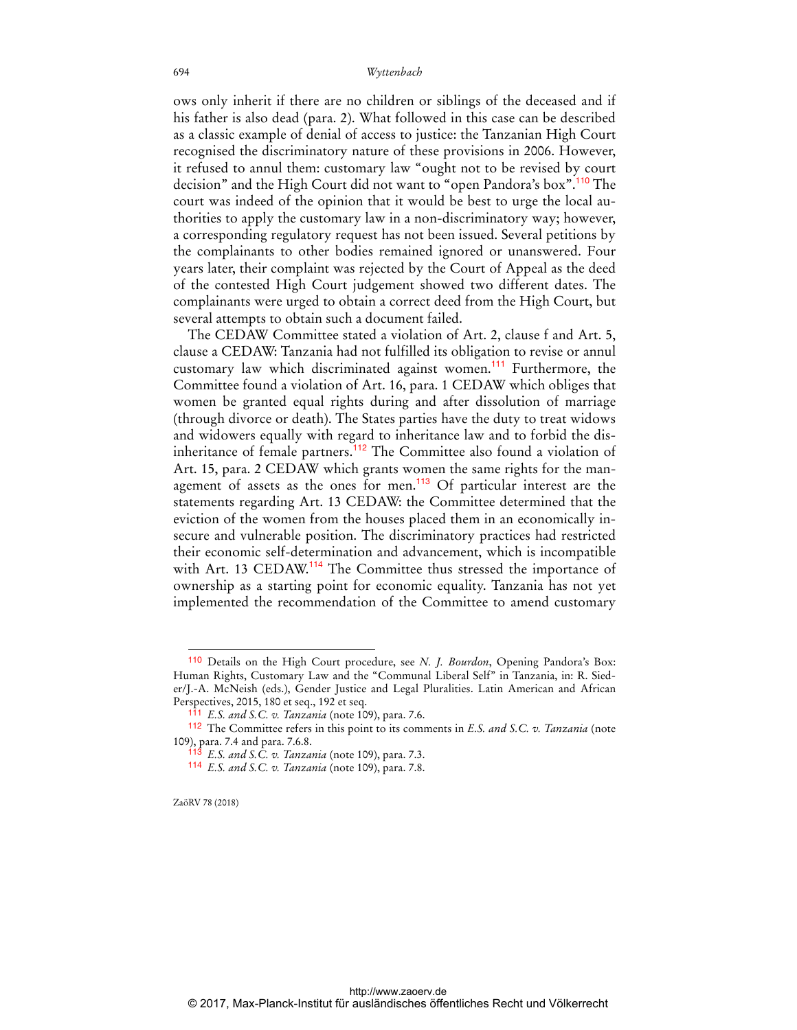ows only inherit if there are no children or siblings of the deceased and if his father is also dead (para. 2). What followed in this case can be described as a classic example of denial of access to justice: the Tanzanian High Court recognised the discriminatory nature of these provisions in 2006. However, it refused to annul them: customary law "ought not to be revised by court decision" and the High Court did not want to "open Pandora's box".<sup>110</sup> The court was indeed of the opinion that it would be best to urge the local authorities to apply the customary law in a non-discriminatory way; however, a corresponding regulatory request has not been issued. Several petitions by the complainants to other bodies remained ignored or unanswered. Four years later, their complaint was rejected by the Court of Appeal as the deed of the contested High Court judgement showed two different dates. The complainants were urged to obtain a correct deed from the High Court, but several attempts to obtain such a document failed.

The CEDAW Committee stated a violation of Art. 2, clause f and Art. 5, clause a CEDAW: Tanzania had not fulfilled its obligation to revise or annul customary law which discriminated against women.<sup>111</sup> Furthermore, the Committee found a violation of Art. 16, para. 1 CEDAW which obliges that women be granted equal rights during and after dissolution of marriage (through divorce or death). The States parties have the duty to treat widows and widowers equally with regard to inheritance law and to forbid the disinheritance of female partners.<sup>112</sup> The Committee also found a violation of Art. 15, para. 2 CEDAW which grants women the same rights for the management of assets as the ones for men.<sup>113</sup> Of particular interest are the statements regarding Art. 13 CEDAW: the Committee determined that the eviction of the women from the houses placed them in an economically insecure and vulnerable position. The discriminatory practices had restricted their economic self-determination and advancement, which is incompatible with Art. 13 CEDAW.<sup>114</sup> The Committee thus stressed the importance of ownership as a starting point for economic equality. Tanzania has not yet implemented the recommendation of the Committee to amend customary

ZaöRV 78 (2018)

<sup>110</sup> Details on the High Court procedure, see *N. J. Bourdon*, Opening Pandora's Box: Human Rights, Customary Law and the "Communal Liberal Self" in Tanzania, in: R. Sieder/J.-A. McNeish (eds.), Gender Justice and Legal Pluralities. Latin American and African Perspectives, 2015, 180 et seq., 192 et seq.

<sup>111</sup> *E.S. and S.C. v. Tanzania* (note 109), para. 7.6.

<sup>112</sup> The Committee refers in this point to its comments in *E.S. and S.C. v. Tanzania* (note 109), para. 7.4 and para. 7.6.8.

<sup>113</sup> *E.S. and S.C. v. Tanzania* (note 109), para. 7.3.

<sup>114</sup> *E.S. and S.C. v. Tanzania* (note 109), para. 7.8.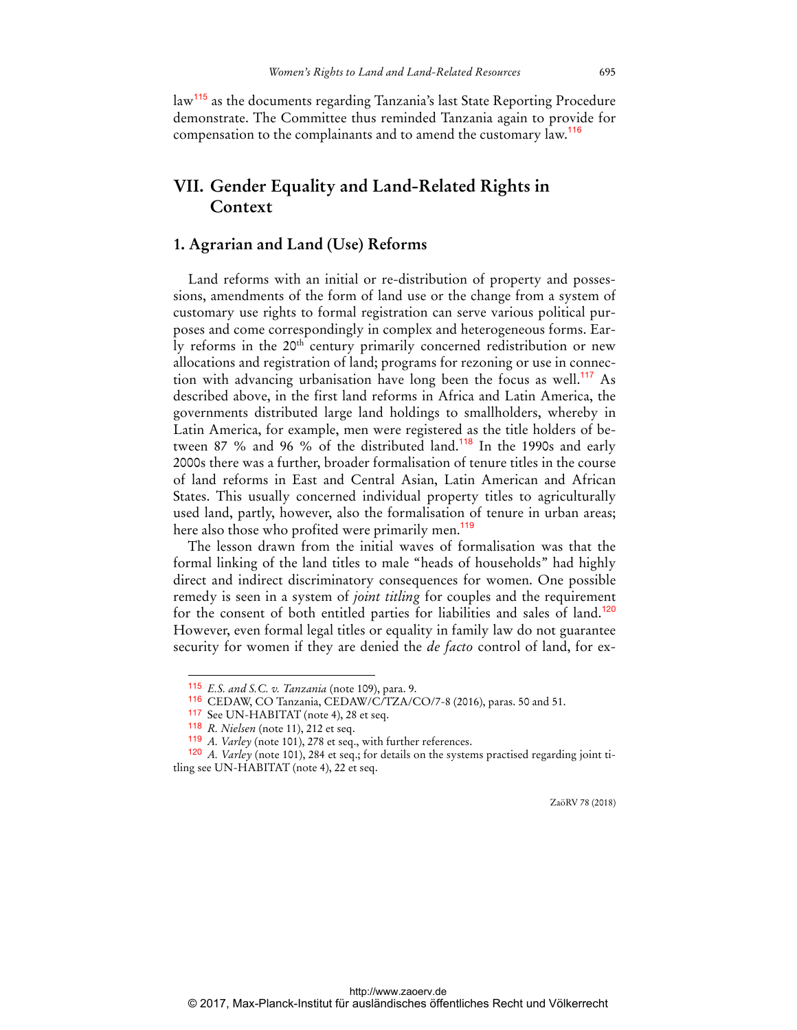law<sup>115</sup> as the documents regarding Tanzania's last State Reporting Procedure demonstrate. The Committee thus reminded Tanzania again to provide for compensation to the complainants and to amend the customary law.<sup>116</sup>

## **VII. Gender Equality and Land-Related Rights in Context**

## **1. Agrarian and Land (Use) Reforms**

Land reforms with an initial or re-distribution of property and possessions, amendments of the form of land use or the change from a system of customary use rights to formal registration can serve various political purposes and come correspondingly in complex and heterogeneous forms. Early reforms in the 20<sup>th</sup> century primarily concerned redistribution or new allocations and registration of land; programs for rezoning or use in connection with advancing urbanisation have long been the focus as well.<sup>117</sup> As described above, in the first land reforms in Africa and Latin America, the governments distributed large land holdings to smallholders, whereby in Latin America, for example, men were registered as the title holders of between 87 % and 96 % of the distributed land.<sup>118</sup> In the 1990s and early 2000s there was a further, broader formalisation of tenure titles in the course of land reforms in East and Central Asian, Latin American and African States. This usually concerned individual property titles to agriculturally used land, partly, however, also the formalisation of tenure in urban areas; here also those who profited were primarily men.<sup>119</sup>

The lesson drawn from the initial waves of formalisation was that the formal linking of the land titles to male "heads of households" had highly direct and indirect discriminatory consequences for women. One possible remedy is seen in a system of *joint titling* for couples and the requirement for the consent of both entitled parties for liabilities and sales of land.<sup>120</sup> However, even formal legal titles or equality in family law do not guarantee security for women if they are denied the *de facto* control of land, for ex-

 $\overline{a}$ 

<sup>115</sup> *E.S. and S.C. v. Tanzania* (note 109), para. 9.

<sup>116</sup> CEDAW, CO Tanzania, CEDAW/C/TZA/CO/7-8 (2016), paras. 50 and 51.

<sup>117</sup> See UN-HABITAT (note 4), 28 et seq.

<sup>118</sup> *R. Nielsen* (note 11), 212 et seq.

<sup>119</sup> *A. Varley* (note 101), 278 et seq., with further references.

<sup>120</sup> *A. Varley* (note 101), 284 et seq.; for details on the systems practised regarding joint titling see UN-HABITAT (note 4), 22 et seq.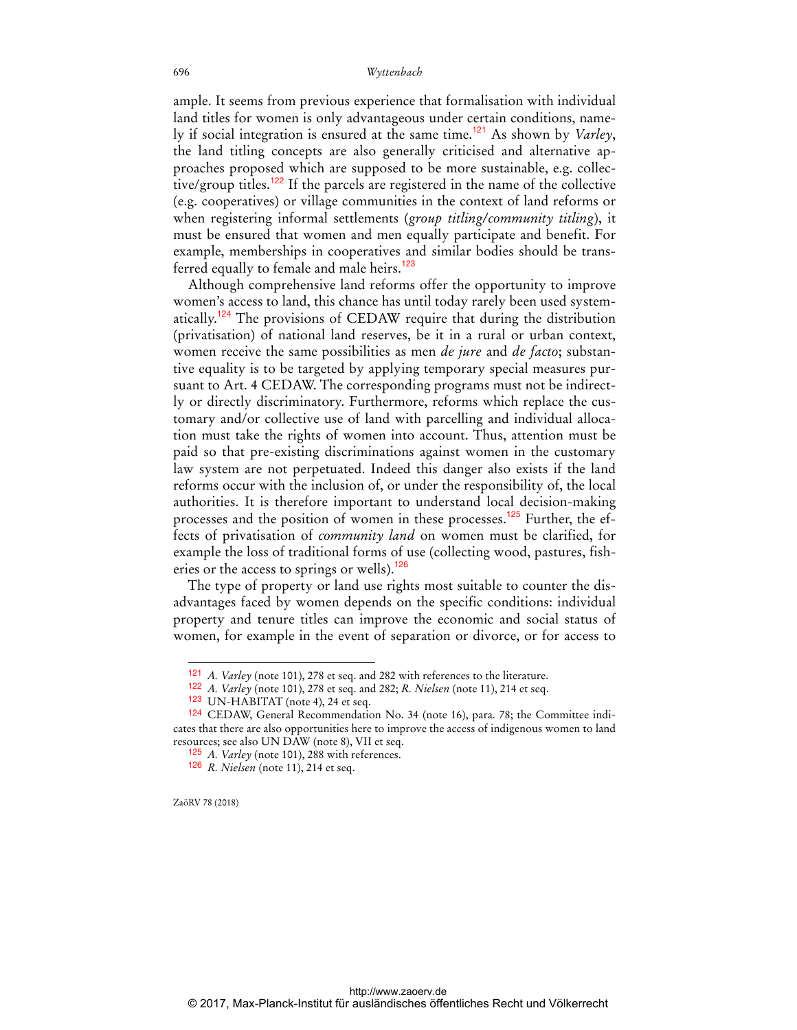ample. It seems from previous experience that formalisation with individual land titles for women is only advantageous under certain conditions, namely if social integration is ensured at the same time.<sup>121</sup> As shown by *Varley*, the land titling concepts are also generally criticised and alternative approaches proposed which are supposed to be more sustainable, e.g. collective/group titles.<sup>122</sup> If the parcels are registered in the name of the collective (e.g. cooperatives) or village communities in the context of land reforms or when registering informal settlements (*group titling/community titling*), it must be ensured that women and men equally participate and benefit. For example, memberships in cooperatives and similar bodies should be transferred equally to female and male heirs.<sup>123</sup>

Although comprehensive land reforms offer the opportunity to improve women's access to land, this chance has until today rarely been used systematically.<sup>124</sup> The provisions of CEDAW require that during the distribution (privatisation) of national land reserves, be it in a rural or urban context, women receive the same possibilities as men *de jure* and *de facto*; substantive equality is to be targeted by applying temporary special measures pursuant to Art. 4 CEDAW. The corresponding programs must not be indirectly or directly discriminatory. Furthermore, reforms which replace the customary and/or collective use of land with parcelling and individual allocation must take the rights of women into account. Thus, attention must be paid so that pre-existing discriminations against women in the customary law system are not perpetuated. Indeed this danger also exists if the land reforms occur with the inclusion of, or under the responsibility of, the local authorities. It is therefore important to understand local decision-making processes and the position of women in these processes.<sup>125</sup> Further, the effects of privatisation of *community land* on women must be clarified, for example the loss of traditional forms of use (collecting wood, pastures, fisheries or the access to springs or wells).<sup>126</sup>

The type of property or land use rights most suitable to counter the disadvantages faced by women depends on the specific conditions: individual property and tenure titles can improve the economic and social status of women, for example in the event of separation or divorce, or for access to

ZaöRV 78 (2018)

<sup>121</sup> *A. Varley* (note 101), 278 et seq. and 282 with references to the literature.

<sup>122</sup> *A. Varley* (note 101), 278 et seq. and 282; *R. Nielsen* (note 11), 214 et seq.

<sup>123</sup> UN-HABITAT (note 4), 24 et seq.

<sup>124</sup> CEDAW, General Recommendation No. 34 (note 16), para. 78; the Committee indicates that there are also opportunities here to improve the access of indigenous women to land resources; see also UN DAW (note 8), VII et seq.

<sup>125</sup> *A. Varley* (note 101), 288 with references.

<sup>126</sup> *R. Nielsen* (note 11), 214 et seq.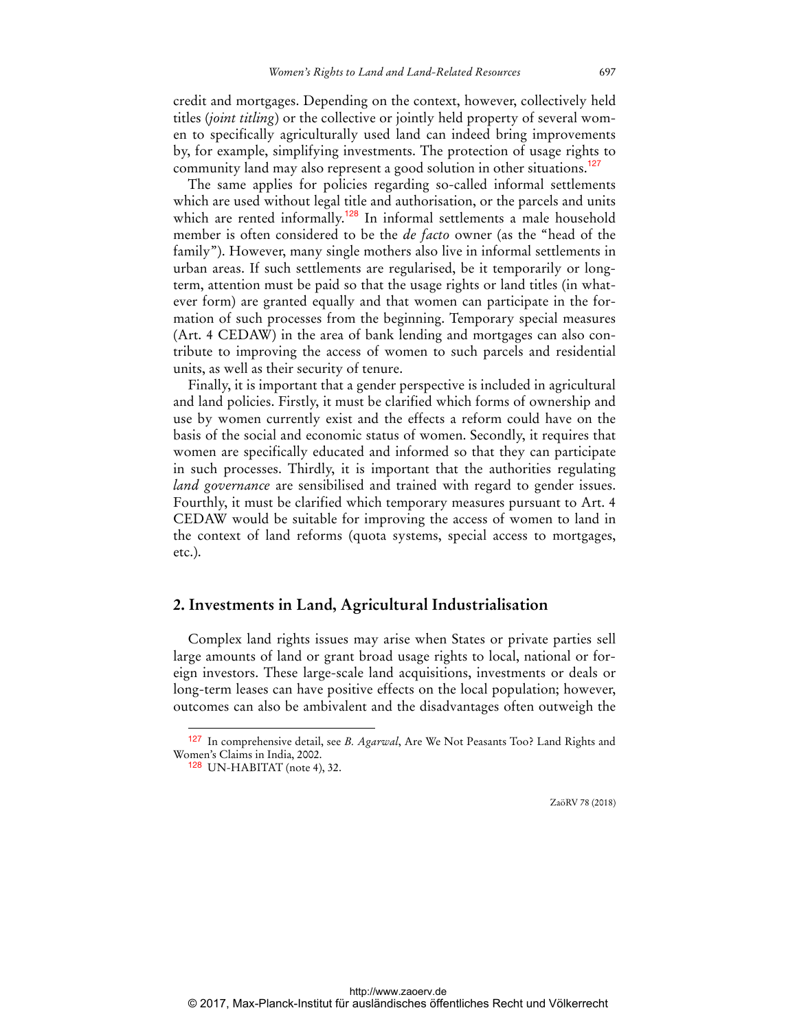credit and mortgages. Depending on the context, however, collectively held titles (*joint titling*) or the collective or jointly held property of several women to specifically agriculturally used land can indeed bring improvements by, for example, simplifying investments. The protection of usage rights to community land may also represent a good solution in other situations.<sup>127</sup>

The same applies for policies regarding so-called informal settlements which are used without legal title and authorisation, or the parcels and units which are rented informally.<sup>128</sup> In informal settlements a male household member is often considered to be the *de facto* owner (as the "head of the family"). However, many single mothers also live in informal settlements in urban areas. If such settlements are regularised, be it temporarily or longterm, attention must be paid so that the usage rights or land titles (in whatever form) are granted equally and that women can participate in the formation of such processes from the beginning. Temporary special measures (Art. 4 CEDAW) in the area of bank lending and mortgages can also contribute to improving the access of women to such parcels and residential units, as well as their security of tenure.

Finally, it is important that a gender perspective is included in agricultural and land policies. Firstly, it must be clarified which forms of ownership and use by women currently exist and the effects a reform could have on the basis of the social and economic status of women. Secondly, it requires that women are specifically educated and informed so that they can participate in such processes. Thirdly, it is important that the authorities regulating *land governance* are sensibilised and trained with regard to gender issues. Fourthly, it must be clarified which temporary measures pursuant to Art. 4 CEDAW would be suitable for improving the access of women to land in the context of land reforms (quota systems, special access to mortgages, etc.).

### **2. Investments in Land, Agricultural Industrialisation**

Complex land rights issues may arise when States or private parties sell large amounts of land or grant broad usage rights to local, national or foreign investors. These large-scale land acquisitions, investments or deals or long-term leases can have positive effects on the local population; however, outcomes can also be ambivalent and the disadvantages often outweigh the

 $\overline{a}$ 

<sup>127</sup> In comprehensive detail, see *B. Agarwal*, Are We Not Peasants Too? Land Rights and Women's Claims in India, 2002.

<sup>128</sup> UN-HABITAT (note 4), 32.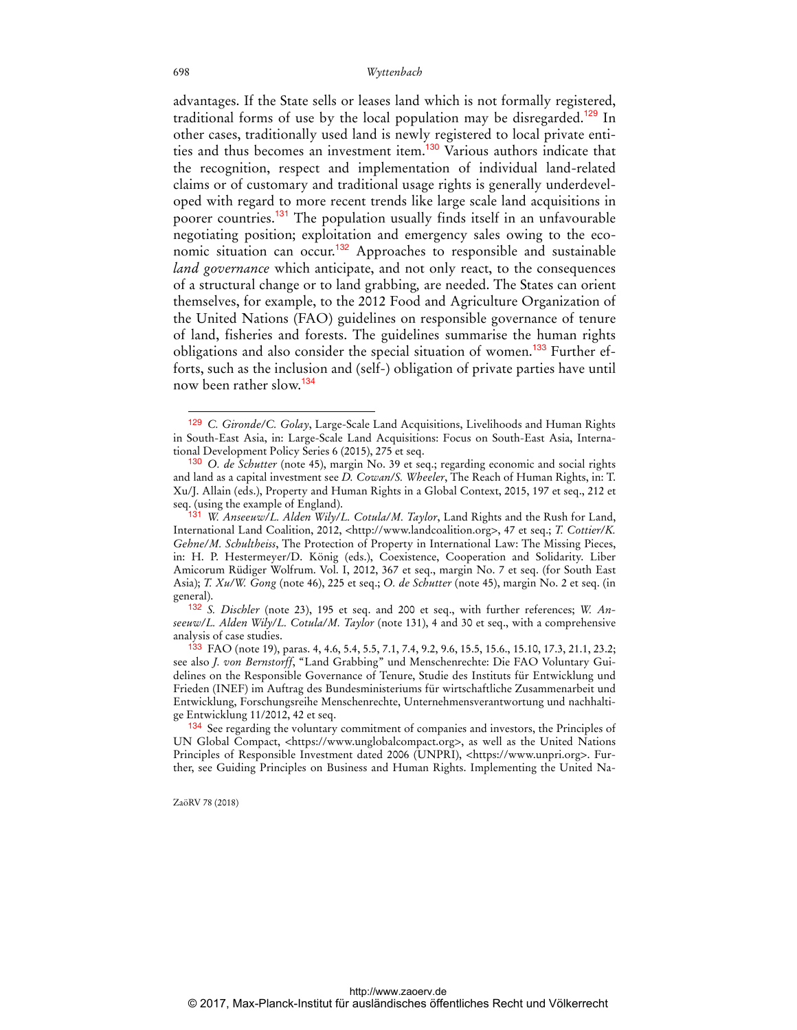advantages. If the State sells or leases land which is not formally registered, traditional forms of use by the local population may be disregarded.<sup>129</sup> In other cases, traditionally used land is newly registered to local private entities and thus becomes an investment item.<sup>130</sup> Various authors indicate that the recognition, respect and implementation of individual land-related claims or of customary and traditional usage rights is generally underdeveloped with regard to more recent trends like large scale land acquisitions in poorer countries.<sup>131</sup> The population usually finds itself in an unfavourable negotiating position; exploitation and emergency sales owing to the economic situation can occur.<sup>132</sup> Approaches to responsible and sustainable *land governance* which anticipate, and not only react, to the consequences of a structural change or to land grabbing*,* are needed. The States can orient themselves, for example, to the 2012 Food and Agriculture Organization of the United Nations (FAO) guidelines on responsible governance of tenure of land, fisheries and forests. The guidelines summarise the human rights obligations and also consider the special situation of women.<sup>133</sup> Further efforts, such as the inclusion and (self-) obligation of private parties have until now been rather slow.<sup>134</sup>

ZaöRV 78 (2018)

<sup>129</sup> *C. Gironde/C. Golay*, Large-Scale Land Acquisitions, Livelihoods and Human Rights in South-East Asia, in: Large-Scale Land Acquisitions: Focus on South-East Asia, International Development Policy Series 6 (2015), 275 et seq.

<sup>130</sup> *O. de Schutter* (note 45), margin No. 39 et seq.; regarding economic and social rights and land as a capital investment see *D. Cowan/S. Wheeler*, The Reach of Human Rights, in: T. Xu/J. Allain (eds.), Property and Human Rights in a Global Context, 2015, 197 et seq., 212 et seq. (using the example of England).

<sup>131</sup> *W. Anseeuw/L. Alden Wily/L. Cotula/M. Taylor*, Land Rights and the Rush for Land, International Land Coalition, 2012, <http://www.landcoalition.org>, 47 et seq.; *T. Cottier/K. Gehne/M. Schultheiss*, The Protection of Property in International Law: The Missing Pieces, in: H. P. Hestermeyer/D. König (eds.), Coexistence, Cooperation and Solidarity. Liber Amicorum Rüdiger Wolfrum. Vol. I, 2012, 367 et seq., margin No. 7 et seq. (for South East Asia); *T. Xu/W. Gong* (note 46), 225 et seq.; *O. de Schutter* (note 45), margin No. 2 et seq. (in general).

<sup>132</sup> *S. Dischler* (note 23), 195 et seq. and 200 et seq., with further references; *W. Anseeuw/L. Alden Wily/L. Cotula/M. Taylor* (note 131), 4 and 30 et seq., with a comprehensive analysis of case studies.

<sup>&</sup>lt;sup>133</sup> FAO (note 19), paras. 4, 4.6, 5.4, 5.5, 7.1, 7.4, 9.2, 9.6, 15.5, 15.6., 15.10, 17.3, 21.1, 23.2; see also *J. von Bernstorff*, "Land Grabbing" und Menschenrechte: Die FAO Voluntary Guidelines on the Responsible Governance of Tenure, Studie des Instituts für Entwicklung und Frieden (INEF) im Auftrag des Bundesministeriums für wirtschaftliche Zusammenarbeit und Entwicklung, Forschungsreihe Menschenrechte, Unternehmensverantwortung und nachhaltige Entwicklung 11/2012, 42 et seq.

<sup>134</sup> See regarding the voluntary commitment of companies and investors, the Principles of UN Global Compact, <https://www.unglobalcompact.org>, as well as the United Nations Principles of Responsible Investment dated 2006 (UNPRI), <https://www.unpri.org>. Further, see Guiding Principles on Business and Human Rights. Implementing the United Na-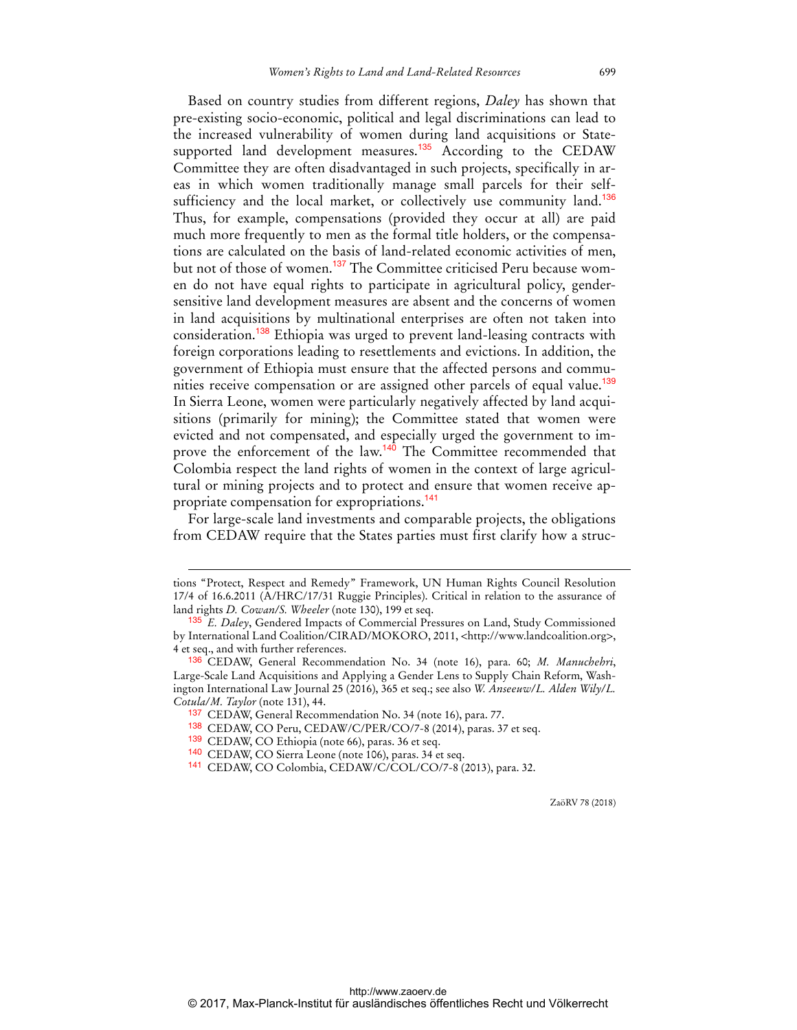Based on country studies from different regions, *Daley* has shown that pre-existing socio-economic, political and legal discriminations can lead to the increased vulnerability of women during land acquisitions or Statesupported land development measures.<sup>135</sup> According to the CEDAW Committee they are often disadvantaged in such projects, specifically in areas in which women traditionally manage small parcels for their selfsufficiency and the local market, or collectively use community land.<sup>136</sup> Thus, for example, compensations (provided they occur at all) are paid much more frequently to men as the formal title holders, or the compensations are calculated on the basis of land-related economic activities of men, but not of those of women.<sup>137</sup> The Committee criticised Peru because women do not have equal rights to participate in agricultural policy, gendersensitive land development measures are absent and the concerns of women in land acquisitions by multinational enterprises are often not taken into consideration.<sup>138</sup> Ethiopia was urged to prevent land-leasing contracts with foreign corporations leading to resettlements and evictions. In addition, the government of Ethiopia must ensure that the affected persons and communities receive compensation or are assigned other parcels of equal value.<sup>139</sup> In Sierra Leone, women were particularly negatively affected by land acquisitions (primarily for mining); the Committee stated that women were evicted and not compensated, and especially urged the government to improve the enforcement of the law.<sup>140</sup> The Committee recommended that Colombia respect the land rights of women in the context of large agricultural or mining projects and to protect and ensure that women receive appropriate compensation for expropriations.<sup>141</sup>

For large-scale land investments and comparable projects, the obligations from CEDAW require that the States parties must first clarify how a struc-

 $\overline{a}$ 

tions "Protect, Respect and Remedy" Framework, UN Human Rights Council Resolution 17/4 of 16.6.2011 (A/HRC/17/31 Ruggie Principles). Critical in relation to the assurance of land rights *D. Cowan/S. Wheeler* (note 130), 199 et seq.

<sup>135</sup> *E. Daley*, Gendered Impacts of Commercial Pressures on Land, Study Commissioned by International Land Coalition/CIRAD/MOKORO, 2011, <http://www.landcoalition.org>, 4 et seq., and with further references.

<sup>136</sup> CEDAW, General Recommendation No. 34 (note 16), para. 60; *M. Manuchehri*, Large-Scale Land Acquisitions and Applying a Gender Lens to Supply Chain Reform, Washington International Law Journal 25 (2016), 365 et seq.; see also *W. Anseeuw/L. Alden Wily/L. Cotula/M. Taylor* (note 131), 44.

<sup>&</sup>lt;sup>137</sup> CEDAW, General Recommendation No. 34 (note 16), para. 77.

<sup>138</sup> CEDAW, CO Peru, CEDAW/C/PER/CO/7-8 (2014), paras. 37 et seq.

<sup>139</sup> CEDAW, CO Ethiopia (note 66), paras. 36 et seq.

<sup>140</sup> CEDAW, CO Sierra Leone (note 106), paras. 34 et seq.

<sup>141</sup> CEDAW, CO Colombia, CEDAW/C/COL/CO/7-8 (2013), para. 32.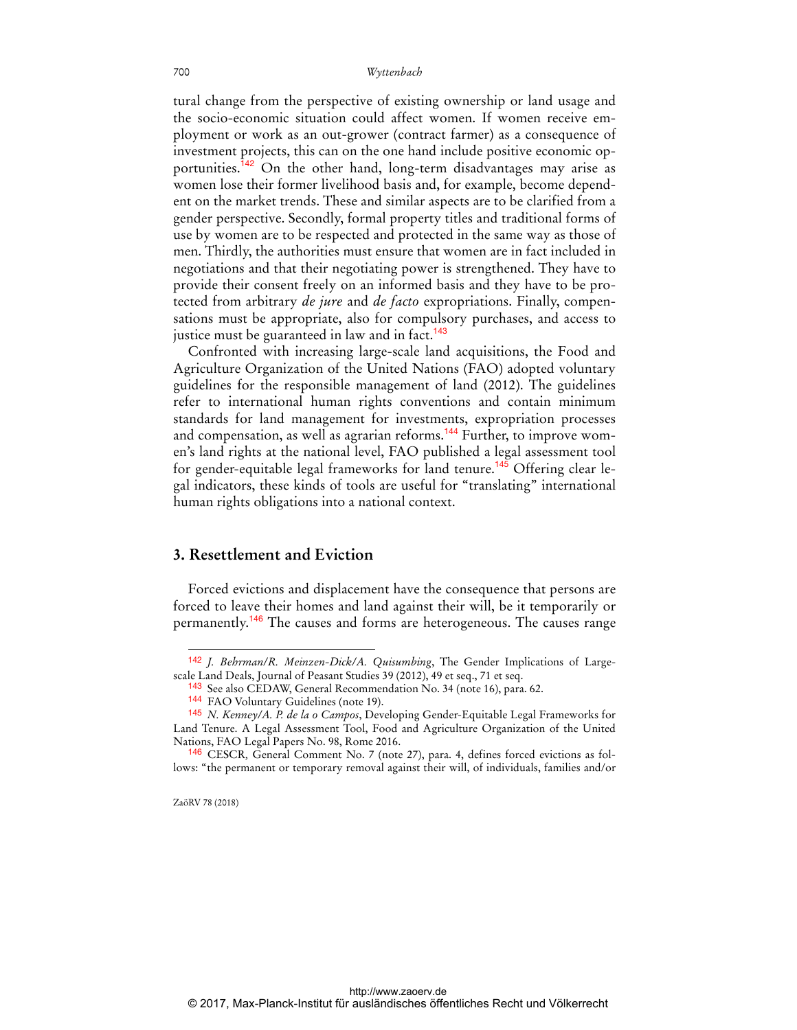tural change from the perspective of existing ownership or land usage and the socio-economic situation could affect women. If women receive employment or work as an out-grower (contract farmer) as a consequence of investment projects, this can on the one hand include positive economic opportunities.<sup>142</sup> On the other hand, long-term disadvantages may arise as women lose their former livelihood basis and, for example, become dependent on the market trends. These and similar aspects are to be clarified from a gender perspective. Secondly, formal property titles and traditional forms of use by women are to be respected and protected in the same way as those of men. Thirdly, the authorities must ensure that women are in fact included in negotiations and that their negotiating power is strengthened. They have to provide their consent freely on an informed basis and they have to be protected from arbitrary *de jure* and *de facto* expropriations. Finally, compensations must be appropriate, also for compulsory purchases, and access to justice must be guaranteed in law and in fact.<sup>143</sup>

Confronted with increasing large-scale land acquisitions, the Food and Agriculture Organization of the United Nations (FAO) adopted voluntary guidelines for the responsible management of land (2012). The guidelines refer to international human rights conventions and contain minimum standards for land management for investments, expropriation processes and compensation, as well as agrarian reforms.<sup>144</sup> Further, to improve women's land rights at the national level, FAO published a legal assessment tool for gender-equitable legal frameworks for land tenure.<sup>145</sup> Offering clear legal indicators, these kinds of tools are useful for "translating" international human rights obligations into a national context.

## **3. Resettlement and Eviction**

Forced evictions and displacement have the consequence that persons are forced to leave their homes and land against their will, be it temporarily or permanently.<sup>146</sup> The causes and forms are heterogeneous. The causes range

ZaöRV 78 (2018)

<sup>142</sup> *J. Behrman/R. Meinzen-Dick/A. Quisumbing*, The Gender Implications of Largescale Land Deals, Journal of Peasant Studies 39 (2012), 49 et seq., 71 et seq.

<sup>143</sup> See also CEDAW, General Recommendation No. 34 (note 16), para. 62.

<sup>144</sup> FAO Voluntary Guidelines (note 19).

<sup>145</sup> *N. Kenney/A. P. de la o Campos*, Developing Gender-Equitable Legal Frameworks for Land Tenure. A Legal Assessment Tool, Food and Agriculture Organization of the United Nations, FAO Legal Papers No. 98, Rome 2016.

<sup>146</sup> CESCR*,* General Comment No. 7 (note 27), para. 4, defines forced evictions as follows: "the permanent or temporary removal against their will, of individuals, families and/or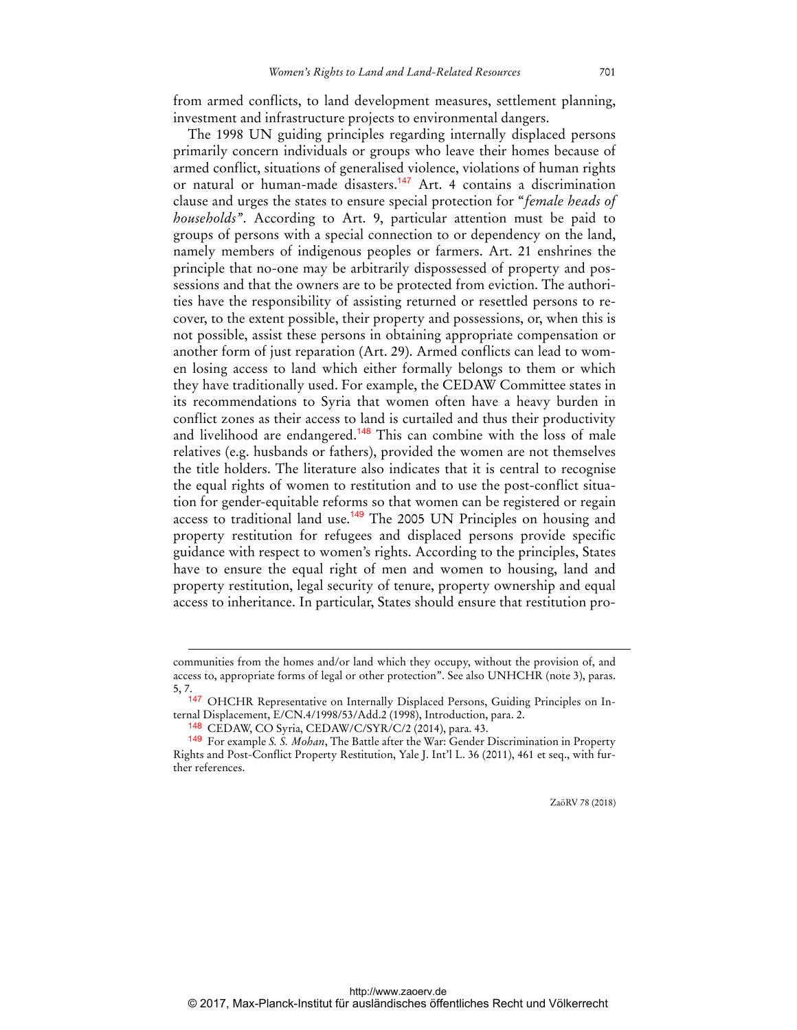from armed conflicts, to land development measures, settlement planning, investment and infrastructure projects to environmental dangers.

The 1998 UN guiding principles regarding internally displaced persons primarily concern individuals or groups who leave their homes because of armed conflict, situations of generalised violence, violations of human rights or natural or human-made disasters.<sup>147</sup> Art. 4 contains a discrimination clause and urges the states to ensure special protection for "*female heads of households"*. According to Art. 9, particular attention must be paid to groups of persons with a special connection to or dependency on the land, namely members of indigenous peoples or farmers. Art. 21 enshrines the principle that no-one may be arbitrarily dispossessed of property and possessions and that the owners are to be protected from eviction. The authorities have the responsibility of assisting returned or resettled persons to recover, to the extent possible, their property and possessions, or, when this is not possible, assist these persons in obtaining appropriate compensation or another form of just reparation (Art. 29). Armed conflicts can lead to women losing access to land which either formally belongs to them or which they have traditionally used. For example, the CEDAW Committee states in its recommendations to Syria that women often have a heavy burden in conflict zones as their access to land is curtailed and thus their productivity and livelihood are endangered.<sup>148</sup> This can combine with the loss of male relatives (e.g. husbands or fathers), provided the women are not themselves the title holders. The literature also indicates that it is central to recognise the equal rights of women to restitution and to use the post-conflict situation for gender-equitable reforms so that women can be registered or regain access to traditional land use.<sup>149</sup> The 2005 UN Principles on housing and property restitution for refugees and displaced persons provide specific guidance with respect to women's rights. According to the principles, States have to ensure the equal right of men and women to housing, land and property restitution, legal security of tenure, property ownership and equal access to inheritance. In particular, States should ensure that restitution pro-

 $\overline{a}$ 

communities from the homes and/or land which they occupy, without the provision of, and access to, appropriate forms of legal or other protection". See also UNHCHR (note 3), paras. 5, 7.

<sup>147</sup> OHCHR Representative on Internally Displaced Persons, Guiding Principles on Internal Displacement, E/CN.4/1998/53/Add.2 (1998), Introduction, para. 2.

<sup>148</sup> CEDAW, CO Syria, CEDAW/C/SYR/C/2 (2014), para. 43.

<sup>149</sup> For example *S. S. Mohan*, The Battle after the War: Gender Discrimination in Property Rights and Post-Conflict Property Restitution, Yale J. Int'l L. 36 (2011), 461 et seq., with further references.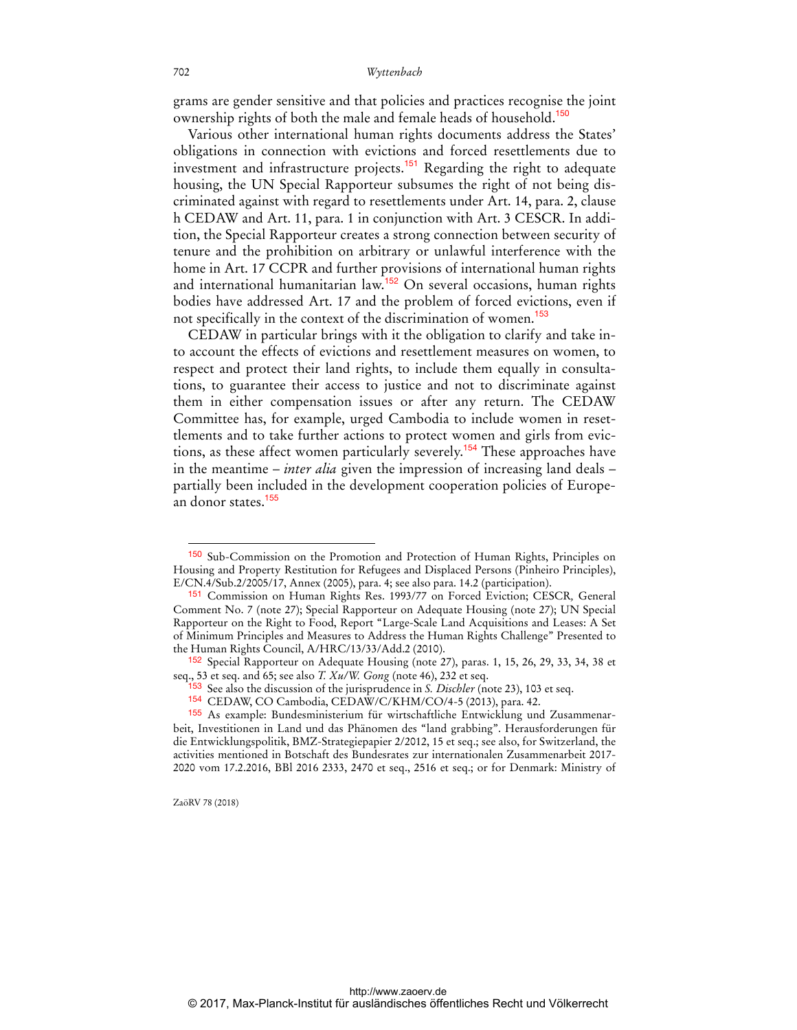grams are gender sensitive and that policies and practices recognise the joint ownership rights of both the male and female heads of household.<sup>150</sup>

Various other international human rights documents address the States' obligations in connection with evictions and forced resettlements due to investment and infrastructure projects.<sup>151</sup> Regarding the right to adequate housing, the UN Special Rapporteur subsumes the right of not being discriminated against with regard to resettlements under Art. 14, para. 2, clause h CEDAW and Art. 11, para. 1 in conjunction with Art. 3 CESCR. In addition, the Special Rapporteur creates a strong connection between security of tenure and the prohibition on arbitrary or unlawful interference with the home in Art. 17 CCPR and further provisions of international human rights and international humanitarian law.<sup>152</sup> On several occasions, human rights bodies have addressed Art. 17 and the problem of forced evictions, even if not specifically in the context of the discrimination of women.<sup>153</sup>

CEDAW in particular brings with it the obligation to clarify and take into account the effects of evictions and resettlement measures on women, to respect and protect their land rights, to include them equally in consultations, to guarantee their access to justice and not to discriminate against them in either compensation issues or after any return. The CEDAW Committee has, for example, urged Cambodia to include women in resettlements and to take further actions to protect women and girls from evictions, as these affect women particularly severely.<sup>154</sup> These approaches have in the meantime – *inter alia* given the impression of increasing land deals – partially been included in the development cooperation policies of European donor states.<sup>155</sup>

ZaöRV 78 (2018)

 $\ddot{ }$ 

<sup>150</sup> Sub-Commission on the Promotion and Protection of Human Rights, Principles on Housing and Property Restitution for Refugees and Displaced Persons (Pinheiro Principles), E/CN.4/Sub.2/2005/17, Annex (2005), para. 4; see also para. 14.2 (participation).

<sup>151</sup> Commission on Human Rights Res. 1993/77 on Forced Eviction; CESCR*,* General Comment No. 7 (note 27); Special Rapporteur on Adequate Housing (note 27); UN Special Rapporteur on the Right to Food, Report "Large-Scale Land Acquisitions and Leases: A Set of Minimum Principles and Measures to Address the Human Rights Challenge" Presented to the Human Rights Council, A/HRC/13/33/Add.2 (2010).

<sup>152</sup> Special Rapporteur on Adequate Housing (note 27), paras. 1, 15, 26, 29, 33, 34, 38 et seq., 53 et seq. and 65; see also *T. Xu/W. Gong* (note 46), 232 et seq.

<sup>153</sup> See also the discussion of the jurisprudence in *S. Dischler* (note 23), 103 et seq.

<sup>154</sup> CEDAW, CO Cambodia, CEDAW/C/KHM/CO/4-5 (2013), para. 42.

<sup>155</sup> As example: Bundesministerium für wirtschaftliche Entwicklung und Zusammenarbeit, Investitionen in Land und das Phänomen des "land grabbing". Herausforderungen für die Entwicklungspolitik, BMZ-Strategiepapier 2/2012, 15 et seq.; see also, for Switzerland, the activities mentioned in Botschaft des Bundesrates zur internationalen Zusammenarbeit 2017- 2020 vom 17.2.2016, BBl 2016 2333, 2470 et seq., 2516 et seq.; or for Denmark: Ministry of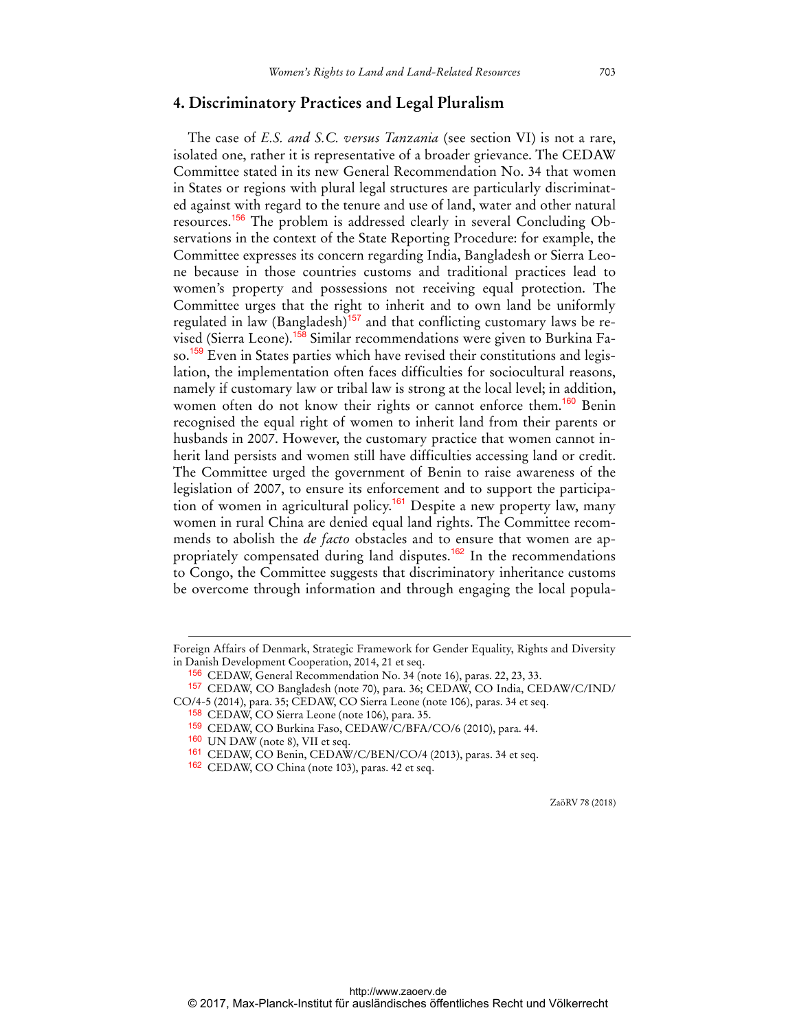### **4. Discriminatory Practices and Legal Pluralism**

The case of *E.S. and S.C. versus Tanzania* (see section VI) is not a rare, isolated one, rather it is representative of a broader grievance. The CEDAW Committee stated in its new General Recommendation No. 34 that women in States or regions with plural legal structures are particularly discriminated against with regard to the tenure and use of land, water and other natural resources.156 The problem is addressed clearly in several Concluding Observations in the context of the State Reporting Procedure: for example, the Committee expresses its concern regarding India, Bangladesh or Sierra Leone because in those countries customs and traditional practices lead to women's property and possessions not receiving equal protection. The Committee urges that the right to inherit and to own land be uniformly regulated in law (Bangladesh)<sup>157</sup> and that conflicting customary laws be revised (Sierra Leone).<sup>158</sup> Similar recommendations were given to Burkina Faso.<sup>159</sup> Even in States parties which have revised their constitutions and legislation, the implementation often faces difficulties for sociocultural reasons, namely if customary law or tribal law is strong at the local level; in addition, women often do not know their rights or cannot enforce them.<sup>160</sup> Benin recognised the equal right of women to inherit land from their parents or husbands in 2007. However, the customary practice that women cannot inherit land persists and women still have difficulties accessing land or credit. The Committee urged the government of Benin to raise awareness of the legislation of 2007, to ensure its enforcement and to support the participation of women in agricultural policy.<sup>161</sup> Despite a new property law, many women in rural China are denied equal land rights. The Committee recommends to abolish the *de facto* obstacles and to ensure that women are appropriately compensated during land disputes.<sup>162</sup> In the recommendations to Congo, the Committee suggests that discriminatory inheritance customs be overcome through information and through engaging the local popula-

 $\overline{a}$ 

Foreign Affairs of Denmark, Strategic Framework for Gender Equality, Rights and Diversity in Danish Development Cooperation, 2014, 21 et seq.

<sup>156</sup> CEDAW, General Recommendation No. 34 (note 16), paras. 22, 23, 33.

<sup>157</sup> CEDAW, CO Bangladesh (note 70), para. 36; CEDAW, CO India, CEDAW/C/IND/ CO/4-5 (2014), para. 35; CEDAW, CO Sierra Leone (note 106), paras. 34 et seq.

<sup>158</sup> CEDAW, CO Sierra Leone (note 106), para. 35.

<sup>159</sup> CEDAW, CO Burkina Faso, CEDAW/C/BFA/CO/6 (2010), para. 44.

<sup>160</sup> UN DAW (note 8), VII et seq.

<sup>161</sup> CEDAW, CO Benin, CEDAW/C/BEN/CO/4 (2013), paras. 34 et seq.

<sup>162</sup> CEDAW, CO China (note 103), paras. 42 et seq.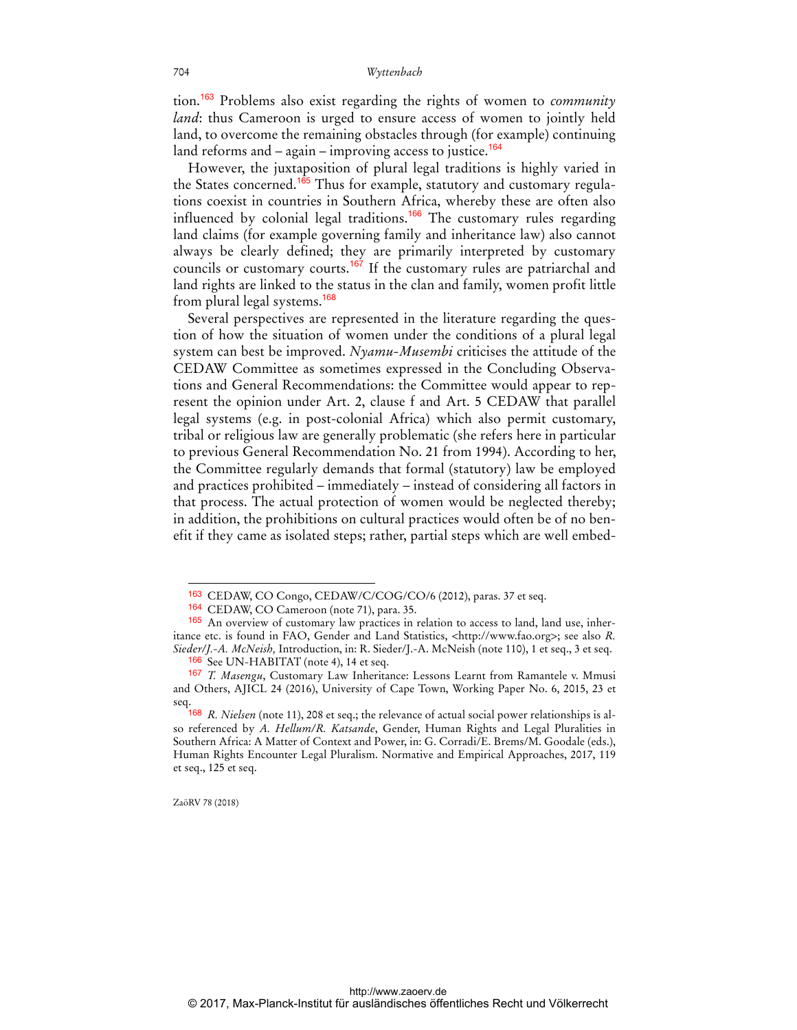tion.<sup>163</sup> Problems also exist regarding the rights of women to *community land*: thus Cameroon is urged to ensure access of women to jointly held land, to overcome the remaining obstacles through (for example) continuing land reforms and  $-$  again  $-$  improving access to justice.<sup>164</sup>

However, the juxtaposition of plural legal traditions is highly varied in the States concerned.<sup>165</sup> Thus for example, statutory and customary regulations coexist in countries in Southern Africa, whereby these are often also influenced by colonial legal traditions.<sup>166</sup> The customary rules regarding land claims (for example governing family and inheritance law) also cannot always be clearly defined; they are primarily interpreted by customary councils or customary courts.<sup>167</sup> If the customary rules are patriarchal and land rights are linked to the status in the clan and family, women profit little from plural legal systems.<sup>168</sup>

Several perspectives are represented in the literature regarding the question of how the situation of women under the conditions of a plural legal system can best be improved. *Nyamu-Musembi* criticises the attitude of the CEDAW Committee as sometimes expressed in the Concluding Observations and General Recommendations: the Committee would appear to represent the opinion under Art. 2, clause f and Art. 5 CEDAW that parallel legal systems (e.g. in post-colonial Africa) which also permit customary, tribal or religious law are generally problematic (she refers here in particular to previous General Recommendation No. 21 from 1994). According to her, the Committee regularly demands that formal (statutory) law be employed and practices prohibited – immediately – instead of considering all factors in that process. The actual protection of women would be neglected thereby; in addition, the prohibitions on cultural practices would often be of no benefit if they came as isolated steps; rather, partial steps which are well embed-

ZaöRV 78 (2018)

<sup>163</sup> CEDAW, CO Congo, CEDAW/C/COG/CO/6 (2012), paras. 37 et seq.

<sup>164</sup> CEDAW, CO Cameroon (note 71), para. 35.

<sup>165</sup> An overview of customary law practices in relation to access to land, land use, inheritance etc. is found in FAO, Gender and Land Statistics, <http://www.fao.org>; see also *R. Sieder/J.-A. McNeish,* Introduction, in: R. Sieder/J.-A. McNeish (note 110), 1 et seq., 3 et seq.

<sup>166</sup> See UN-HABITAT (note 4), 14 et seq.

<sup>167</sup> *T. Masengu*, Customary Law Inheritance: Lessons Learnt from Ramantele v. Mmusi and Others, AJICL 24 (2016), University of Cape Town, Working Paper No. 6, 2015, 23 et seq.

<sup>168</sup> *R. Nielsen* (note 11), 208 et seq.; the relevance of actual social power relationships is also referenced by *A. Hellum/R. Katsande*, Gender, Human Rights and Legal Pluralities in Southern Africa: A Matter of Context and Power, in: G. Corradi/E. Brems/M. Goodale (eds.), Human Rights Encounter Legal Pluralism. Normative and Empirical Approaches, 2017, 119 et seq., 125 et seq.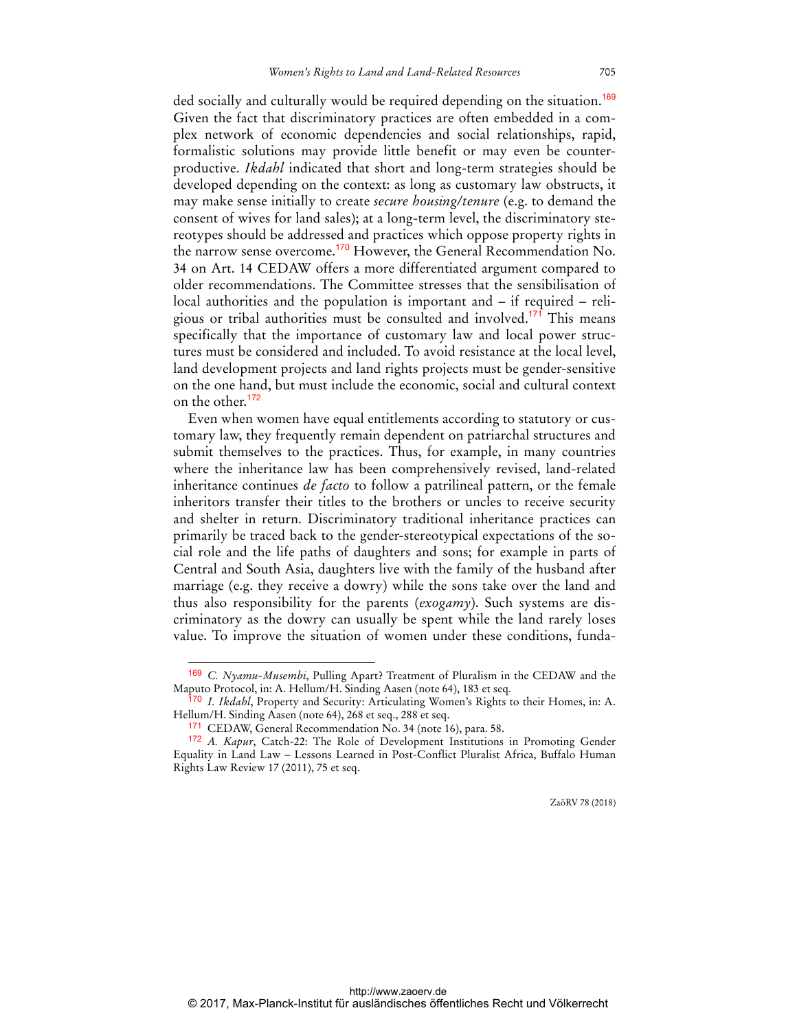ded socially and culturally would be required depending on the situation.<sup>169</sup> Given the fact that discriminatory practices are often embedded in a complex network of economic dependencies and social relationships, rapid, formalistic solutions may provide little benefit or may even be counterproductive. *Ikdahl* indicated that short and long-term strategies should be developed depending on the context: as long as customary law obstructs, it may make sense initially to create *secure housing/tenure* (e.g. to demand the consent of wives for land sales); at a long-term level, the discriminatory stereotypes should be addressed and practices which oppose property rights in the narrow sense overcome.<sup>170</sup> However, the General Recommendation No. 34 on Art. 14 CEDAW offers a more differentiated argument compared to older recommendations. The Committee stresses that the sensibilisation of local authorities and the population is important and – if required – religious or tribal authorities must be consulted and involved.<sup>171</sup> This means specifically that the importance of customary law and local power structures must be considered and included. To avoid resistance at the local level,

on the other.<sup>172</sup> Even when women have equal entitlements according to statutory or customary law, they frequently remain dependent on patriarchal structures and submit themselves to the practices. Thus, for example, in many countries where the inheritance law has been comprehensively revised, land-related inheritance continues *de facto* to follow a patrilineal pattern, or the female inheritors transfer their titles to the brothers or uncles to receive security and shelter in return. Discriminatory traditional inheritance practices can primarily be traced back to the gender-stereotypical expectations of the social role and the life paths of daughters and sons; for example in parts of Central and South Asia, daughters live with the family of the husband after marriage (e.g. they receive a dowry) while the sons take over the land and thus also responsibility for the parents (*exogamy*). Such systems are discriminatory as the dowry can usually be spent while the land rarely loses value. To improve the situation of women under these conditions, funda-

land development projects and land rights projects must be gender-sensitive on the one hand, but must include the economic, social and cultural context

<sup>169</sup> *C. Nyamu-Musembi*, Pulling Apart? Treatment of Pluralism in the CEDAW and the Maputo Protocol, in: A. Hellum/H. Sinding Aasen (note 64), 183 et seq.

<sup>170</sup> *I. Ikdahl*, Property and Security: Articulating Women's Rights to their Homes, in: A. Hellum/H. Sinding Aasen (note 64), 268 et seq., 288 et seq.

<sup>&</sup>lt;sup>171</sup> CEDAW, General Recommendation No. 34 (note 16), para. 58.

<sup>172</sup> *A. Kapur*, Catch-22: The Role of Development Institutions in Promoting Gender Equality in Land Law – Lessons Learned in Post-Conflict Pluralist Africa, Buffalo Human Rights Law Review 17 (2011), 75 et seq.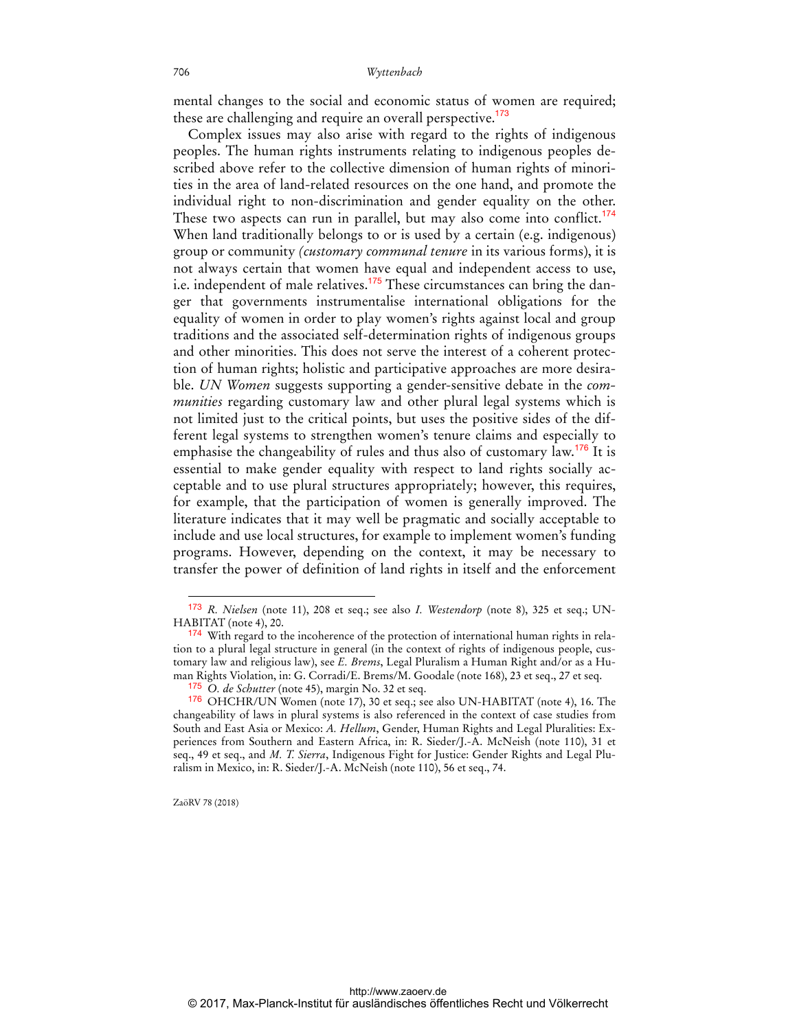mental changes to the social and economic status of women are required; these are challenging and require an overall perspective.<sup>173</sup>

Complex issues may also arise with regard to the rights of indigenous peoples. The human rights instruments relating to indigenous peoples described above refer to the collective dimension of human rights of minorities in the area of land-related resources on the one hand, and promote the individual right to non-discrimination and gender equality on the other. These two aspects can run in parallel, but may also come into conflict.<sup>174</sup> When land traditionally belongs to or is used by a certain (e.g. indigenous) group or community *(customary communal tenure* in its various forms), it is not always certain that women have equal and independent access to use, i.e. independent of male relatives.<sup>175</sup> These circumstances can bring the danger that governments instrumentalise international obligations for the equality of women in order to play women's rights against local and group traditions and the associated self-determination rights of indigenous groups and other minorities. This does not serve the interest of a coherent protection of human rights; holistic and participative approaches are more desirable. *UN Women* suggests supporting a gender-sensitive debate in the *communities* regarding customary law and other plural legal systems which is not limited just to the critical points, but uses the positive sides of the different legal systems to strengthen women's tenure claims and especially to emphasise the changeability of rules and thus also of customary law.<sup>176</sup> It is essential to make gender equality with respect to land rights socially acceptable and to use plural structures appropriately; however, this requires, for example, that the participation of women is generally improved. The literature indicates that it may well be pragmatic and socially acceptable to include and use local structures, for example to implement women's funding programs. However, depending on the context, it may be necessary to transfer the power of definition of land rights in itself and the enforcement

ZaöRV 78 (2018)

<sup>173</sup> *R. Nielsen* (note 11), 208 et seq.; see also *I. Westendorp* (note 8), 325 et seq.; UN-HABITAT (note 4), 20.

<sup>&</sup>lt;sup>174</sup> With regard to the incoherence of the protection of international human rights in relation to a plural legal structure in general (in the context of rights of indigenous people, customary law and religious law), see *E. Brems*, Legal Pluralism a Human Right and/or as a Human Rights Violation, in: G. Corradi/E. Brems/M. Goodale (note 168), 23 et seq., 27 et seq.

<sup>175</sup> *O. de Schutter* (note 45), margin No. 32 et seq.

<sup>176</sup> OHCHR/UN Women (note 17), 30 et seq.; see also UN-HABITAT (note 4), 16. The changeability of laws in plural systems is also referenced in the context of case studies from South and East Asia or Mexico: *A. Hellum*, Gender, Human Rights and Legal Pluralities: Experiences from Southern and Eastern Africa, in: R. Sieder/J.-A. McNeish (note 110), 31 et seq., 49 et seq., and *M. T. Sierra*, Indigenous Fight for Justice: Gender Rights and Legal Pluralism in Mexico, in: R. Sieder/J.-A. McNeish (note 110), 56 et seq., 74.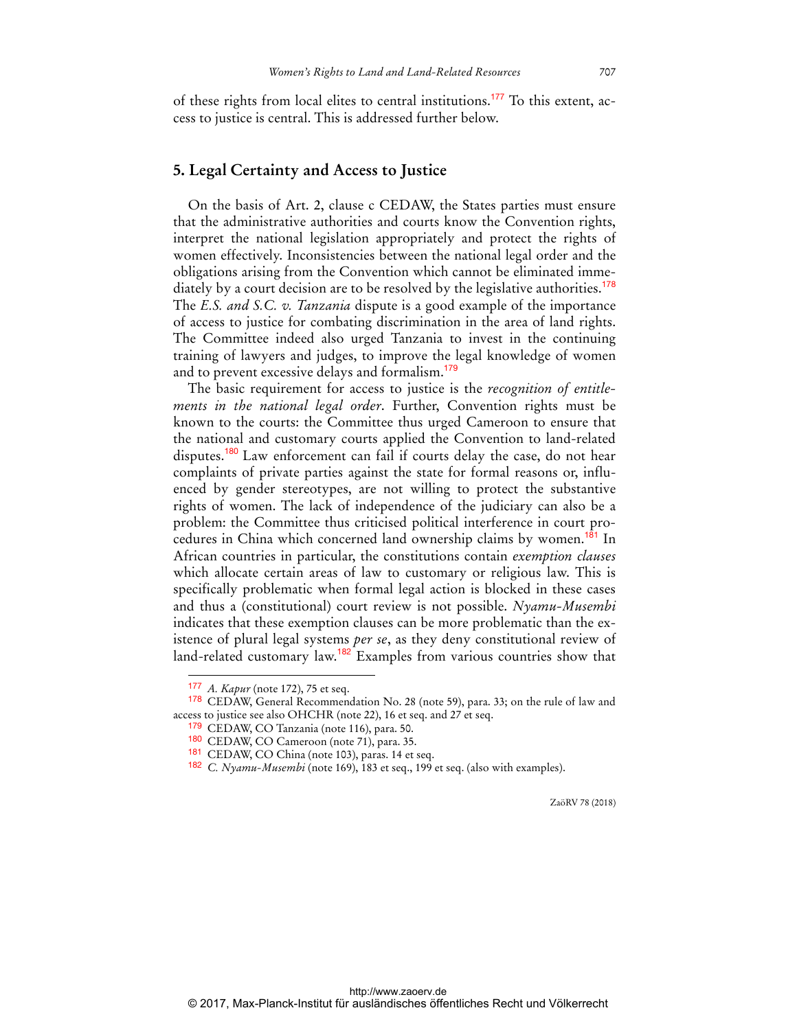of these rights from local elites to central institutions.177 To this extent, access to justice is central. This is addressed further below.

## **5. Legal Certainty and Access to Justice**

On the basis of Art. 2, clause c CEDAW, the States parties must ensure that the administrative authorities and courts know the Convention rights, interpret the national legislation appropriately and protect the rights of women effectively. Inconsistencies between the national legal order and the obligations arising from the Convention which cannot be eliminated immediately by a court decision are to be resolved by the legislative authorities.<sup>178</sup> The *E.S. and S.C. v. Tanzania* dispute is a good example of the importance of access to justice for combating discrimination in the area of land rights. The Committee indeed also urged Tanzania to invest in the continuing training of lawyers and judges, to improve the legal knowledge of women and to prevent excessive delays and formalism.<sup>179</sup>

The basic requirement for access to justice is the *recognition of entitlements in the national legal order*. Further, Convention rights must be known to the courts: the Committee thus urged Cameroon to ensure that the national and customary courts applied the Convention to land-related disputes.<sup>180</sup> Law enforcement can fail if courts delay the case, do not hear complaints of private parties against the state for formal reasons or, influenced by gender stereotypes, are not willing to protect the substantive rights of women. The lack of independence of the judiciary can also be a problem: the Committee thus criticised political interference in court procedures in China which concerned land ownership claims by women.<sup>181</sup> In African countries in particular, the constitutions contain *exemption clauses* which allocate certain areas of law to customary or religious law. This is specifically problematic when formal legal action is blocked in these cases and thus a (constitutional) court review is not possible. *Nyamu-Musembi* indicates that these exemption clauses can be more problematic than the existence of plural legal systems *per se*, as they deny constitutional review of land-related customary law.<sup>182</sup> Examples from various countries show that

 $\overline{a}$ 

<sup>177</sup> *A. Kapur* (note 172), 75 et seq.

<sup>178</sup> CEDAW, General Recommendation No. 28 (note 59), para. 33; on the rule of law and access to justice see also OHCHR (note 22), 16 et seq. and 27 et seq.

<sup>179</sup> CEDAW, CO Tanzania (note 116), para. 50.

<sup>180</sup> CEDAW, CO Cameroon (note 71), para. 35.

<sup>181</sup> CEDAW, CO China (note 103), paras. 14 et seq.

<sup>182</sup> *C. Nyamu-Musembi* (note 169), 183 et seq., 199 et seq. (also with examples).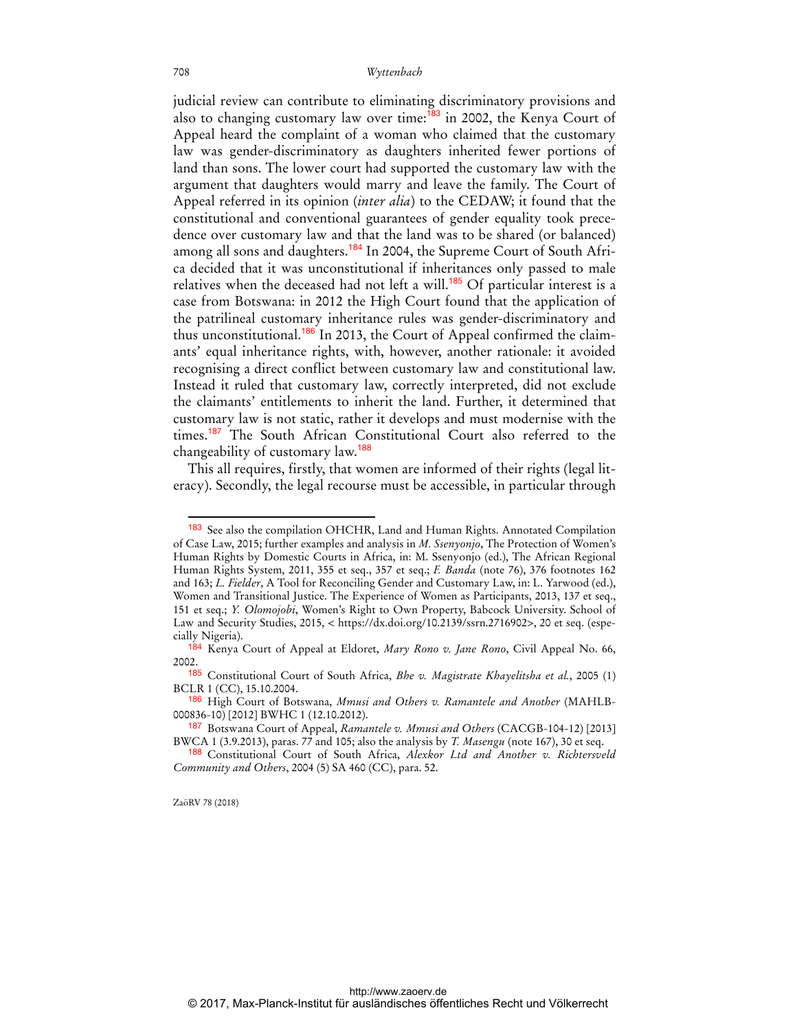judicial review can contribute to eliminating discriminatory provisions and also to changing customary law over time: $183$  in 2002, the Kenya Court of Appeal heard the complaint of a woman who claimed that the customary law was gender-discriminatory as daughters inherited fewer portions of land than sons. The lower court had supported the customary law with the argument that daughters would marry and leave the family. The Court of Appeal referred in its opinion (*inter alia*) to the CEDAW; it found that the constitutional and conventional guarantees of gender equality took precedence over customary law and that the land was to be shared (or balanced) among all sons and daughters.<sup>184</sup> In 2004, the Supreme Court of South Africa decided that it was unconstitutional if inheritances only passed to male relatives when the deceased had not left a will.<sup>185</sup> Of particular interest is a case from Botswana: in 2012 the High Court found that the application of the patrilineal customary inheritance rules was gender-discriminatory and thus unconstitutional.<sup>186</sup> In 2013, the Court of Appeal confirmed the claimants' equal inheritance rights, with, however, another rationale: it avoided recognising a direct conflict between customary law and constitutional law. Instead it ruled that customary law, correctly interpreted, did not exclude the claimants' entitlements to inherit the land. Further, it determined that customary law is not static, rather it develops and must modernise with the times.<sup>187</sup> The South African Constitutional Court also referred to the changeability of customary law.<sup>188</sup>

This all requires, firstly, that women are informed of their rights (legal literacy). Secondly, the legal recourse must be accessible, in particular through

ZaöRV 78 (2018)

<sup>183</sup> See also the compilation OHCHR, Land and Human Rights. Annotated Compilation of Case Law, 2015; further examples and analysis in *M. Ssenyonjo*, The Protection of Women's Human Rights by Domestic Courts in Africa, in: M. Ssenyonjo (ed.), The African Regional Human Rights System, 2011, 355 et seq., 357 et seq.; *F. Banda* (note 76), 376 footnotes 162 and 163; *L. Fielder*, A Tool for Reconciling Gender and Customary Law, in: L. Yarwood (ed.), Women and Transitional Justice. The Experience of Women as Participants, 2013, 137 et seq., 151 et seq.; *Y. Olomojobi*, Women's Right to Own Property, Babcock University. School of Law and Security Studies, 2015, < https://dx.doi.org/10.2139/ssrn.2716902>, 20 et seq. (especially Nigeria).

<sup>184</sup> Kenya Court of Appeal at Eldoret, *Mary Rono v. Jane Rono*, Civil Appeal No. 66, 2002.

<sup>185</sup> Constitutional Court of South Africa, *Bhe v. Magistrate Khayelitsha et al.*, 2005 (1) BCLR 1 (CC), 15.10.2004.

<sup>186</sup> High Court of Botswana, *Mmusi and Others v. Ramantele and Another* (MAHLB-000836-10) [2012] BWHC 1 (12.10.2012).

<sup>187</sup> Botswana Court of Appeal, *Ramantele v. Mmusi and Others* (CACGB-104-12) [2013] BWCA 1 (3.9.2013), paras. 77 and 105; also the analysis by *T. Masengu* (note 167), 30 et seq.

<sup>188</sup> Constitutional Court of South Africa, *Alexkor Ltd and Another v. Richtersveld Community and Others*, 2004 (5) SA 460 (CC), para. 52.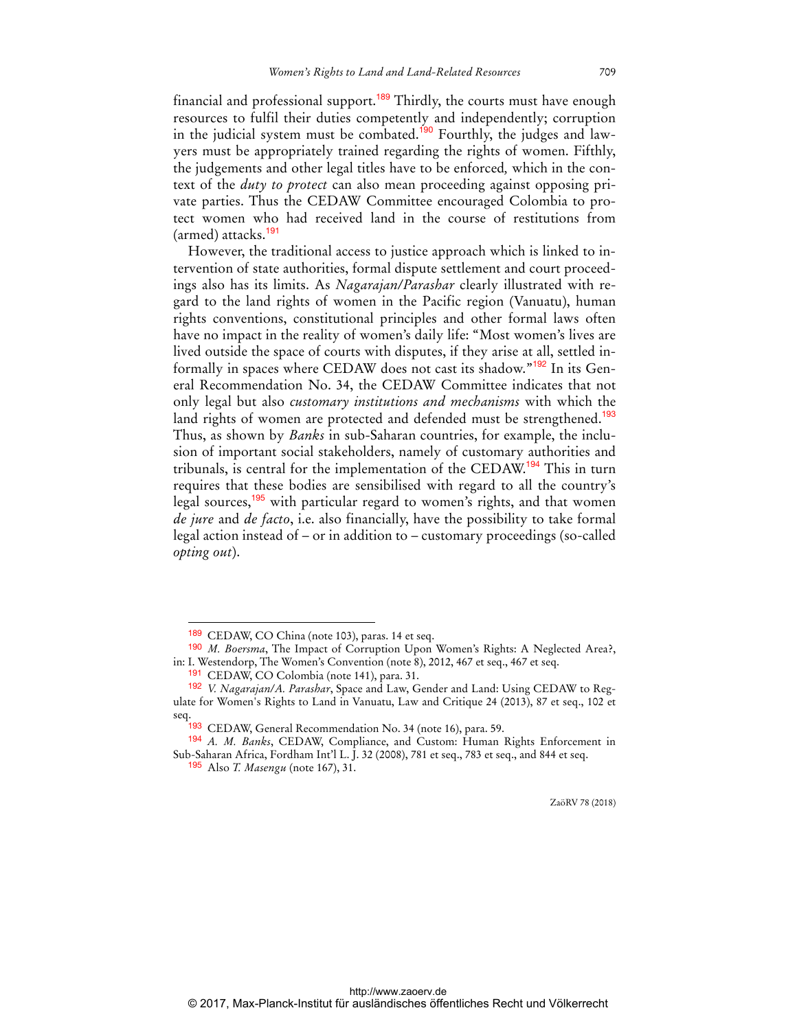financial and professional support.<sup>189</sup> Thirdly, the courts must have enough resources to fulfil their duties competently and independently; corruption in the judicial system must be combated.<sup>190</sup> Fourthly, the judges and lawyers must be appropriately trained regarding the rights of women. Fifthly, the judgements and other legal titles have to be enforced*,* which in the context of the *duty to protect* can also mean proceeding against opposing private parties. Thus the CEDAW Committee encouraged Colombia to protect women who had received land in the course of restitutions from (armed) attacks.<sup>191</sup>

However, the traditional access to justice approach which is linked to intervention of state authorities, formal dispute settlement and court proceedings also has its limits. As *Nagarajan/Parashar* clearly illustrated with regard to the land rights of women in the Pacific region (Vanuatu), human rights conventions, constitutional principles and other formal laws often have no impact in the reality of women's daily life: "Most women's lives are lived outside the space of courts with disputes, if they arise at all, settled informally in spaces where CEDAW does not cast its shadow."<sup>192</sup> In its General Recommendation No. 34, the CEDAW Committee indicates that not only legal but also *customary institutions and mechanisms* with which the land rights of women are protected and defended must be strengthened.<sup>193</sup> Thus, as shown by *Banks* in sub-Saharan countries, for example, the inclusion of important social stakeholders, namely of customary authorities and tribunals, is central for the implementation of the CEDAW.<sup>194</sup> This in turn requires that these bodies are sensibilised with regard to all the country's legal sources,<sup>195</sup> with particular regard to women's rights, and that women *de jure* and *de facto*, i.e. also financially, have the possibility to take formal legal action instead of – or in addition to – customary proceedings (so-called *opting out*).

195 Also *T. Masengu* (note 167), 31.

 $\overline{a}$ 

<sup>189</sup> CEDAW, CO China (note 103), paras. 14 et seq.

<sup>190</sup> *M. Boersma*, The Impact of Corruption Upon Women's Rights: A Neglected Area?, in: I. Westendorp, The Women's Convention (note 8), 2012, 467 et seq., 467 et seq.

<sup>&</sup>lt;sup>191</sup> CEDAW, CO Colombia (note 141), para. 31.

<sup>192</sup> *V. Nagarajan/A. Parashar*, Space and Law, Gender and Land: Using CEDAW to Regulate for Women's Rights to Land in Vanuatu, Law and Critique 24 (2013), 87 et seq., 102 et seq.

<sup>&</sup>lt;sup>193</sup> CEDAW, General Recommendation No. 34 (note 16), para. 59.

<sup>194</sup> *A. M. Banks*, CEDAW, Compliance, and Custom: Human Rights Enforcement in Sub-Saharan Africa, Fordham Int'l L. J. 32 (2008), 781 et seq., 783 et seq., and 844 et seq.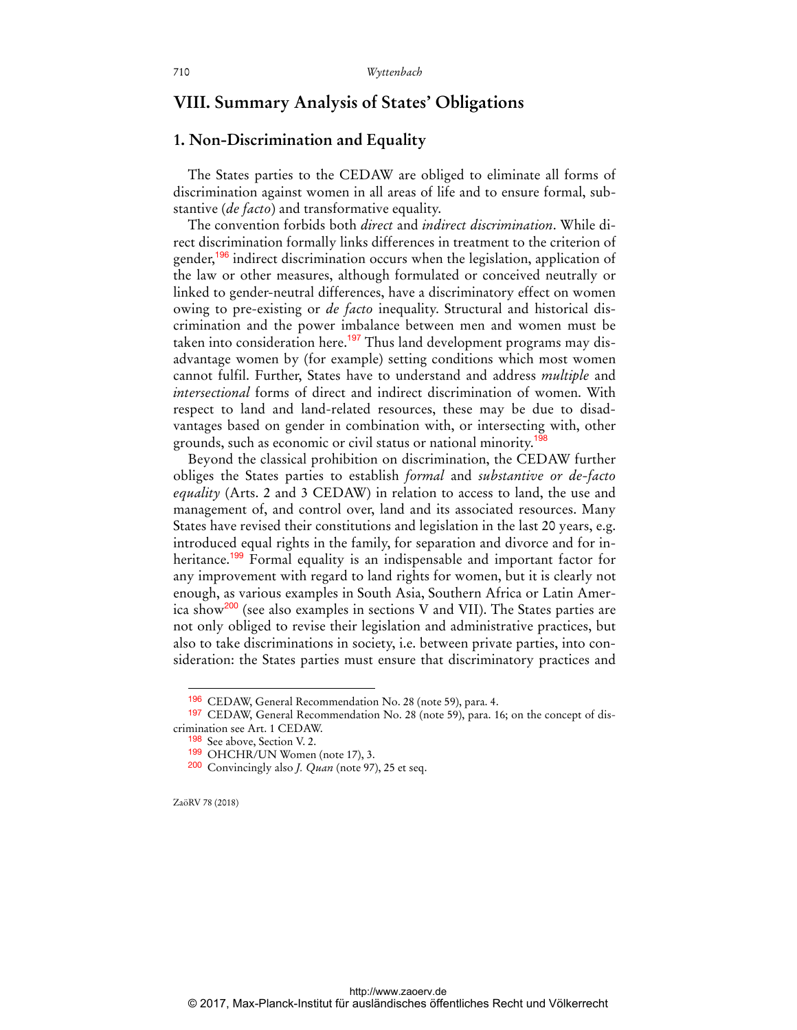# **VIII. Summary Analysis of States' Obligations**

## **1. Non-Discrimination and Equality**

The States parties to the CEDAW are obliged to eliminate all forms of discrimination against women in all areas of life and to ensure formal, substantive (*de facto*) and transformative equality.

The convention forbids both *direct* and *indirect discrimination*. While direct discrimination formally links differences in treatment to the criterion of gender,<sup>196</sup> indirect discrimination occurs when the legislation, application of the law or other measures, although formulated or conceived neutrally or linked to gender-neutral differences, have a discriminatory effect on women owing to pre-existing or *de facto* inequality. Structural and historical discrimination and the power imbalance between men and women must be taken into consideration here.<sup>197</sup> Thus land development programs may disadvantage women by (for example) setting conditions which most women cannot fulfil. Further, States have to understand and address *multiple* and *intersectional* forms of direct and indirect discrimination of women. With respect to land and land-related resources, these may be due to disadvantages based on gender in combination with, or intersecting with, other grounds, such as economic or civil status or national minority.<sup>198</sup>

Beyond the classical prohibition on discrimination, the CEDAW further obliges the States parties to establish *formal* and *substantive or de-facto equality* (Arts. 2 and 3 CEDAW) in relation to access to land, the use and management of, and control over, land and its associated resources. Many States have revised their constitutions and legislation in the last 20 years, e.g. introduced equal rights in the family, for separation and divorce and for inheritance.<sup>199</sup> Formal equality is an indispensable and important factor for any improvement with regard to land rights for women, but it is clearly not enough, as various examples in South Asia, Southern Africa or Latin America show<sup>200</sup> (see also examples in sections V and VII). The States parties are not only obliged to revise their legislation and administrative practices, but also to take discriminations in society, i.e. between private parties, into consideration: the States parties must ensure that discriminatory practices and

ZaöRV 78 (2018)

<sup>196</sup> CEDAW, General Recommendation No. 28 (note 59), para. 4.

<sup>197</sup> CEDAW, General Recommendation No. 28 (note 59), para. 16; on the concept of discrimination see Art. 1 CEDAW.

<sup>198</sup> See above, Section V. 2.

<sup>199</sup> OHCHR/UN Women (note 17), 3.

<sup>200</sup> Convincingly also *J. Quan* (note 97), 25 et seq.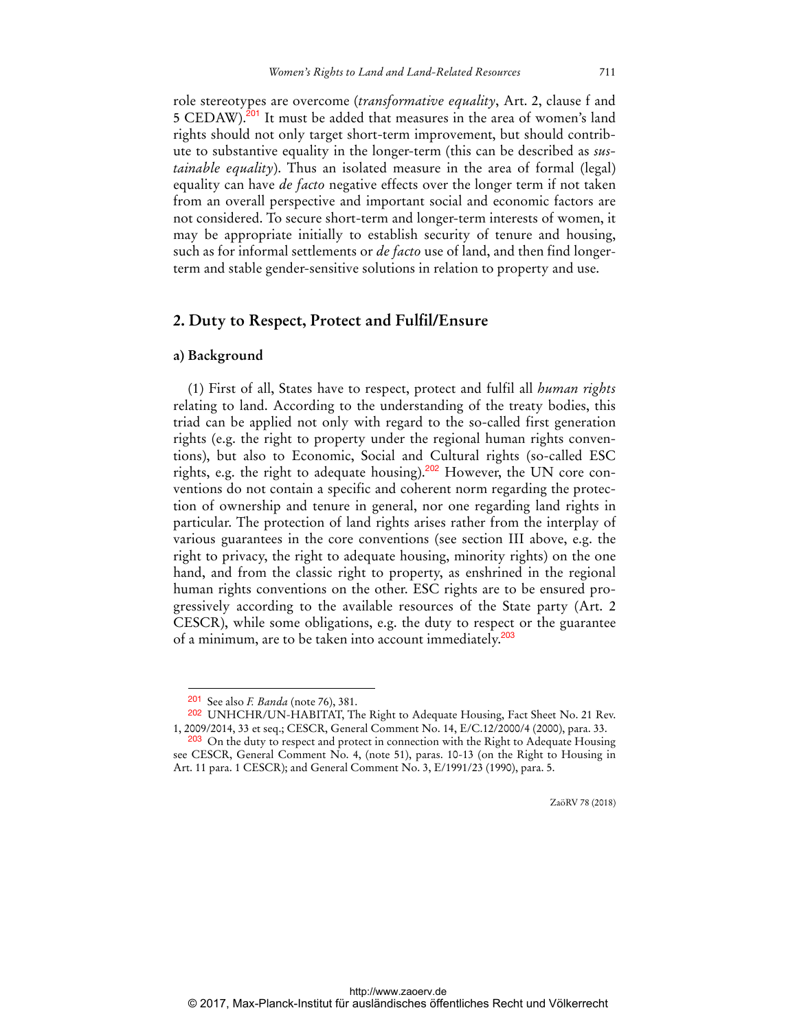role stereotypes are overcome (*transformative equality*, Art. 2, clause f and 5 CEDAW).<sup>201</sup> It must be added that measures in the area of women's land rights should not only target short-term improvement, but should contribute to substantive equality in the longer-term (this can be described as *sustainable equality*). Thus an isolated measure in the area of formal (legal) equality can have *de facto* negative effects over the longer term if not taken from an overall perspective and important social and economic factors are not considered. To secure short-term and longer-term interests of women, it may be appropriate initially to establish security of tenure and housing, such as for informal settlements or *de facto* use of land, and then find longerterm and stable gender-sensitive solutions in relation to property and use.

## **2. Duty to Respect, Protect and Fulfil/Ensure**

#### **a) Background**

(1) First of all, States have to respect, protect and fulfil all *human rights*  relating to land. According to the understanding of the treaty bodies, this triad can be applied not only with regard to the so-called first generation rights (e.g. the right to property under the regional human rights conventions), but also to Economic, Social and Cultural rights (so-called ESC rights, e.g. the right to adequate housing).<sup>202</sup> However, the UN core conventions do not contain a specific and coherent norm regarding the protection of ownership and tenure in general, nor one regarding land rights in particular. The protection of land rights arises rather from the interplay of various guarantees in the core conventions (see section III above, e.g. the right to privacy, the right to adequate housing, minority rights) on the one hand, and from the classic right to property, as enshrined in the regional human rights conventions on the other. ESC rights are to be ensured progressively according to the available resources of the State party (Art. 2 CESCR), while some obligations, e.g. the duty to respect or the guarantee of a minimum, are to be taken into account immediately.<sup>203</sup>

 $\overline{a}$ 

<sup>201</sup> See also *F. Banda* (note 76), 381.

<sup>202</sup> UNHCHR/UN-HABITAT, The Right to Adequate Housing, Fact Sheet No. 21 Rev. 1, 2009/2014, 33 et seq.; CESCR, General Comment No. 14, E/C.12/2000/4 (2000), para. 33.

<sup>&</sup>lt;sup>203</sup> On the duty to respect and protect in connection with the Right to Adequate Housing see CESCR, General Comment No. 4, (note 51), paras. 10-13 (on the Right to Housing in Art. 11 para. 1 CESCR); and General Comment No. 3, E/1991/23 (1990), para. 5.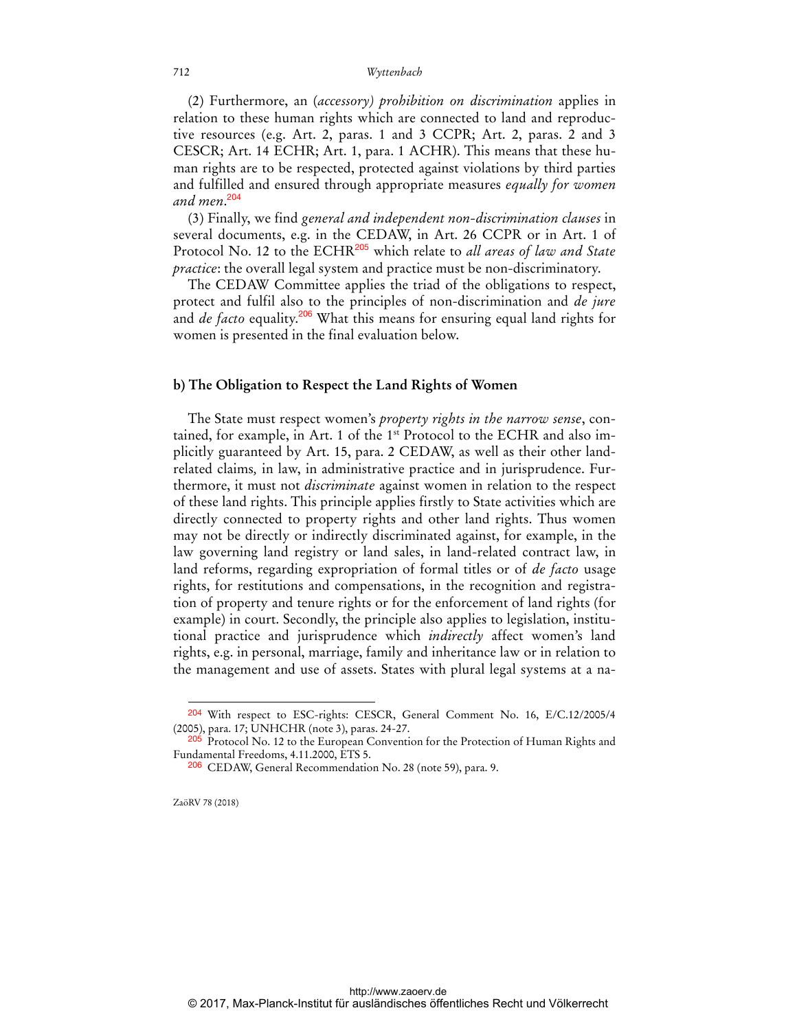(2) Furthermore, an (*accessory) prohibition on discrimination* applies in relation to these human rights which are connected to land and reproductive resources (e.g. Art. 2, paras. 1 and 3 CCPR; Art. 2, paras. 2 and 3 CESCR; Art. 14 ECHR; Art. 1, para. 1 ACHR). This means that these human rights are to be respected, protected against violations by third parties and fulfilled and ensured through appropriate measures *equally for women and men*. 204

(3) Finally, we find *general and independent non-discrimination clauses* in several documents, e.g. in the CEDAW, in Art. 26 CCPR or in Art. 1 of Protocol No. 12 to the ECHR<sup>205</sup> which relate to *all areas of law and State practice*: the overall legal system and practice must be non-discriminatory.

The CEDAW Committee applies the triad of the obligations to respect, protect and fulfil also to the principles of non-discrimination and *de jure* and *de facto* equality.<sup>206</sup> What this means for ensuring equal land rights for women is presented in the final evaluation below.

#### **b) The Obligation to Respect the Land Rights of Women**

The State must respect women's *property rights in the narrow sense*, contained, for example, in Art. 1 of the 1<sup>st</sup> Protocol to the ECHR and also implicitly guaranteed by Art. 15, para. 2 CEDAW, as well as their other landrelated claims*,* in law, in administrative practice and in jurisprudence. Furthermore, it must not *discriminate* against women in relation to the respect of these land rights. This principle applies firstly to State activities which are directly connected to property rights and other land rights. Thus women may not be directly or indirectly discriminated against, for example, in the law governing land registry or land sales, in land-related contract law, in land reforms, regarding expropriation of formal titles or of *de facto* usage rights, for restitutions and compensations, in the recognition and registration of property and tenure rights or for the enforcement of land rights (for example) in court. Secondly, the principle also applies to legislation, institutional practice and jurisprudence which *indirectly* affect women's land rights, e.g. in personal, marriage, family and inheritance law or in relation to the management and use of assets. States with plural legal systems at a na-

ZaöRV 78 (2018)

<sup>&</sup>lt;sup>204</sup> With respect to ESC-rights: CESCR, General Comment No. 16, E/C.12/2005/4 (2005), para. 17; UNHCHR (note 3), paras. 24-27.

<sup>205</sup> Protocol No. 12 to the European Convention for the Protection of Human Rights and Fundamental Freedoms, 4.11.2000, ETS 5.

<sup>206</sup> CEDAW, General Recommendation No. 28 (note 59), para. 9.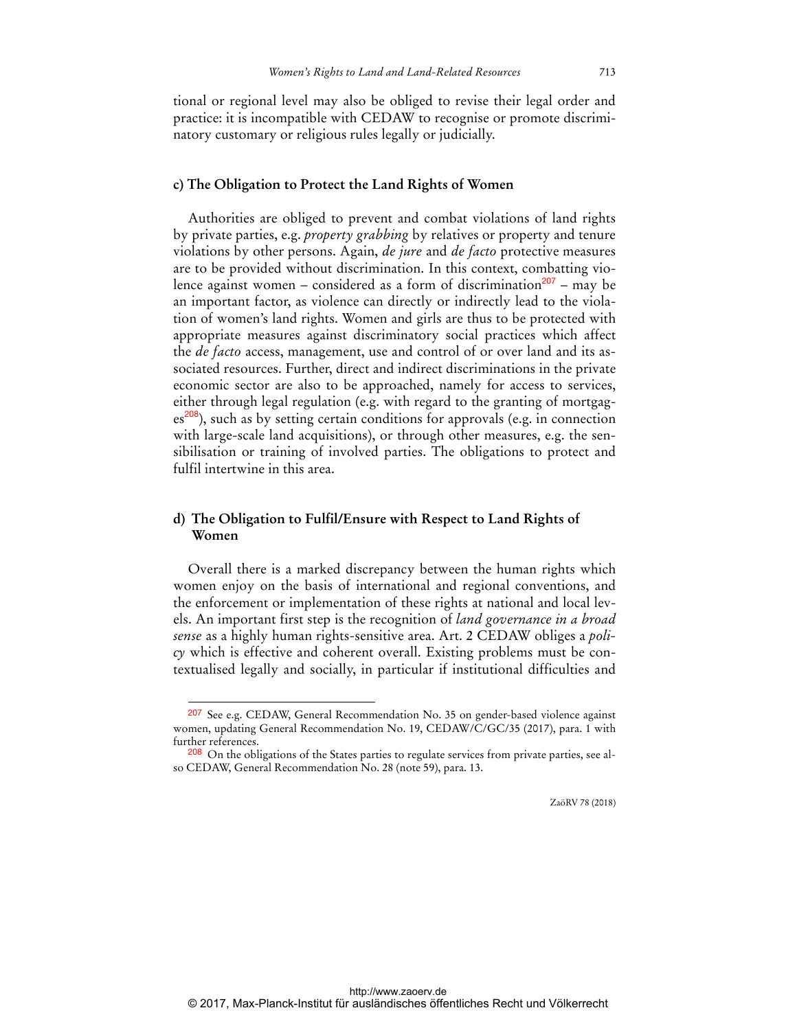tional or regional level may also be obliged to revise their legal order and practice: it is incompatible with CEDAW to recognise or promote discriminatory customary or religious rules legally or judicially.

#### **c) The Obligation to Protect the Land Rights of Women**

Authorities are obliged to prevent and combat violations of land rights by private parties, e.g. *property grabbing* by relatives or property and tenure violations by other persons. Again, *de jure* and *de facto* protective measures are to be provided without discrimination. In this context, combatting violence against women – considered as a form of discrimination<sup>207</sup> – may be an important factor, as violence can directly or indirectly lead to the violation of women's land rights. Women and girls are thus to be protected with appropriate measures against discriminatory social practices which affect the *de facto* access, management, use and control of or over land and its associated resources. Further, direct and indirect discriminations in the private economic sector are also to be approached, namely for access to services, either through legal regulation (e.g. with regard to the granting of mortgages<sup>208</sup>), such as by setting certain conditions for approvals (e.g. in connection with large-scale land acquisitions), or through other measures, e.g. the sensibilisation or training of involved parties. The obligations to protect and fulfil intertwine in this area.

## **d) The Obligation to Fulfil/Ensure with Respect to Land Rights of Women**

Overall there is a marked discrepancy between the human rights which women enjoy on the basis of international and regional conventions, and the enforcement or implementation of these rights at national and local levels. An important first step is the recognition of *land governance in a broad sense* as a highly human rights-sensitive area. Art. 2 CEDAW obliges a *policy* which is effective and coherent overall. Existing problems must be contextualised legally and socially, in particular if institutional difficulties and

 $\overline{a}$ 

<sup>207</sup> See e.g. CEDAW, General Recommendation No. 35 on gender-based violence against women, updating General Recommendation No. 19, CEDAW/C/GC/35 (2017), para. 1 with further references.

<sup>208</sup> On the obligations of the States parties to regulate services from private parties, see also CEDAW, General Recommendation No. 28 (note 59), para. 13.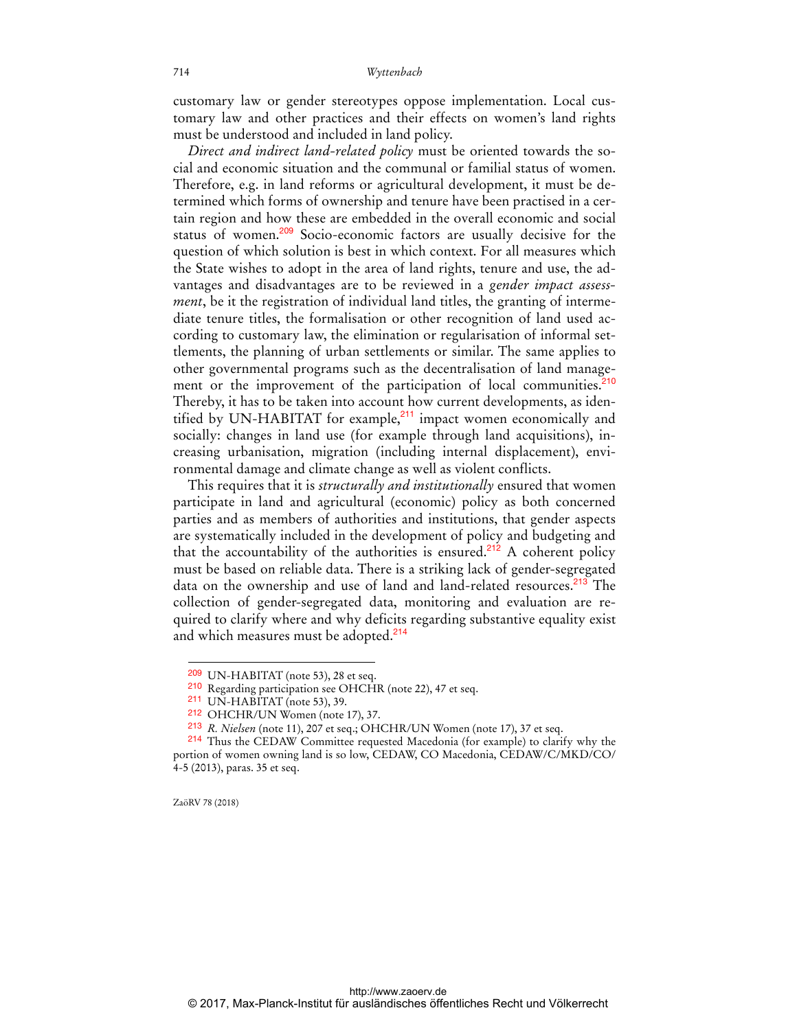customary law or gender stereotypes oppose implementation. Local customary law and other practices and their effects on women's land rights must be understood and included in land policy.

*Direct and indirect land-related policy* must be oriented towards the social and economic situation and the communal or familial status of women. Therefore, e.g. in land reforms or agricultural development, it must be determined which forms of ownership and tenure have been practised in a certain region and how these are embedded in the overall economic and social status of women.<sup>209</sup> Socio-economic factors are usually decisive for the question of which solution is best in which context. For all measures which the State wishes to adopt in the area of land rights, tenure and use, the advantages and disadvantages are to be reviewed in a *gender impact assessment*, be it the registration of individual land titles, the granting of intermediate tenure titles, the formalisation or other recognition of land used according to customary law, the elimination or regularisation of informal settlements, the planning of urban settlements or similar. The same applies to other governmental programs such as the decentralisation of land management or the improvement of the participation of local communities.<sup>210</sup> Thereby, it has to be taken into account how current developments, as identified by UN-HABITAT for example,<sup>211</sup> impact women economically and socially: changes in land use (for example through land acquisitions), increasing urbanisation, migration (including internal displacement), environmental damage and climate change as well as violent conflicts.

This requires that it is *structurally and institutionally* ensured that women participate in land and agricultural (economic) policy as both concerned parties and as members of authorities and institutions, that gender aspects are systematically included in the development of policy and budgeting and that the accountability of the authorities is ensured.<sup>212</sup> A coherent policy must be based on reliable data. There is a striking lack of gender-segregated data on the ownership and use of land and land-related resources.<sup>213</sup> The collection of gender-segregated data, monitoring and evaluation are required to clarify where and why deficits regarding substantive equality exist and which measures must be adopted.<sup>214</sup>

ZaöRV 78 (2018)

<sup>209</sup> UN-HABITAT (note 53), 28 et seq.

<sup>210</sup> Regarding participation see OHCHR (note 22), 47 et seq.

<sup>211</sup> UN-HABITAT (note 53), 39.

<sup>212</sup> OHCHR/UN Women (note 17), 37.

<sup>213</sup> *R. Nielsen* (note 11), 207 et seq.; OHCHR/UN Women (note 17), 37 et seq.

<sup>214</sup> Thus the CEDAW Committee requested Macedonia (for example) to clarify why the portion of women owning land is so low, CEDAW, CO Macedonia, CEDAW/C/MKD/CO/ 4-5 (2013), paras. 35 et seq.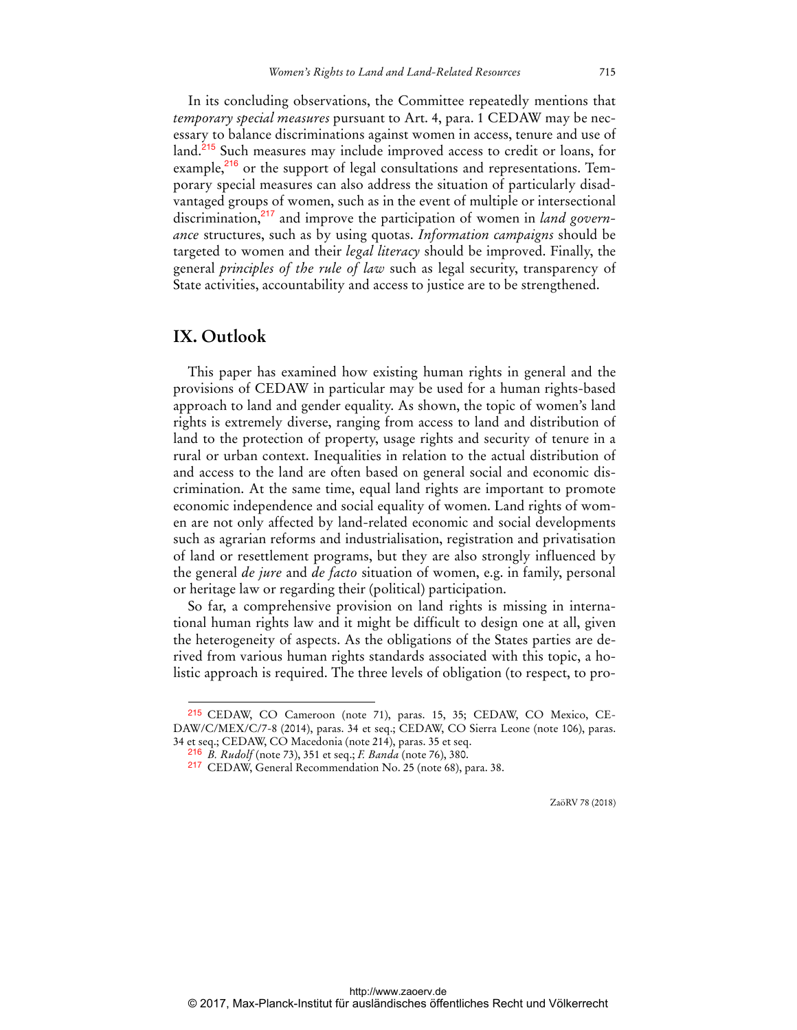In its concluding observations, the Committee repeatedly mentions that *temporary special measures* pursuant to Art. 4, para. 1 CEDAW may be necessary to balance discriminations against women in access, tenure and use of land.<sup>215</sup> Such measures may include improved access to credit or loans, for example,<sup>216</sup> or the support of legal consultations and representations. Temporary special measures can also address the situation of particularly disadvantaged groups of women, such as in the event of multiple or intersectional discrimination,217 and improve the participation of women in *land governance* structures, such as by using quotas. *Information campaigns* should be targeted to women and their *legal literacy* should be improved. Finally, the general *principles of the rule of law* such as legal security, transparency of State activities, accountability and access to justice are to be strengthened.

## **IX. Outlook**

 $\overline{a}$ 

This paper has examined how existing human rights in general and the provisions of CEDAW in particular may be used for a human rights-based approach to land and gender equality. As shown, the topic of women's land rights is extremely diverse, ranging from access to land and distribution of land to the protection of property, usage rights and security of tenure in a rural or urban context. Inequalities in relation to the actual distribution of and access to the land are often based on general social and economic discrimination. At the same time, equal land rights are important to promote economic independence and social equality of women. Land rights of women are not only affected by land-related economic and social developments such as agrarian reforms and industrialisation, registration and privatisation of land or resettlement programs, but they are also strongly influenced by the general *de jure* and *de facto* situation of women, e.g. in family, personal or heritage law or regarding their (political) participation.

So far, a comprehensive provision on land rights is missing in international human rights law and it might be difficult to design one at all, given the heterogeneity of aspects. As the obligations of the States parties are derived from various human rights standards associated with this topic, a holistic approach is required. The three levels of obligation (to respect, to pro-

<sup>215</sup> CEDAW, CO Cameroon (note 71), paras. 15, 35; CEDAW, CO Mexico, CE-DAW/C/MEX/C/7-8 (2014), paras. 34 et seq.; CEDAW, CO Sierra Leone (note 106), paras. 34 et seq.; CEDAW, CO Macedonia (note 214), paras. 35 et seq.

<sup>216</sup> *B. Rudolf* (note 73), 351 et seq.; *F. Banda* (note 76), 380.

<sup>217</sup> CEDAW, General Recommendation No. 25 (note 68), para. 38.